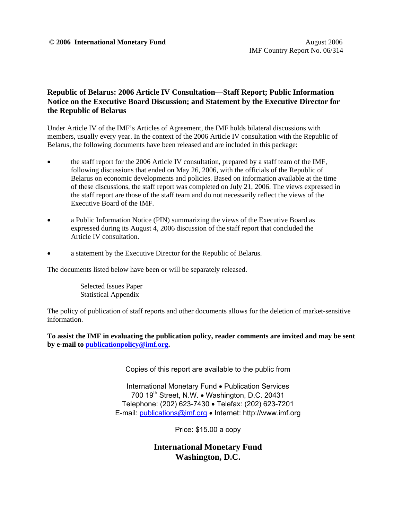### **Republic of Belarus: 2006 Article IV Consultation—Staff Report; Public Information Notice on the Executive Board Discussion; and Statement by the Executive Director for the Republic of Belarus**

Under Article IV of the IMF's Articles of Agreement, the IMF holds bilateral discussions with members, usually every year. In the context of the 2006 Article IV consultation with the Republic of Belarus, the following documents have been released and are included in this package:

- the staff report for the 2006 Article IV consultation, prepared by a staff team of the IMF, following discussions that ended on May 26, 2006, with the officials of the Republic of Belarus on economic developments and policies. Based on information available at the time of these discussions, the staff report was completed on July 21, 2006. The views expressed in the staff report are those of the staff team and do not necessarily reflect the views of the Executive Board of the IMF.
- a Public Information Notice (PIN) summarizing the views of the Executive Board as expressed during its August 4, 2006 discussion of the staff report that concluded the Article IV consultation.
- a statement by the Executive Director for the Republic of Belarus.

The documents listed below have been or will be separately released.

 Selected Issues Paper Statistical Appendix

The policy of publication of staff reports and other documents allows for the deletion of market-sensitive information.

**To assist the IMF in evaluating the publication policy, reader comments are invited and may be sent by e-mail to publicationpolicy@imf.org.**

Copies of this report are available to the public from

International Monetary Fund • Publication Services 700 19<sup>th</sup> Street, N.W. • Washington, D.C. 20431 Telephone: (202) 623-7430 • Telefax: (202) 623-7201 E-mail: publications@imf.org • Internet: http://www.imf.org

Price: \$15.00 a copy

**International Monetary Fund Washington, D.C.**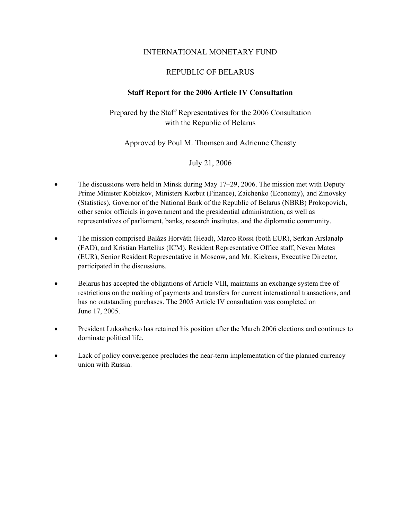### INTERNATIONAL MONETARY FUND

# REPUBLIC OF BELARUS

### **Staff Report for the 2006 Article IV Consultation**

# Prepared by the Staff Representatives for the 2006 Consultation with the Republic of Belarus

### Approved by Poul M. Thomsen and Adrienne Cheasty

### July 21, 2006

- The discussions were held in Minsk during May 17–29, 2006. The mission met with Deputy Prime Minister Kobiakov, Ministers Korbut (Finance), Zaichenko (Economy), and Zinovsky (Statistics), Governor of the National Bank of the Republic of Belarus (NBRB) Prokopovich, other senior officials in government and the presidential administration, as well as representatives of parliament, banks, research institutes, and the diplomatic community.
- The mission comprised Balázs Horváth (Head), Marco Rossi (both EUR), Serkan Arslanalp (FAD), and Kristian Hartelius (ICM). Resident Representative Office staff, Neven Mates (EUR), Senior Resident Representative in Moscow, and Mr. Kiekens, Executive Director, participated in the discussions.
- Belarus has accepted the obligations of Article VIII, maintains an exchange system free of restrictions on the making of payments and transfers for current international transactions, and has no outstanding purchases. The 2005 Article IV consultation was completed on June 17, 2005.
- President Lukashenko has retained his position after the March 2006 elections and continues to dominate political life.
- Lack of policy convergence precludes the near-term implementation of the planned currency union with Russia.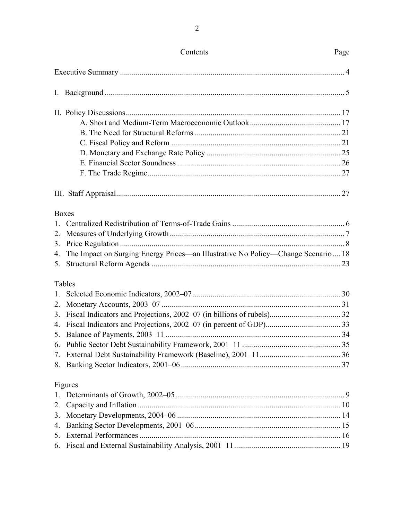|    | <b>Boxes</b>                                                                         |  |
|----|--------------------------------------------------------------------------------------|--|
|    |                                                                                      |  |
|    |                                                                                      |  |
| 3. |                                                                                      |  |
|    | 4. The Impact on Surging Energy Prices—an Illustrative No Policy—Change Scenario  18 |  |
|    |                                                                                      |  |
|    | Tables                                                                               |  |
| 1. |                                                                                      |  |
|    |                                                                                      |  |
| 3. |                                                                                      |  |
| 4. |                                                                                      |  |
|    |                                                                                      |  |
|    |                                                                                      |  |
|    |                                                                                      |  |
|    |                                                                                      |  |
|    | Figures                                                                              |  |
| 1. |                                                                                      |  |
| 2. |                                                                                      |  |
| 3. |                                                                                      |  |
| 4. |                                                                                      |  |
|    |                                                                                      |  |
|    |                                                                                      |  |

# Contents

 $\overline{2}$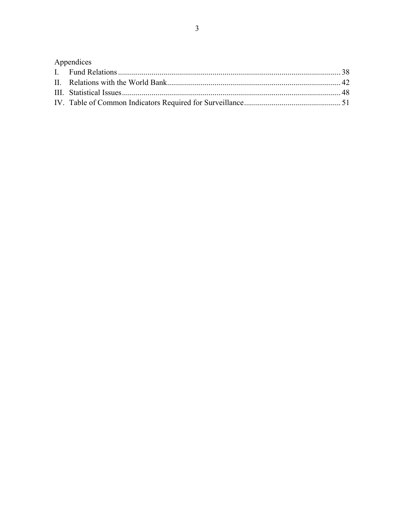| Appendices |  |
|------------|--|
|            |  |
|            |  |
|            |  |
|            |  |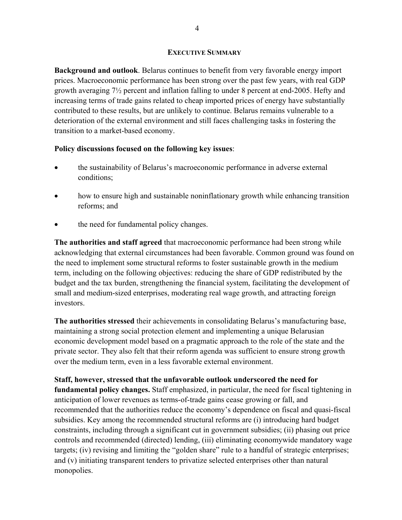#### **EXECUTIVE SUMMARY**

**Background and outlook**. Belarus continues to benefit from very favorable energy import prices. Macroeconomic performance has been strong over the past few years, with real GDP growth averaging 7½ percent and inflation falling to under 8 percent at end-2005. Hefty and increasing terms of trade gains related to cheap imported prices of energy have substantially contributed to these results, but are unlikely to continue. Belarus remains vulnerable to a deterioration of the external environment and still faces challenging tasks in fostering the transition to a market-based economy.

### **Policy discussions focused on the following key issues**:

- the sustainability of Belarus's macroeconomic performance in adverse external conditions;
- how to ensure high and sustainable noninflationary growth while enhancing transition reforms; and
- the need for fundamental policy changes.

**The authorities and staff agreed** that macroeconomic performance had been strong while acknowledging that external circumstances had been favorable. Common ground was found on the need to implement some structural reforms to foster sustainable growth in the medium term, including on the following objectives: reducing the share of GDP redistributed by the budget and the tax burden, strengthening the financial system, facilitating the development of small and medium-sized enterprises, moderating real wage growth, and attracting foreign investors.

**The authorities stressed** their achievements in consolidating Belarus's manufacturing base, maintaining a strong social protection element and implementing a unique Belarusian economic development model based on a pragmatic approach to the role of the state and the private sector. They also felt that their reform agenda was sufficient to ensure strong growth over the medium term, even in a less favorable external environment.

**Staff, however, stressed that the unfavorable outlook underscored the need for fundamental policy changes.** Staff emphasized, in particular, the need for fiscal tightening in anticipation of lower revenues as terms-of-trade gains cease growing or fall, and recommended that the authorities reduce the economy's dependence on fiscal and quasi-fiscal subsidies. Key among the recommended structural reforms are (i) introducing hard budget constraints, including through a significant cut in government subsidies; (ii) phasing out price controls and recommended (directed) lending, (iii) eliminating economywide mandatory wage targets; (iv) revising and limiting the "golden share" rule to a handful of strategic enterprises; and (v) initiating transparent tenders to privatize selected enterprises other than natural monopolies.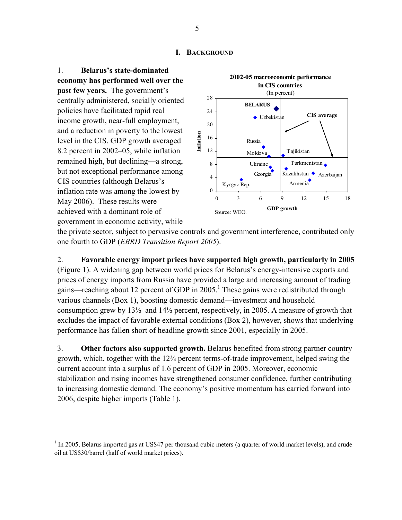#### **I. BACKGROUND**

1. **Belarus's state-dominated economy has performed well over the past few years.** The government's centrally administered, socially oriented policies have facilitated rapid real income growth, near-full employment, and a reduction in poverty to the lowest level in the CIS. GDP growth averaged 8.2 percent in 2002–05, while inflation remained high, but declining—a strong, but not exceptional performance among CIS countries (although Belarus's inflation rate was among the lowest by May 2006). These results were achieved with a dominant role of government in economic activity, while

 $\overline{a}$ 



the private sector, subject to pervasive controls and government interference, contributed only one fourth to GDP (*EBRD Transition Report 2005*).

2. **Favorable energy import prices have supported high growth, particularly in 2005**  (Figure 1). A widening gap between world prices for Belarus's energy-intensive exports and prices of energy imports from Russia have provided a large and increasing amount of trading gains—reaching about 12 percent of GDP in  $2005$ .<sup>1</sup> These gains were redistributed through various channels (Box 1), boosting domestic demand—investment and household consumption grew by 13½ and 14½ percent, respectively, in 2005. A measure of growth that excludes the impact of favorable external conditions (Box 2), however, shows that underlying performance has fallen short of headline growth since 2001, especially in 2005.

3. **Other factors also supported growth.** Belarus benefited from strong partner country growth, which, together with the 12¾ percent terms-of-trade improvement, helped swing the current account into a surplus of 1.6 percent of GDP in 2005. Moreover, economic stabilization and rising incomes have strengthened consumer confidence, further contributing to increasing domestic demand. The economy's positive momentum has carried forward into 2006, despite higher imports (Table 1).

 $1$  In 2005, Belarus imported gas at US\$47 per thousand cubic meters (a quarter of world market levels), and crude oil at US\$30/barrel (half of world market prices).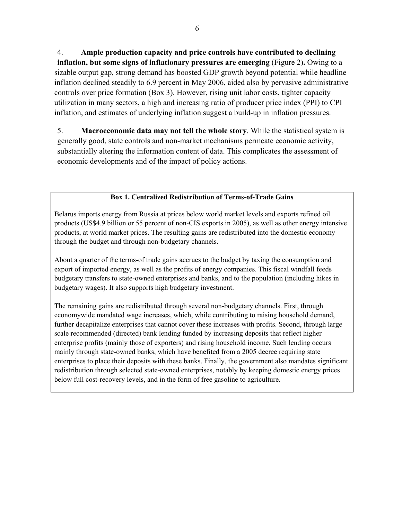4. **Ample production capacity and price controls have contributed to declining inflation, but some signs of inflationary pressures are emerging** (Figure 2)**.** Owing to a sizable output gap, strong demand has boosted GDP growth beyond potential while headline inflation declined steadily to 6.9 percent in May 2006, aided also by pervasive administrative controls over price formation (Box 3). However, rising unit labor costs, tighter capacity utilization in many sectors, a high and increasing ratio of producer price index (PPI) to CPI inflation, and estimates of underlying inflation suggest a build-up in inflation pressures.

5. **Macroeconomic data may not tell the whole story**. While the statistical system is generally good, state controls and non-market mechanisms permeate economic activity, substantially altering the information content of data. This complicates the assessment of economic developments and of the impact of policy actions.

# **Box 1. Centralized Redistribution of Terms-of-Trade Gains**

Belarus imports energy from Russia at prices below world market levels and exports refined oil products (US\$4.9 billion or 55 percent of non-CIS exports in 2005), as well as other energy intensive products, at world market prices. The resulting gains are redistributed into the domestic economy through the budget and through non-budgetary channels.

About a quarter of the terms-of trade gains accrues to the budget by taxing the consumption and export of imported energy, as well as the profits of energy companies. This fiscal windfall feeds budgetary transfers to state-owned enterprises and banks, and to the population (including hikes in budgetary wages). It also supports high budgetary investment.

The remaining gains are redistributed through several non-budgetary channels. First, through economywide mandated wage increases, which, while contributing to raising household demand, further decapitalize enterprises that cannot cover these increases with profits. Second, through large scale recommended (directed) bank lending funded by increasing deposits that reflect higher enterprise profits (mainly those of exporters) and rising household income. Such lending occurs mainly through state-owned banks, which have benefited from a 2005 decree requiring state enterprises to place their deposits with these banks. Finally, the government also mandates significant redistribution through selected state-owned enterprises, notably by keeping domestic energy prices below full cost-recovery levels, and in the form of free gasoline to agriculture.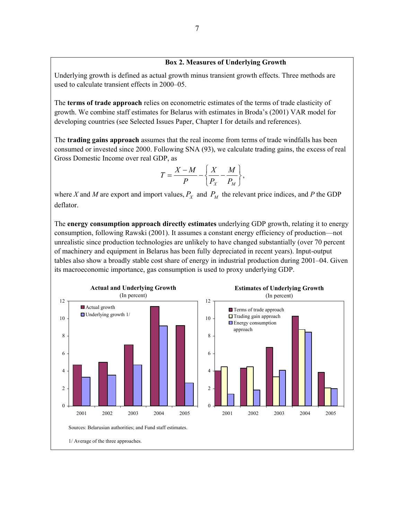#### **Box 2. Measures of Underlying Growth**

Underlying growth is defined as actual growth minus transient growth effects. Three methods are used to calculate transient effects in 2000–05.

The **terms of trade approach** relies on econometric estimates of the terms of trade elasticity of growth. We combine staff estimates for Belarus with estimates in Broda's (2001) VAR model for developing countries (see Selected Issues Paper, Chapter I for details and references).

The **trading gains approach** assumes that the real income from terms of trade windfalls has been consumed or invested since 2000. Following SNA (93), we calculate trading gains, the excess of real Gross Domestic Income over real GDP, as

$$
T = \frac{X - M}{P} - \left\{ \frac{X}{P_X} - \frac{M}{P_M} \right\},\,
$$

where *X* and *M* are export and import values,  $P_X$  and  $P_M$  the relevant price indices, and *P* the GDP deflator.

The **energy consumption approach directly estimates** underlying GDP growth, relating it to energy consumption, following Rawski (2001). It assumes a constant energy efficiency of production—not unrealistic since production technologies are unlikely to have changed substantially (over 70 percent of machinery and equipment in Belarus has been fully depreciated in recent years). Input-output tables also show a broadly stable cost share of energy in industrial production during 2001–04. Given its macroeconomic importance, gas consumption is used to proxy underlying GDP.

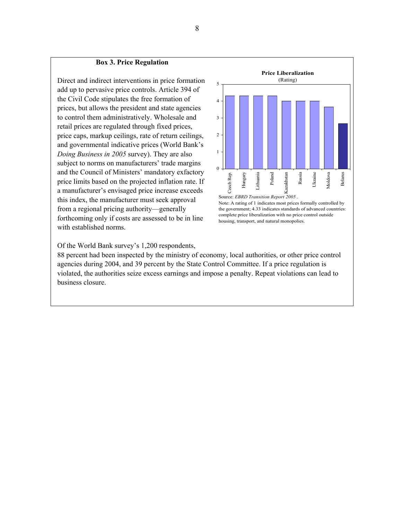#### **Box 3. Price Regulation**

Direct and indirect interventions in price formation add up to pervasive price controls. Article 394 of the Civil Code stipulates the free formation of prices, but allows the president and state agencies to control them administratively. Wholesale and retail prices are regulated through fixed prices, price caps, markup ceilings, rate of return ceilings, and governmental indicative prices (World Bank's *Doing Business in 2005* survey). They are also subject to norms on manufacturers' trade margins and the Council of Ministers' mandatory exfactory price limits based on the projected inflation rate. If a manufacturer's envisaged price increase exceeds this index, the manufacturer must seek approval from a regional pricing authority—generally forthcoming only if costs are assessed to be in line with established norms.



Note: A rating of 1 indicates most prices formally controlled by the government; 4.33 indicates standards of advanced countries: complete price liberalization with no price control outside housing, transport, and natural monopolies.

Of the World Bank survey's 1,200 respondents,

88 percent had been inspected by the ministry of economy, local authorities, or other price control agencies during 2004, and 39 percent by the State Control Committee. If a price regulation is violated, the authorities seize excess earnings and impose a penalty. Repeat violations can lead to business closure.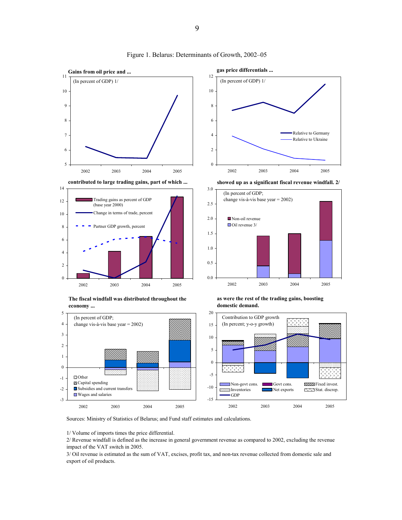

Figure 1. Belarus: Determinants of Growth, 2002–05

Sources: Ministry of Statistics of Belarus; and Fund staff estimates and calculations.

1/ Volume of imports times the price differential.

2/ Revenue windfall is defined as the increase in general government revenue as compared to 2002, excluding the revenue impact of the VAT switch in 2005.

3/ Oil revenue is estimated as the sum of VAT, excises, profit tax, and non-tax revenue collected from domestic sale and export of oil products.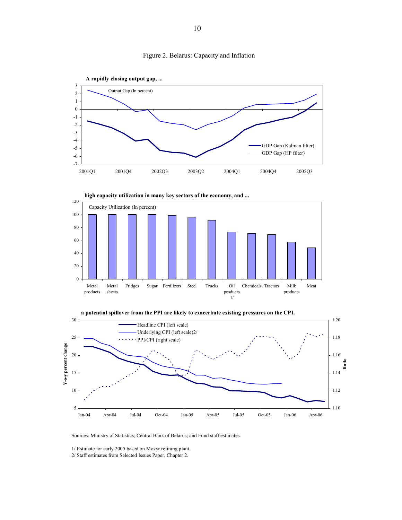







Sources: Ministry of Statistics; Central Bank of Belarus; and Fund staff estimates.

1/ Estimate for early 2005 based on Mozyr refining plant.

2/ Staff estimates from Selected Issues Paper, Chapter 2.

Figure 2. Belarus: Capacity and Inflation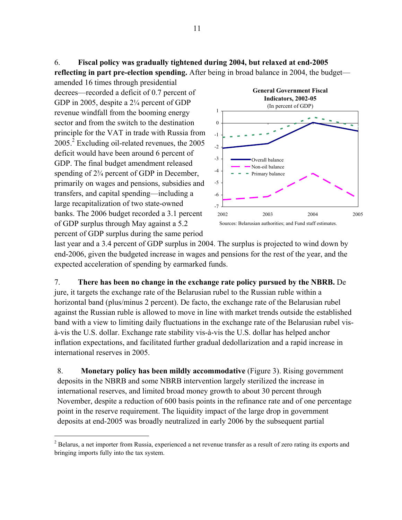6. **Fiscal policy was gradually tightened during 2004, but relaxed at end-2005** 

**reflecting in part pre-election spending.** After being in broad balance in 2004, the budget—

amended 16 times through presidential decrees—recorded a deficit of 0.7 percent of GDP in 2005, despite a 2¼ percent of GDP revenue windfall from the booming energy sector and from the switch to the destination principle for the VAT in trade with Russia from 2005.<sup>2</sup> Excluding oil-related revenues, the 2005 deficit would have been around 6 percent of GDP. The final budget amendment released spending of  $2\frac{3}{4}$  percent of GDP in December, primarily on wages and pensions, subsidies and transfers, and capital spending—including a large recapitalization of two state-owned banks. The 2006 budget recorded a 3.1 percent of GDP surplus through May against a 5.2 percent of GDP surplus during the same period

 $\overline{a}$ 



last year and a 3.4 percent of GDP surplus in 2004. The surplus is projected to wind down by end-2006, given the budgeted increase in wages and pensions for the rest of the year, and the expected acceleration of spending by earmarked funds.

7. **There has been no change in the exchange rate policy pursued by the NBRB.** De jure, it targets the exchange rate of the Belarusian rubel to the Russian ruble within a horizontal band (plus/minus 2 percent). De facto, the exchange rate of the Belarusian rubel against the Russian ruble is allowed to move in line with market trends outside the established band with a view to limiting daily fluctuations in the exchange rate of the Belarusian rubel visà-vis the U.S. dollar. Exchange rate stability vis-à-vis the U.S. dollar has helped anchor inflation expectations, and facilitated further gradual dedollarization and a rapid increase in international reserves in 2005.

8. **Monetary policy has been mildly accommodative** (Figure 3). Rising government deposits in the NBRB and some NBRB intervention largely sterilized the increase in international reserves, and limited broad money growth to about 30 percent through November, despite a reduction of 600 basis points in the refinance rate and of one percentage point in the reserve requirement. The liquidity impact of the large drop in government deposits at end-2005 was broadly neutralized in early 2006 by the subsequent partial

 $2$  Belarus, a net importer from Russia, experienced a net revenue transfer as a result of zero rating its exports and bringing imports fully into the tax system.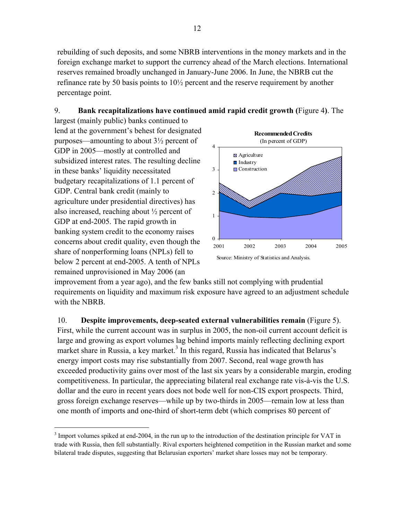rebuilding of such deposits, and some NBRB interventions in the money markets and in the foreign exchange market to support the currency ahead of the March elections. International reserves remained broadly unchanged in January-June 2006. In June, the NBRB cut the refinance rate by 50 basis points to 10½ percent and the reserve requirement by another percentage point.

# 9. **Bank recapitalizations have continued amid rapid credit growth (**Figure 4**)**. The

largest (mainly public) banks continued to lend at the government's behest for designated purposes—amounting to about 3½ percent of GDP in 2005—mostly at controlled and subsidized interest rates. The resulting decline in these banks' liquidity necessitated budgetary recapitalizations of 1.1 percent of GDP. Central bank credit (mainly to agriculture under presidential directives) has also increased, reaching about ½ percent of GDP at end-2005. The rapid growth in banking system credit to the economy raises concerns about credit quality, even though the share of nonperforming loans (NPLs) fell to below 2 percent at end-2005. A tenth of NPLs remained unprovisioned in May 2006 (an

 $\overline{a}$ 



improvement from a year ago), and the few banks still not complying with prudential requirements on liquidity and maximum risk exposure have agreed to an adjustment schedule with the NBRB.

10. **Despite improvements, deep-seated external vulnerabilities remain** (Figure 5). First, while the current account was in surplus in 2005, the non-oil current account deficit is large and growing as export volumes lag behind imports mainly reflecting declining export market share in Russia, a key market.<sup>3</sup> In this regard, Russia has indicated that Belarus's energy import costs may rise substantially from 2007. Second, real wage growth has exceeded productivity gains over most of the last six years by a considerable margin, eroding competitiveness. In particular, the appreciating bilateral real exchange rate vis-à-vis the U.S. dollar and the euro in recent years does not bode well for non-CIS export prospects. Third, gross foreign exchange reserves—while up by two-thirds in 2005—remain low at less than one month of imports and one-third of short-term debt (which comprises 80 percent of

 $3 \text{ Import volumes spiked at end-2004}$ , in the run up to the introduction of the destination principle for VAT in trade with Russia, then fell substantially. Rival exporters heightened competition in the Russian market and some bilateral trade disputes, suggesting that Belarusian exporters' market share losses may not be temporary.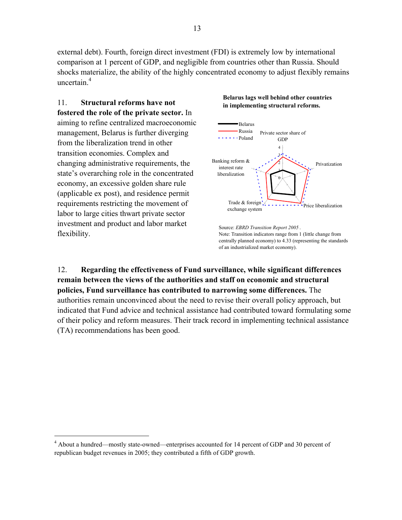external debt). Fourth, foreign direct investment (FDI) is extremely low by international comparison at 1 percent of GDP, and negligible from countries other than Russia. Should shocks materialize, the ability of the highly concentrated economy to adjust flexibly remains uncertain $<sup>4</sup>$ </sup>

11. **Structural reforms have not fostered the role of the private sector.** In aiming to refine centralized macroeconomic management, Belarus is further diverging from the liberalization trend in other transition economies. Complex and changing administrative requirements, the state's overarching role in the concentrated economy, an excessive golden share rule (applicable ex post), and residence permit requirements restricting the movement of labor to large cities thwart private sector investment and product and labor market flexibility.

 $\overline{a}$ 

#### **Belarus lags well behind other countries in implementing structural reforms.**



Source: *EBRD Transition Report 2005* . Note: Transition indicators range from 1 (little change from centrally planned economy) to 4.33 (representing the standards of an industrialized market economy).

12. **Regarding the effectiveness of Fund surveillance, while significant differences remain between the views of the authorities and staff on economic and structural policies, Fund surveillance has contributed to narrowing some differences.** The authorities remain unconvinced about the need to revise their overall policy approach, but indicated that Fund advice and technical assistance had contributed toward formulating some of their policy and reform measures. Their track record in implementing technical assistance (TA) recommendations has been good.

<sup>&</sup>lt;sup>4</sup> About a hundred—mostly state-owned—enterprises accounted for 14 percent of GDP and 30 percent of republican budget revenues in 2005; they contributed a fifth of GDP growth.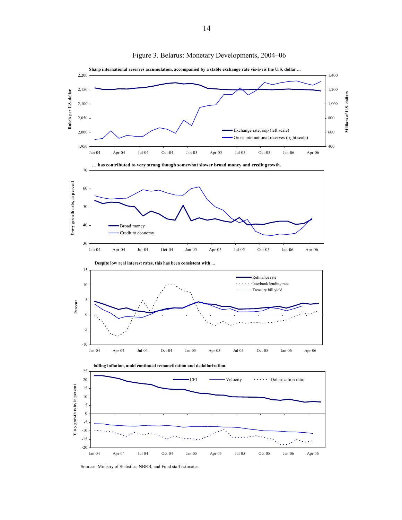

Figure 3. Belarus: Monetary Developments, 2004–06

Sources: Ministry of Statistics; NBRB; and Fund staff estimates.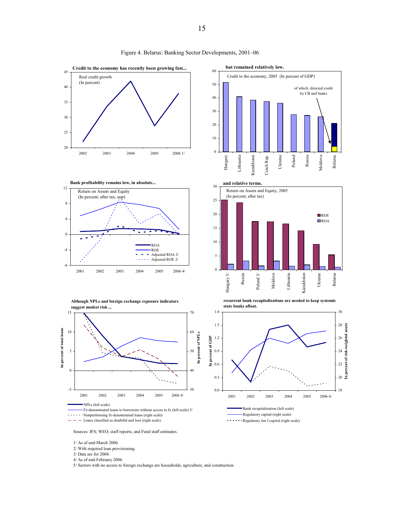

Figure 4. Belarus: Banking Sector Developments, 2001–06

Sources: IFS; WEO; staff reports; and Fund staff estimates.

1/ As of end-March 2006.

2/ With required loan provisioning.

3/ Data are for 2004.

4/ As of end-February 2006.

5/ Sectors with no access to foreign exchange are households, agriculture, and construction.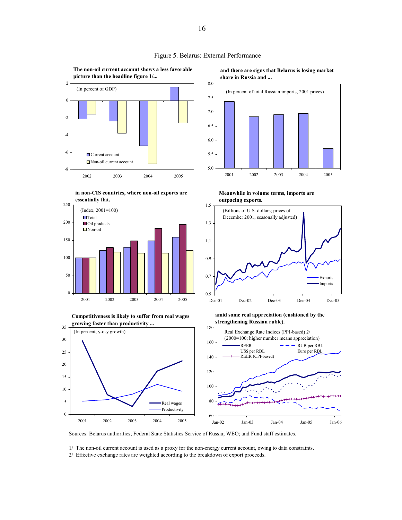





**Competitiveness is likely to suffer from real wages growing faster than productivity ...**



**and there are signs that Belarus is losing market share in Russia and ...**



**Meanwhile in volume terms, imports are outpacing exports.**



**amid some real appreciation (cushioned by the strengthening Russian ruble).**



Sources: Belarus authorities; Federal State Statistics Service of Russia; WEO; and Fund staff estimates.

1/ The non-oil current account is used as a proxy for the non-energy current account, owing to data constraints.

2/ Effective exchange rates are weighted according to the breakdown of export proceeds.

Figure 5. Belarus: External Performance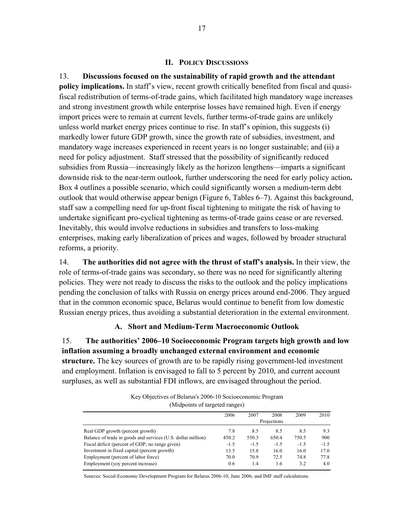#### **II. POLICY DISCUSSIONS**

13. **Discussions focused on the sustainability of rapid growth and the attendant policy implications.** In staff's view, recent growth critically benefited from fiscal and quasifiscal redistribution of terms-of-trade gains, which facilitated high mandatory wage increases and strong investment growth while enterprise losses have remained high. Even if energy import prices were to remain at current levels, further terms-of-trade gains are unlikely unless world market energy prices continue to rise. In staff's opinion, this suggests (i) markedly lower future GDP growth, since the growth rate of subsidies, investment, and mandatory wage increases experienced in recent years is no longer sustainable; and (ii) a need for policy adjustment. Staff stressed that the possibility of significantly reduced subsidies from Russia—increasingly likely as the horizon lengthens—imparts a significant downside risk to the near-term outlook, further underscoring the need for early policy action**.** Box 4 outlines a possible scenario, which could significantly worsen a medium-term debt outlook that would otherwise appear benign (Figure 6, Tables 6–7). Against this background, staff saw a compelling need for up-front fiscal tightening to mitigate the risk of having to undertake significant pro-cyclical tightening as terms-of-trade gains cease or are reversed. Inevitably, this would involve reductions in subsidies and transfers to loss-making enterprises, making early liberalization of prices and wages, followed by broader structural reforms, a priority.

14. **The authorities did not agree with the thrust of staff's analysis.** In their view, the role of terms-of-trade gains was secondary, so there was no need for significantly altering policies. They were not ready to discuss the risks to the outlook and the policy implications pending the conclusion of talks with Russia on energy prices around end-2006. They argued that in the common economic space, Belarus would continue to benefit from low domestic Russian energy prices, thus avoiding a substantial deterioration in the external environment.

# **A. Short and Medium-Term Macroeconomic Outlook**

15. **The authorities' 2006–10 Socioeconomic Program targets high growth and low inflation assuming a broadly unchanged external environment and economic structure.** The key sources of growth are to be rapidly rising government-led investment and employment. Inflation is envisaged to fall to 5 percent by 2010, and current account surpluses, as well as substantial FDI inflows, are envisaged throughout the period.

| Key Objectives of Belarus's 2006-10 Socioeconomic Program |  |
|-----------------------------------------------------------|--|
| (Midpoints of targeted ranges)                            |  |

|                                                              | ~      |        |             |        |        |
|--------------------------------------------------------------|--------|--------|-------------|--------|--------|
|                                                              | 2006   | 2007   | 2008        | 2009   | 2010   |
|                                                              |        |        | Projections |        |        |
| Real GDP growth (percent growth)                             | 7.8    | 8.5    | 8.5         | 8.5    | 9.3    |
| Balance of trade in goods and services (U.S. dollar million) | 450.2  | 550.3  | 650.4       | 750.5  | 900    |
| Fiscal deficit (percent of GDP; no range given)              | $-1.5$ | $-1.5$ | $-1.5$      | $-1.5$ | $-1.5$ |
| Investment in fixed capital (percent growth)                 | 13.5   | 15.8   | 16.0        | 16.0   | 17.0   |
| Employment (percent of labor force)                          | 70.0   | 70.9   | 72.5        | 74.8   | 77.8   |
| Employment (yoy percent increase)                            | 0.6    | 1.4    | 1.6         | 3.2    | 4.0    |

Sources: Social-Economic Development Program for Belarus 2006-10, June 2006; and IMF staff calculations.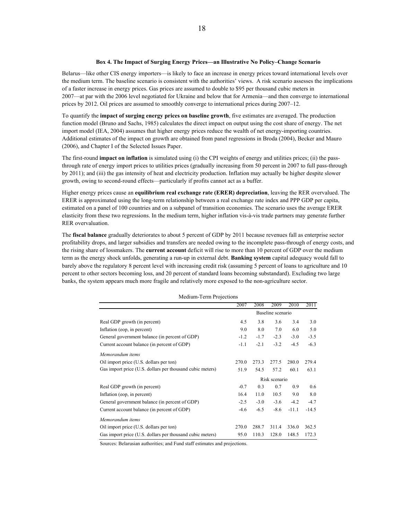#### **Box 4. The Impact of Surging Energy Prices—an Illustrative No Policy–Change Scenario**

Belarus—like other CIS energy importers—is likely to face an increase in energy prices toward international levels over the medium term. The baseline scenario is consistent with the authorities' views. A risk scenario assesses the implications of a faster increase in energy prices. Gas prices are assumed to double to \$95 per thousand cubic meters in 2007—at par with the 2006 level negotiated for Ukraine and below that for Armenia—and then converge to international prices by 2012. Oil prices are assumed to smoothly converge to international prices during 2007–12.

To quantify the **impact of surging energy prices on baseline growth**, five estimates are averaged. The production function model (Bruno and Sachs, 1985) calculates the direct impact on output using the cost share of energy. The net import model (IEA, 2004) assumes that higher energy prices reduce the wealth of net energy-importing countries. Additional estimates of the impact on growth are obtained from panel regressions in Broda (2004), Becker and Mauro (2006), and Chapter I of the Selected Issues Paper.

The first-round **impact on inflation** is simulated using (i) the CPI weights of energy and utilities prices; (ii) the passthrough rate of energy import prices to utilities prices (gradually increasing from 50 percent in 2007 to full pass-through by 2011); and (iii) the gas intensity of heat and electricity production. Inflation may actually be higher despite slower growth, owing to second-round effects—particularly if profits cannot act as a buffer.

Higher energy prices cause an **equilibrium real exchange rate (ERER) depreciation**, leaving the RER overvalued. The ERER is approximated using the long-term relationship between a real exchange rate index and PPP GDP per capita, estimated on a panel of 100 countries and on a subpanel of transition economies. The scenario uses the average ERER elasticity from these two regressions. In the medium term, higher inflation vis-à-vis trade partners may generate further RER overvaluation.

The **fiscal balance** gradually deteriorates to about 5 percent of GDP by 2011 because revenues fall as enterprise sector profitability drops, and larger subsidies and transfers are needed owing to the incomplete pass-through of energy costs, and the rising share of lossmakers. The **current account** deficit will rise to more than 10 percent of GDP over the medium term as the energy shock unfolds, generating a run-up in external debt. **Banking system** capital adequacy would fall to barely above the regulatory 8 percent level with increasing credit risk (assuming 5 percent of loans to agriculture and 10 percent to other sectors becoming loss, and 20 percent of standard loans becoming substandard). Excluding two large banks, the system appears much more fragile and relatively more exposed to the non-agriculture sector.

| Medium-Term Projections                                   |        |        |                   |         |         |
|-----------------------------------------------------------|--------|--------|-------------------|---------|---------|
|                                                           | 2007   | 2008   | 2009              | 2010    | 2011    |
|                                                           |        |        | Baseline scenario |         |         |
| Real GDP growth (in percent)                              | 4.5    | 3.8    | 3.6               | 3.4     | 3.0     |
| Inflation (eop. in percent)                               | 9.0    | 8.0    | 7.0               | 6.0     | 5.0     |
| General government balance (in percent of GDP)            | $-1.2$ | $-1.7$ | $-2.3$            | $-3.0$  | $-3.5$  |
| Current account balance (in percent of GDP)               | $-1.1$ | $-2.1$ | $-3.2$            | $-4.5$  | $-6.3$  |
| Memorandum items                                          |        |        |                   |         |         |
| Oil import price (U.S. dollars per ton)                   | 270.0  | 273.3  | 277.5             | 280.0   | 279.4   |
| Gas import price (U.S. dollars per thousand cubic meters) | 51.9   | 54.5   | 57.2              | 60.1    | 63.1    |
|                                                           |        |        | Risk scenario     |         |         |
| Real GDP growth (in percent)                              | $-0.7$ | 0.3    | 0.7               | 0.9     | 0.6     |
| Inflation (eop. in percent)                               | 16.4   | 11.0   | 10.5              | 9.0     | 8.0     |
| General government balance (in percent of GDP)            | $-2.5$ | $-3.0$ | $-3.6$            | $-4.2$  | $-4.7$  |
| Current account balance (in percent of GDP)               | $-4.6$ | $-6.5$ | $-8.6$            | $-11.1$ | $-14.5$ |
| Memorandum items                                          |        |        |                   |         |         |
| Oil import price (U.S. dollars per ton)                   | 270.0  | 288.7  | 311.4             | 336.0   | 362.5   |
| Gas import price (U.S. dollars per thousand cubic meters) | 95.0   | 110.3  | 128.0             | 148.5   | 172.3   |

Medium-Term Projections

Sources: Belarusian authorities; and Fund staff estimates and projections.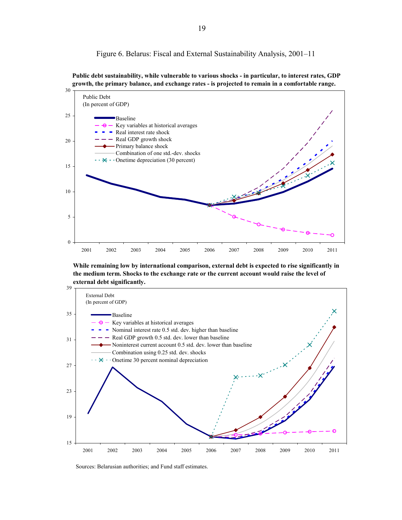Figure 6. Belarus: Fiscal and External Sustainability Analysis, 2001–11





**While remaining low by international comparison, external debt is expected to rise significantly in the medium term. Shocks to the exchange rate or the current account would raise the level of external debt significantly.**



Sources: Belarusian authorities; and Fund staff estimates.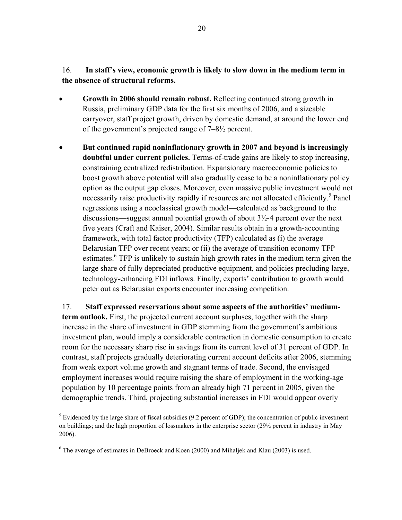# 16. **In staff's view, economic growth is likely to slow down in the medium term in the absence of structural reforms.**

- **Growth in 2006 should remain robust.** Reflecting continued strong growth in Russia, preliminary GDP data for the first six months of 2006, and a sizeable carryover, staff project growth, driven by domestic demand, at around the lower end of the government's projected range of 7–8½ percent.
- **But continued rapid noninflationary growth in 2007 and beyond is increasingly doubtful under current policies.** Terms-of-trade gains are likely to stop increasing, constraining centralized redistribution. Expansionary macroeconomic policies to boost growth above potential will also gradually cease to be a noninflationary policy option as the output gap closes. Moreover, even massive public investment would not necessarily raise productivity rapidly if resources are not allocated efficiently.<sup>5</sup> Panel regressions using a neoclassical growth model—calculated as background to the discussions—suggest annual potential growth of about 3½-4 percent over the next five years (Craft and Kaiser, 2004). Similar results obtain in a growth-accounting framework, with total factor productivity (TFP) calculated as (i) the average Belarusian TFP over recent years; or (ii) the average of transition economy TFP estimates.<sup>6</sup> TFP is unlikely to sustain high growth rates in the medium term given the large share of fully depreciated productive equipment, and policies precluding large, technology-enhancing FDI inflows. Finally, exports' contribution to growth would peter out as Belarusian exports encounter increasing competition.

17. **Staff expressed reservations about some aspects of the authorities' mediumterm outlook.** First, the projected current account surpluses, together with the sharp increase in the share of investment in GDP stemming from the government's ambitious investment plan, would imply a considerable contraction in domestic consumption to create room for the necessary sharp rise in savings from its current level of 31 percent of GDP. In contrast, staff projects gradually deteriorating current account deficits after 2006, stemming from weak export volume growth and stagnant terms of trade. Second, the envisaged employment increases would require raising the share of employment in the working-age population by 10 percentage points from an already high 71 percent in 2005, given the demographic trends. Third, projecting substantial increases in FDI would appear overly

 $\overline{a}$ 

 $<sup>5</sup>$  Evidenced by the large share of fiscal subsidies (9.2 percent of GDP); the concentration of public investment</sup> on buildings; and the high proportion of lossmakers in the enterprise sector (29½ percent in industry in May 2006).

 $6$  The average of estimates in DeBroeck and Koen (2000) and Mihaljek and Klau (2003) is used.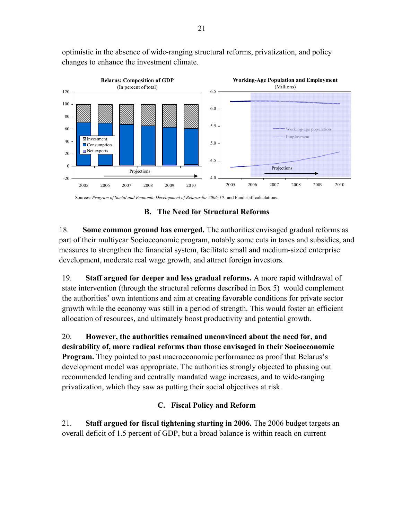optimistic in the absence of wide-ranging structural reforms, privatization, and policy changes to enhance the investment climate.



#### Sources: *Program of Social and Economic Development of Belarus for 2006-10,* and Fund staff calculations.

#### **B. The Need for Structural Reforms**

18. **Some common ground has emerged.** The authorities envisaged gradual reforms as part of their multiyear Socioeconomic program, notably some cuts in taxes and subsidies, and measures to strengthen the financial system, facilitate small and medium-sized enterprise development, moderate real wage growth, and attract foreign investors.

19. **Staff argued for deeper and less gradual reforms.** A more rapid withdrawal of state intervention (through the structural reforms described in Box 5) would complement the authorities' own intentions and aim at creating favorable conditions for private sector growth while the economy was still in a period of strength. This would foster an efficient allocation of resources, and ultimately boost productivity and potential growth.

20. **However, the authorities remained unconvinced about the need for, and desirability of, more radical reforms than those envisaged in their Socioeconomic Program.** They pointed to past macroeconomic performance as proof that Belarus's development model was appropriate. The authorities strongly objected to phasing out recommended lending and centrally mandated wage increases, and to wide-ranging privatization, which they saw as putting their social objectives at risk.

### **C. Fiscal Policy and Reform**

21. **Staff argued for fiscal tightening starting in 2006.** The 2006 budget targets an overall deficit of 1.5 percent of GDP, but a broad balance is within reach on current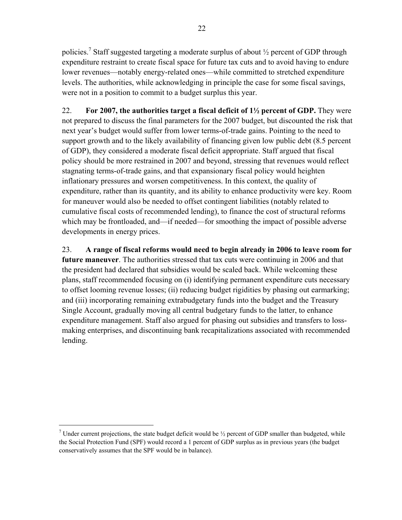policies.<sup>7</sup> Staff suggested targeting a moderate surplus of about  $\frac{1}{2}$  percent of GDP through expenditure restraint to create fiscal space for future tax cuts and to avoid having to endure lower revenues—notably energy-related ones—while committed to stretched expenditure levels. The authorities, while acknowledging in principle the case for some fiscal savings, were not in a position to commit to a budget surplus this year.

22. **For 2007, the authorities target a fiscal deficit of 1½ percent of GDP.** They were not prepared to discuss the final parameters for the 2007 budget, but discounted the risk that next year's budget would suffer from lower terms-of-trade gains. Pointing to the need to support growth and to the likely availability of financing given low public debt (8.5 percent of GDP), they considered a moderate fiscal deficit appropriate. Staff argued that fiscal policy should be more restrained in 2007 and beyond, stressing that revenues would reflect stagnating terms-of-trade gains, and that expansionary fiscal policy would heighten inflationary pressures and worsen competitiveness. In this context, the quality of expenditure, rather than its quantity, and its ability to enhance productivity were key. Room for maneuver would also be needed to offset contingent liabilities (notably related to cumulative fiscal costs of recommended lending), to finance the cost of structural reforms which may be frontloaded, and—if needed—for smoothing the impact of possible adverse developments in energy prices.

23. **A range of fiscal reforms would need to begin already in 2006 to leave room for future maneuver**. The authorities stressed that tax cuts were continuing in 2006 and that the president had declared that subsidies would be scaled back. While welcoming these plans, staff recommended focusing on (i) identifying permanent expenditure cuts necessary to offset looming revenue losses; (ii) reducing budget rigidities by phasing out earmarking; and (iii) incorporating remaining extrabudgetary funds into the budget and the Treasury Single Account, gradually moving all central budgetary funds to the latter, to enhance expenditure management. Staff also argued for phasing out subsidies and transfers to lossmaking enterprises, and discontinuing bank recapitalizations associated with recommended lending.

 $\overline{a}$ 

<sup>&</sup>lt;sup>7</sup> Under current projections, the state budget deficit would be  $\frac{1}{2}$  percent of GDP smaller than budgeted, while the Social Protection Fund (SPF) would record a 1 percent of GDP surplus as in previous years (the budget conservatively assumes that the SPF would be in balance).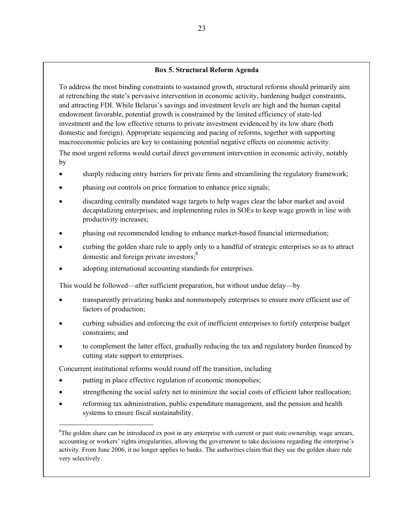#### **Box 5. Structural Reform Agenda**

To address the most binding constraints to sustained growth, structural reforms should primarily aim at retrenching the state's pervasive intervention in economic activity, hardening budget constraints, and attracting FDI. While Belarus's savings and investment levels are high and the human capital endowment favorable, potential growth is constrained by the limited efficiency of state-led investment and the low effective returns to private investment evidenced by its low share (both domestic and foreign). Appropriate sequencing and pacing of reforms, together with supporting macroeconomic policies are key to containing potential negative effects on economic activity.

The most urgent reforms would curtail direct government intervention in economic activity, notably by

- sharply reducing entry barriers for private firms and streamlining the regulatory framework;
- phasing out controls on price formation to enhance price signals;
- discarding centrally mandated wage targets to help wages clear the labor market and avoid decapitalizing enterprises; and implementing rules in SOEs to keep wage growth in line with productivity increases;
- phasing out recommended lending to enhance market-based financial intermediation;
- curbing the golden share rule to apply only to a handful of strategic enterprises so as to attract domestic and foreign private investors; $\frac{8}{3}$
- adopting international accounting standards for enterprises.

This would be followed—after sufficient preparation, but without undue delay—by

- transparently privatizing banks and nonmonopoly enterprises to ensure more efficient use of factors of production;
- curbing subsidies and enforcing the exit of inefficient enterprises to fortify enterprise budget constraints; and
- to complement the latter effect, gradually reducing the tax and regulatory burden financed by cutting state support to enterprises.

Concurrent institutional reforms would round off the transition, including

putting in place effective regulation of economic monopolies;

 $\overline{a}$ 

- strengthening the social safety net to minimize the social costs of efficient labor reallocation;
- reforming tax administration, public expenditure management, and the pension and health systems to ensure fiscal sustainability.

<sup>&</sup>lt;sup>8</sup>The golden share can be introduced ex post in any enterprise with current or past state ownership, wage arrears, accounting or workers' rights irregularities, allowing the government to take decisions regarding the enterprise's activity. From June 2006, it no longer applies to banks. The authorities claim that they use the golden share rule very selectively.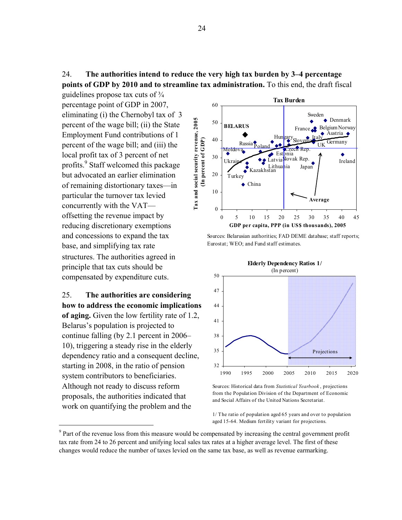24. **The authorities intend to reduce the very high tax burden by 3–4 percentage points of GDP by 2010 and to streamline tax administration.** To this end, the draft fiscal

guidelines propose tax cuts of  $\frac{3}{4}$ percentage point of GDP in 2007, eliminating (i) the Chernobyl tax of 3 percent of the wage bill; (ii) the State Employment Fund contributions of 1 percent of the wage bill; and (iii) the local profit tax of 3 percent of net profits.<sup>9</sup> Staff welcomed this package but advocated an earlier elimination of remaining distortionary taxes—in particular the turnover tax levied concurrently with the VAT offsetting the revenue impact by reducing discretionary exemptions and concessions to expand the tax base, and simplifying tax rate structures. The authorities agreed in principle that tax cuts should be compensated by expenditure cuts.

25. **The authorities are considering how to address the economic implications of aging.** Given the low fertility rate of 1.2, Belarus's population is projected to continue falling (by 2.1 percent in 2006– 10), triggering a steady rise in the elderly dependency ratio and a consequent decline, starting in 2008, in the ratio of pension system contributors to beneficiaries. Although not ready to discuss reform proposals, the authorities indicated that work on quantifying the problem and the

 $\overline{a}$ 



Sources: Belarusian authorities; FAD DEME database; staff reports; Eurostat; WEO; and Fund staff estimates.



Sources: Historical data from *Statistical Yearbook* , projections from the Population Division of the Department of Economic and Social Affairs of the United Nations Secretariat.

1/ The ratio of population aged 65 years and over to population aged 15-64. Medium fertility variant for projections.

<sup>&</sup>lt;sup>9</sup> Part of the revenue loss from this measure would be compensated by increasing the central government profit tax rate from 24 to 26 percent and unifying local sales tax rates at a higher average level. The first of these changes would reduce the number of taxes levied on the same tax base, as well as revenue earmarking.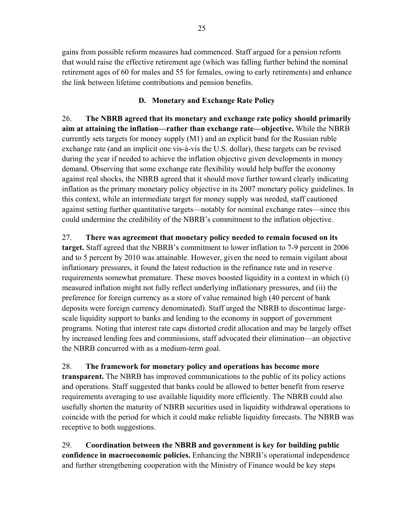gains from possible reform measures had commenced. Staff argued for a pension reform that would raise the effective retirement age (which was falling further behind the nominal retirement ages of 60 for males and 55 for females, owing to early retirements) and enhance the link between lifetime contributions and pension benefits.

# **D. Monetary and Exchange Rate Policy**

26. **The NBRB agreed that its monetary and exchange rate policy should primarily aim at attaining the inflation—rather than exchange rate—objective.** While the NBRB currently sets targets for money supply (M1) and an explicit band for the Russian ruble exchange rate (and an implicit one vis-à-vis the U.S. dollar), these targets can be revised during the year if needed to achieve the inflation objective given developments in money demand. Observing that some exchange rate flexibility would help buffer the economy against real shocks, the NBRB agreed that it should move further toward clearly indicating inflation as the primary monetary policy objective in its 2007 monetary policy guidelines. In this context, while an intermediate target for money supply was needed, staff cautioned against setting further quantitative targets—notably for nominal exchange rates—since this could undermine the credibility of the NBRB's commitment to the inflation objective.

27. **There was agreement that monetary policy needed to remain focused on its target.** Staff agreed that the NBRB's commitment to lower inflation to 7-9 percent in 2006 and to 5 percent by 2010 was attainable. However, given the need to remain vigilant about inflationary pressures, it found the latest reduction in the refinance rate and in reserve requirements somewhat premature. These moves boosted liquidity in a context in which (i) measured inflation might not fully reflect underlying inflationary pressures, and (ii) the preference for foreign currency as a store of value remained high (40 percent of bank deposits were foreign currency denominated). Staff urged the NBRB to discontinue largescale liquidity support to banks and lending to the economy in support of government programs. Noting that interest rate caps distorted credit allocation and may be largely offset by increased lending fees and commissions, staff advocated their elimination—an objective the NBRB concurred with as a medium-term goal.

28. **The framework for monetary policy and operations has become more transparent.** The NBRB has improved communications to the public of its policy actions and operations. Staff suggested that banks could be allowed to better benefit from reserve requirements averaging to use available liquidity more efficiently. The NBRB could also usefully shorten the maturity of NBRB securities used in liquidity withdrawal operations to coincide with the period for which it could make reliable liquidity forecasts. The NBRB was receptive to both suggestions.

29. **Coordination between the NBRB and government is key for building public confidence in macroeconomic policies.** Enhancing the NBRB's operational independence and further strengthening cooperation with the Ministry of Finance would be key steps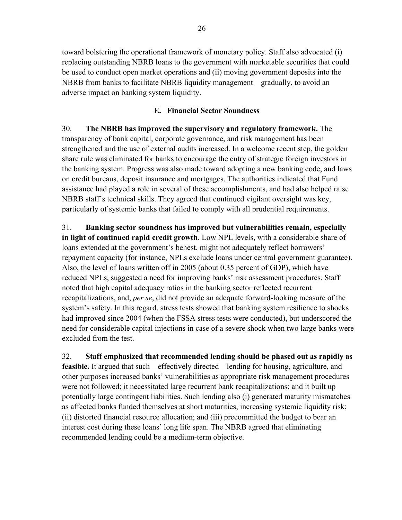toward bolstering the operational framework of monetary policy. Staff also advocated (i) replacing outstanding NBRB loans to the government with marketable securities that could be used to conduct open market operations and (ii) moving government deposits into the NBRB from banks to facilitate NBRB liquidity management—gradually, to avoid an adverse impact on banking system liquidity.

# **E. Financial Sector Soundness**

30. **The NBRB has improved the supervisory and regulatory framework.** The transparency of bank capital, corporate governance, and risk management has been strengthened and the use of external audits increased. In a welcome recent step, the golden share rule was eliminated for banks to encourage the entry of strategic foreign investors in the banking system. Progress was also made toward adopting a new banking code, and laws on credit bureaus, deposit insurance and mortgages. The authorities indicated that Fund assistance had played a role in several of these accomplishments, and had also helped raise NBRB staff's technical skills. They agreed that continued vigilant oversight was key, particularly of systemic banks that failed to comply with all prudential requirements.

31. **Banking sector soundness has improved but vulnerabilities remain, especially in light of continued rapid credit growth**. Low NPL levels, with a considerable share of loans extended at the government's behest, might not adequately reflect borrowers' repayment capacity (for instance, NPLs exclude loans under central government guarantee). Also, the level of loans written off in 2005 (about 0.35 percent of GDP), which have reduced NPLs, suggested a need for improving banks' risk assessment procedures. Staff noted that high capital adequacy ratios in the banking sector reflected recurrent recapitalizations, and, *per se*, did not provide an adequate forward-looking measure of the system's safety. In this regard, stress tests showed that banking system resilience to shocks had improved since 2004 (when the FSSA stress tests were conducted), but underscored the need for considerable capital injections in case of a severe shock when two large banks were excluded from the test.

32. **Staff emphasized that recommended lending should be phased out as rapidly as feasible.** It argued that such—effectively directed—lending for housing, agriculture, and other purposes increased banks' vulnerabilities as appropriate risk management procedures were not followed; it necessitated large recurrent bank recapitalizations; and it built up potentially large contingent liabilities. Such lending also (i) generated maturity mismatches as affected banks funded themselves at short maturities, increasing systemic liquidity risk; (ii) distorted financial resource allocation; and (iii) precommitted the budget to bear an interest cost during these loans' long life span. The NBRB agreed that eliminating recommended lending could be a medium-term objective.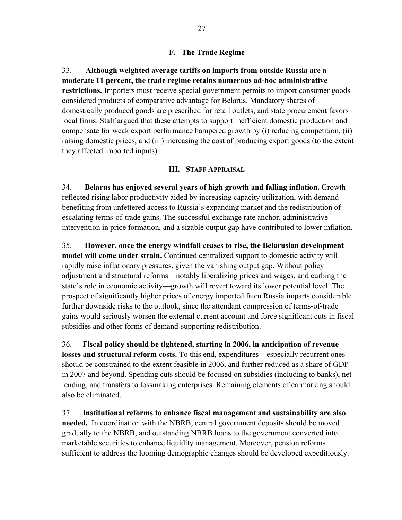# **F. The Trade Regime**

33. **Although weighted average tariffs on imports from outside Russia are a moderate 11 percent, the trade regime retains numerous ad-hoc administrative restrictions.** Importers must receive special government permits to import consumer goods considered products of comparative advantage for Belarus. Mandatory shares of domestically produced goods are prescribed for retail outlets, and state procurement favors local firms. Staff argued that these attempts to support inefficient domestic production and compensate for weak export performance hampered growth by (i) reducing competition, (ii) raising domestic prices, and (iii) increasing the cost of producing export goods (to the extent they affected imported inputs).

### **III. STAFF APPRAISAL**

34. **Belarus has enjoyed several years of high growth and falling inflation.** Growth reflected rising labor productivity aided by increasing capacity utilization, with demand benefiting from unfettered access to Russia's expanding market and the redistribution of escalating terms-of-trade gains. The successful exchange rate anchor, administrative intervention in price formation, and a sizable output gap have contributed to lower inflation.

35. **However, once the energy windfall ceases to rise, the Belarusian development model will come under strain.** Continued centralized support to domestic activity will rapidly raise inflationary pressures, given the vanishing output gap. Without policy adjustment and structural reforms—notably liberalizing prices and wages, and curbing the state's role in economic activity—growth will revert toward its lower potential level. The prospect of significantly higher prices of energy imported from Russia imparts considerable further downside risks to the outlook, since the attendant compression of terms-of-trade gains would seriously worsen the external current account and force significant cuts in fiscal subsidies and other forms of demand-supporting redistribution.

36. **Fiscal policy should be tightened, starting in 2006, in anticipation of revenue losses and structural reform costs.** To this end, expenditures—especially recurrent ones should be constrained to the extent feasible in 2006, and further reduced as a share of GDP in 2007 and beyond. Spending cuts should be focused on subsidies (including to banks), net lending, and transfers to lossmaking enterprises. Remaining elements of earmarking should also be eliminated.

37. **Institutional reforms to enhance fiscal management and sustainability are also needed.** In coordination with the NBRB, central government deposits should be moved gradually to the NBRB, and outstanding NBRB loans to the government converted into marketable securities to enhance liquidity management. Moreover, pension reforms sufficient to address the looming demographic changes should be developed expeditiously.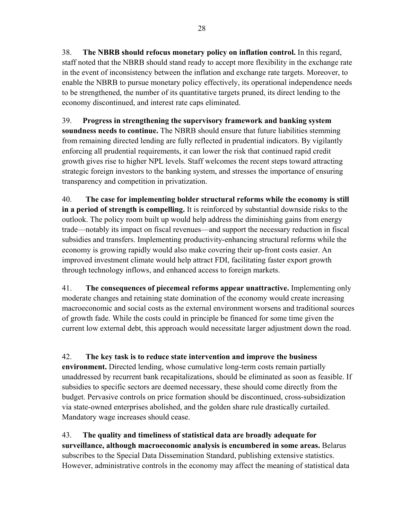38. **The NBRB should refocus monetary policy on inflation control.** In this regard, staff noted that the NBRB should stand ready to accept more flexibility in the exchange rate in the event of inconsistency between the inflation and exchange rate targets. Moreover, to enable the NBRB to pursue monetary policy effectively, its operational independence needs to be strengthened, the number of its quantitative targets pruned, its direct lending to the economy discontinued, and interest rate caps eliminated.

39. **Progress in strengthening the supervisory framework and banking system soundness needs to continue.** The NBRB should ensure that future liabilities stemming from remaining directed lending are fully reflected in prudential indicators. By vigilantly enforcing all prudential requirements, it can lower the risk that continued rapid credit growth gives rise to higher NPL levels. Staff welcomes the recent steps toward attracting strategic foreign investors to the banking system, and stresses the importance of ensuring transparency and competition in privatization.

40. **The case for implementing bolder structural reforms while the economy is still in a period of strength is compelling.** It is reinforced by substantial downside risks to the outlook. The policy room built up would help address the diminishing gains from energy trade—notably its impact on fiscal revenues—and support the necessary reduction in fiscal subsidies and transfers. Implementing productivity-enhancing structural reforms while the economy is growing rapidly would also make covering their up-front costs easier. An improved investment climate would help attract FDI, facilitating faster export growth through technology inflows, and enhanced access to foreign markets.

41. **The consequences of piecemeal reforms appear unattractive.** Implementing only moderate changes and retaining state domination of the economy would create increasing macroeconomic and social costs as the external environment worsens and traditional sources of growth fade. While the costs could in principle be financed for some time given the current low external debt, this approach would necessitate larger adjustment down the road.

42. **The key task is to reduce state intervention and improve the business** 

**environment.** Directed lending, whose cumulative long-term costs remain partially unaddressed by recurrent bank recapitalizations, should be eliminated as soon as feasible. If subsidies to specific sectors are deemed necessary, these should come directly from the budget. Pervasive controls on price formation should be discontinued, cross-subsidization via state-owned enterprises abolished, and the golden share rule drastically curtailed. Mandatory wage increases should cease.

43. **The quality and timeliness of statistical data are broadly adequate for surveillance, although macroeconomic analysis is encumbered in some areas.** Belarus subscribes to the Special Data Dissemination Standard, publishing extensive statistics. However, administrative controls in the economy may affect the meaning of statistical data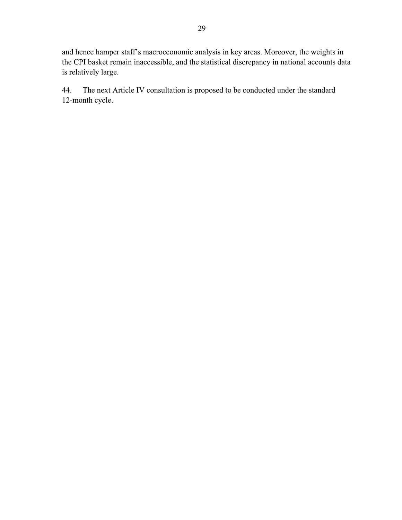and hence hamper staff's macroeconomic analysis in key areas. Moreover, the weights in the CPI basket remain inaccessible, and the statistical discrepancy in national accounts data is relatively large.

44. The next Article IV consultation is proposed to be conducted under the standard 12-month cycle.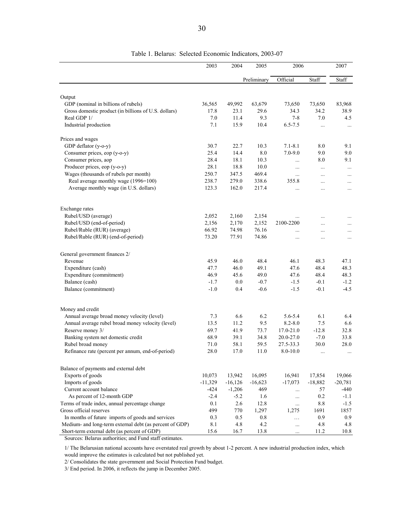|                                                                        | 2003         | 2004           | 2005         | 2006                      |                  | 2007        |
|------------------------------------------------------------------------|--------------|----------------|--------------|---------------------------|------------------|-------------|
|                                                                        |              |                | Preliminary  | Official                  | Staff            | Staff       |
|                                                                        |              |                |              |                           |                  |             |
| Output                                                                 |              |                |              |                           |                  |             |
| GDP (nominal in billions of rubels)                                    | 36,565       | 49,992<br>23.1 | 63,679       | 73,650                    | 73,650<br>34.2   | 83,968      |
| Gross domestic product (in billions of U.S. dollars)<br>Real GDP 1/    | 17.8<br>7.0  | 11.4           | 29.6<br>9.3  | 34.3<br>$7 - 8$           | 7.0              | 38.9<br>4.5 |
| Industrial production                                                  | 7.1          | 15.9           | 10.4         | $6.5 - 7.5$               | $\ldots$         | $\cdots$    |
| Prices and wages                                                       |              |                |              |                           |                  |             |
| GDP deflator (y-o-y)                                                   | 30.7         | 22.7           | 10.3         | $7.1 - 8.1$               | 8.0              | 9.1         |
| Consumer prices, eop (y-o-y)                                           | 25.4         | 14.4           | 8.0          | $7.0 - 9.0$               | 9.0              | 9.0         |
| Consumer prices, aop                                                   | 28.4         | 18.1           | 10.3         |                           | 8.0              | 9.1         |
| Producer prices, eop (y-o-y)                                           | 28.1         | 18.8           | 10.0         | $\cdots$                  |                  |             |
| Wages (thousands of rubels per month)                                  | 250.7        | 347.5          | 469.4        | $\cdots$                  | $\cdots$         | $\ldots$    |
|                                                                        |              |                |              | .                         | .                | $\cdots$    |
| Real average monthly wage (1996=100)                                   | 238.7        | 279.0          | 338.6        | 355.8                     | .                | $\cdots$    |
| Average monthly wage (in U.S. dollars)                                 | 123.3        | 162.0          | 217.4        | .                         | $\cdots$         |             |
| Exchange rates                                                         |              |                |              |                           |                  |             |
| Rubel/USD (average)                                                    | 2,052        | 2,160          | 2,154        |                           |                  |             |
| Rubel/USD (end-of-period)                                              | 2,156        | 2,170          | 2,152        | 2100-2200                 |                  | $\cdots$    |
| Rubel/Ruble (RUR) (average)                                            | 66.92        | 74.98          | 76.16        | .                         | .                | .           |
| Rubel/Ruble (RUR) (end-of-period)                                      | 73.20        | 77.91          | 74.86        |                           | .                |             |
| General government finances 2/                                         |              |                |              |                           |                  |             |
| Revenue                                                                | 45.9         | 46.0           | 48.4         | 46.1                      | 48.3             | 47.1        |
| Expenditure (cash)                                                     | 47.7         | 46.0           | 49.1         | 47.6                      | 48.4             | 48.3        |
| Expenditure (commitment)                                               | 46.9         | 45.6           | 49.0         | 47.6                      | 48.4             | 48.3        |
| Balance (cash)                                                         | $-1.7$       | $0.0\,$        | $-0.7$       | $-1.5$                    | $-0.1$           | $-1.2$      |
| Balance (commitment)                                                   | $-1.0$       | 0.4            | $-0.6$       | $-1.5$                    | $-0.1$           | $-4.5$      |
|                                                                        |              |                |              |                           |                  |             |
| Money and credit<br>Annual average broad money velocity (level)        | 7.3          | 6.6            | 6.2          | 5.6-5.4                   | 6.1              | 6.4         |
| Annual average rubel broad money velocity (level)                      | 13.5         | 11.2           | 9.5          | $8.2 - 8.0$               | 7.5              | 6.6         |
|                                                                        | 69.7         | 41.9           | 73.7         | 17.0-21.0                 | $-12.8$          | 32.8        |
| Reserve money 3/                                                       | 68.9         | 39.1           | 34.8         | 20.0-27.0                 | $-7.0$           | 33.8        |
| Banking system net domestic credit                                     |              |                |              |                           |                  |             |
| Rubel broad money<br>Refinance rate (percent per annum, end-of-period) | 71.0<br>28.0 | 58.1<br>17.0   | 59.5<br>11.0 | 27.5-33.3<br>$8.0 - 10.0$ | 30.0<br>$\cdots$ | 28.0        |
| Balance of payments and external debt                                  |              |                |              |                           |                  |             |
| Exports of goods                                                       | 10,073       | 13,942         | 16,095       | 16,941                    | 17,854           | 19,066      |
| Imports of goods                                                       | $-11,329$    | $-16, 126$     | $-16,623$    | $-17,073$                 | $-18,882$        | $-20,781$   |
| Current account balance                                                | $-424$       | $-1,206$       | 469          |                           | 57               | -440        |
| As percent of 12-month GDP                                             | $-2.4$       | $-5.2$         |              | $\cdots$                  | 0.2              | $-1.1$      |
| Terms of trade index, annual percentage change                         | 0.1          | 2.6            | 1.6<br>12.8  | $\cdots$                  | 8.8              | $-1.5$      |
| Gross official reserves                                                | 499          |                |              | $\cdots$                  |                  |             |
| In months of future imports of goods and services                      |              | 770            | 1,297        | 1,275                     | 1691             | 1857        |
| Medium- and long-term external debt (as percent of GDP)                | 0.3<br>8.1   | 0.5<br>4.8     | 0.8<br>4.2   | $\cdots$                  | 0.9<br>4.8       | 0.9<br>4.8  |
| Short-term external debt (as percent of GDP)                           | 15.6         |                |              | $\cdots$                  |                  |             |
|                                                                        |              | 16.7           | 13.8         | $\ldots$                  | 11.2             | 10.8        |

Table 1. Belarus: Selected Economic Indicators, 2003-07

Sources: Belarus authorities; and Fund staff estimates.

1/ The Belarusian national accounts have overstated real growth by about 1-2 percent. A new industrial production index, which would improve the estimates is calculated but not published yet.

2/ Consolidates the state government and Social Protection Fund budget.

3/ End period. In 2006, it reflects the jump in December 2005.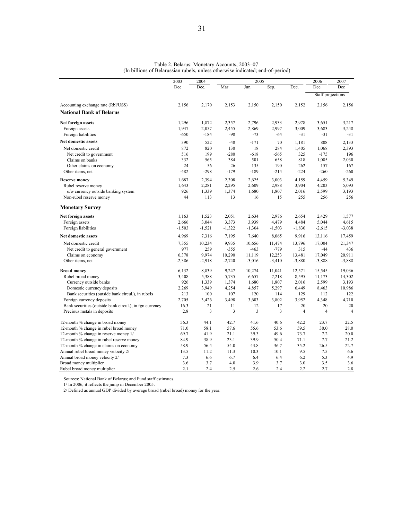|                                                         | 2003              | 2004     |                   | 2005     |                   |                   | 2006              | 2007              |
|---------------------------------------------------------|-------------------|----------|-------------------|----------|-------------------|-------------------|-------------------|-------------------|
|                                                         | Dec               | Dec.     | Mar               | Jun.     | Sep.              | Dec.              | Dec.              | Dec               |
|                                                         |                   |          |                   |          |                   |                   | Staff projections |                   |
| Accounting exchange rate (Rbl/US\$)                     | 2,156             | 2,170    | 2,153             | 2,150    | 2,150             | 2,152             | 2,156             | 2,156             |
| <b>National Bank of Belarus</b>                         |                   |          |                   |          |                   |                   |                   |                   |
| Net foreign assets                                      | 1,296             | 1,872    | 2,357             | 2,796    | 2,933             | 2,978             | 3,651             | 3,217             |
| Foreign assets                                          | 1,947             | 2,057    | 2,455             | 2,869    | 2,997             | 3,009             | 3,683             | 3,248             |
| Foreign liabilities                                     | $-650$            | $-184$   | $-98$             | $-73$    | $-64$             | $-31$             | $-31$             | $-31$             |
| Net domestic assets                                     | 390               | 522      | $-48$             | $-171$   | 70                | 1,181             | 808               | 2,133             |
| Net domestic credit                                     | 872               | 820      | 130               | 18       | 284               | 1,405             | 1,068             | 2,393             |
| Net credit to government                                | 516               | 199      | $-280$            | $-618$   | $-565$            | 325               | $-175$            | 196               |
| Claims on banks                                         | 332               | 565      | 384               | 501      | 658               | 818               | 1,085             | 2,030             |
| Other claims on economy                                 | 24                | 56       | 26                | 135      | 190               | 262               | 157               | 167               |
| Other items, net                                        | $-482$            | $-298$   | $-179$            | $-189$   | $-214$            | $-224$            | $-260$            | $-260$            |
| <b>Reserve money</b>                                    | 1,687             | 2,394    | 2,308             | 2,625    | 3,003             | 4,159             | 4,459             | 5,349             |
| Rubel reserve money                                     | 1,643             | 2,281    | 2,295             | 2,609    | 2,988             | 3,904             | 4,203             | 5,093             |
| o/w currency outside banking system                     | 926               | 1,339    | 1,374             | 1,680    | 1,807             | 2,016             | 2,599             | 3,193             |
| Non-rubel reserve money                                 | 44                | 113      | 13                | 16       | 15                | 255               | 256               | 256               |
| <b>Monetary Survey</b>                                  |                   |          |                   |          |                   |                   |                   |                   |
|                                                         | 1,163             | 1,523    | 2,051             | 2,634    | 2,976             | 2,654             | 2,429             | 1,577             |
| Net foreign assets                                      |                   | 3,044    |                   | 3,939    |                   |                   | 5,044             |                   |
| Foreign assets<br>Foreign liabilities                   | 2,666<br>$-1,503$ | $-1,521$ | 3,373<br>$-1,322$ | $-1,304$ | 4,479<br>$-1,503$ | 4,484<br>$-1,830$ | $-2,615$          | 4,615<br>$-3,038$ |
|                                                         |                   |          |                   |          |                   |                   |                   |                   |
| Net domestic assets                                     | 4,969             | 7,316    | 7,195             | 7,640    | 8,065             | 9,916             | 13,116            | 17,459            |
| Net domestic credit                                     | 7,355             | 10,234   | 9,935             | 10,656   | 11,474            | 13,796            | 17,004            | 21,347            |
| Net credit to general government                        | 977               | 259      | $-355$            | $-463$   | $-779$            | 315               | $-44$             | 436               |
| Claims on economy                                       | 6,378             | 9,974    | 10,290            | 11,119   | 12,253            | 13,481            | 17,049            | 20,911            |
| Other items, net                                        | $-2,386$          | $-2,918$ | $-2,740$          | $-3,016$ | $-3,410$          | $-3,880$          | $-3,888$          | $-3,888$          |
| <b>Broad money</b>                                      | 6,132             | 8,839    | 9,247             | 10,274   | 11,041            | 12,571            | 15,545            | 19,036            |
| Rubel broad money                                       | 3,408             | 5,388    | 5,735             | 6,657    | 7,218             | 8,595             | 11,173            | 14,302            |
| Currency outside banks                                  | 926               | 1,339    | 1,374             | 1,680    | 1,807             | 2,016             | 2,599             | 3,193             |
| Domestic currency deposits                              | 2,269             | 3,949    | 4,254             | 4,857    | 5,297             | 6,449             | 8,463             | 10,986            |
| Bank securities (outside bank circul.), in rubels       | 213               | 100      | 107               | 120      | 114               | 129               | 112               | 122               |
| Foreign currency deposits                               | 2,705             | 3,426    | 3,498             | 3,603    | 3,802             | 3,952             | 4,348             | 4,710             |
| Bank securities (outside bank circul.), in fgn currency | 16.3              | 21       | 11                | 12       | 17                | 20                | 20                | 20                |
| Precious metals in deposits                             | 2.8               | 3        | 3                 | 3        | 3                 | $\overline{4}$    | $\overline{4}$    | $\overline{4}$    |
| 12-month % change in broad money                        | 56.3              | 44.1     | 42.7              | 41.6     | 40.6              | 42.2              | 23.7              | 22.5              |
| 12-month % change in rubel broad money                  | 71.0              | 58.1     | 57.6              | 55.6     | 53.6              | 59.5              | 30.0              | 28.0              |
| 12-month % change in reserve money 1/                   | 69.7              | 41.9     | 21.1              | 39.3     | 49.6              | 73.7              | 7.2               | 20.0              |
| 12-month % change in rubel reserve money                | 84.9              | 38.9     | 23.1              | 39.9     | 50.4              | 71.1              | 7.7               | 21.2              |
| 12-month % change in claims on economy                  | 58.9              | 56.4     | 54.0              | 43.8     | 36.7              | 35.2              | 26.5              | 22.7              |
| Annual rubel broad money velocity 2/                    | 13.5              | 11.2     | 11.3              | 10.3     | 10.1              | 9.5               | 7.5               | 6.6               |
| Annual broad money velocity 2/                          | 7.3               | 6.6      | 6.7               | 6.4      | 6.4               | 6.2               | 5.3               | 4.9               |
| Broad money multiplier                                  | 3.6               | 3.7      | 4.0               | 3.9      | 3.7               | 3.0               | 3.5               | 3.6               |
| Rubel broad money multiplier                            | 2.1               | 2.4      | 2.5               | 2.6      | 2.4               | 2.2               | 2.7               | 2.8               |

Table 2. Belarus: Monetary Accounts, 2003–07 (In billions of Belarussian rubels, unless otherwise indicated; end-of-period)

Sources: National Bank of Belarus; and Fund staff estimates.

1/ In 2006, it reflects the jump in December 2005.

2/ Defined as annual GDP divided by average broad (rubel broad) money for the year.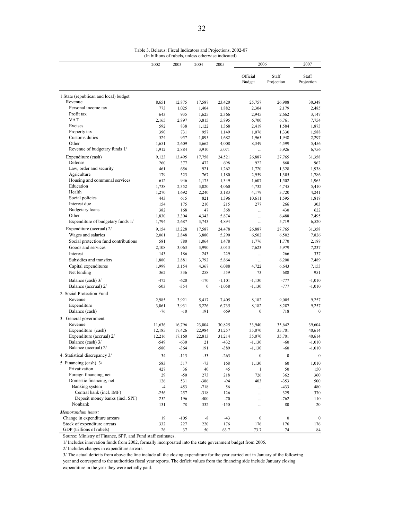Table 3. Belarus: Fiscal Indicators and Projections, 2002-07 (In billions of rubels, unless otherwise indicated)

|                                        | 2002       | 2003       | 2004             | 2005           | 2006               |                     | 2007                |
|----------------------------------------|------------|------------|------------------|----------------|--------------------|---------------------|---------------------|
|                                        |            |            |                  |                | Official<br>Budget | Staff<br>Projection | Staff<br>Projection |
| 1. State (republican and local) budget |            |            |                  |                |                    |                     |                     |
| Revenue                                | 8,651      | 12,875     | 17,587           | 23,420         | 25,757             | 26,988              | 30,348              |
| Personal income tax                    | 773        | 1,025      | 1,404            | 1,882          | 2,304              | 2,179               | 2,485               |
| Profit tax                             | 643        | 935        | 1,625            | 2,366          | 2,945              | 2,662               | 3,147               |
| VAT<br>Excises                         | 2,165      | 2,897      | 3,815            | 5,895          | 6,700              | 6,761               | 7,754               |
| Property tax                           | 592<br>390 | 838        | 1,122<br>957     | 1,368<br>1,149 | 2,419              | 1,584               | 1,873               |
| Customs duties                         | 524        | 731<br>957 | 1,095            | 1,682          | 1,076<br>1,965     | 1,330<br>1,948      | 1,588<br>2,297      |
| Other                                  | 1,651      | 2,609      | 3,662            | 4,008          | 8,349              | 4,599               | 5,456               |
| Revenue of budgetary funds 1/          | 1,912      | 2,884      | 3,910            | 5,071          | $\cdots$           | 5,926               | 6,756               |
| Expenditure (cash)                     | 9,123      | 13,495     | 17,758           | 24,521         | 26,887             | 27,765              | 31,358              |
| Defense                                | 260        | 377        | 472              | 698            | 922                | 868                 | 962                 |
| Law, order and security                | 461        | 656        | 921              | 1,262          | 1,720              | 1,328               | 1,938               |
| Agriculture                            | 179        | 523        | 767              | 1,180          | 2,959              | 1,305               | 1,786               |
| Housing and communal services          | 612        | 946        | 1,175            | 1,349          | 1,607              | 1,502               | 1,965               |
| Education                              | 1,738      | 2,352      | 3,020            | 4,060          | 4,732              | 4,745               | 5,410               |
| Health                                 | 1,270      | 1,692      | 2,240            | 3,183          | 4,179              | 3,720               | 4,241               |
| Social policies                        | 443        | 615        | 821              | 1,396          | 10,611             | 1,595               | 1,818               |
| Interest due                           | 154        | 175        | 210              | 215            | 277                | 266                 | 303                 |
| <b>Budgetary</b> loans                 | 382        | 168        | 47               | 368            | $\cdots$           | 430                 | 622                 |
| Other                                  | 1,830      | 3,304      | 4,343            | 5,874          | $\dddotsc$         | 6,488               | 7,495               |
| Expenditure of budgetary funds 1/      | 1,794      | 2,687      | 3,743            | 4,894          | $\ldots$           | 5,719               | 6,520               |
| Expenditure (accrual) 2/               | 9,154      | 13,228     | 17,587           | 24,478         | 26,887             | 27,765              | 31,358              |
| Wages and salaries                     | 2,061      | 2,848      | 3,880            | 5,290          | 6,502              | 6,502               | 7,826               |
| Social protection fund contributions   | 581        | 780        | 1,064            | 1,478          | 1,776              | 1,770               | 2,188               |
| Goods and services                     | 2,108      | 3,063      | 3,990            | 5,013          | 7,623              | 5,979               | 7,237               |
| Interest                               | 143        | 186        | 243              | 229            |                    | 266                 | 337                 |
| Subsidies and transfers                | 1,880      | 2,881      | 3,792            | 5,864          |                    | 6,200               | 7,489               |
| Capital expenditures                   | 1,999      | 3,154      | 4,367            | 6,088          | 4,722              | 6,643               | 7,153               |
| Net lending                            | 362        | 336        | 258              | 559            | 73                 | 688                 | 951                 |
| Balance (cash) 3/                      | $-472$     | $-620$     | $-170$           | $-1,101$       | $-1,130$           | $-777$              | $-1,010$            |
| Balance (accrual) 2/                   | $-503$     | $-354$     | $\boldsymbol{0}$ | $-1,058$       | $-1,130$           | $-777$              | $-1,010$            |
| 2. Social Protection Fund              |            |            |                  |                |                    |                     |                     |
| Revenue                                | 2,985      | 3,921      | 5,417            | 7,405          | 8,182              | 9,005               | 9,257               |
| Expenditure                            | 3,061      | 3,931      | 5,226            | 6,735          | 8,182              | 8,287               | 9,257               |
| Balance (cash)                         | -76        | $-10$      | 191              | 669            | $\boldsymbol{0}$   | 718                 | $\bf{0}$            |
| 3. General government                  |            |            |                  |                |                    |                     |                     |
| Revenue                                | 11,636     | 16,796     | 23,004           | 30,825         | 33,940             | 35,642              | 39,604              |
| Expenditure (cash)                     | 12,185     | 17,426     | 22,984           | 31,257         | 35,070             | 35,701              | 40,614              |
| Expenditure (accrual) 2/               | 12,216     | 17,160     | 22,813           | 31,214         | 35,070             | 35,701              | 40,614              |
| Balance (cash) 3/                      | $-549$     | $-630$     | 21               | $-432$         | $-1,130$           | $-60$               | $-1,010$            |
| Balance (accrual) 2/                   | $-580$     | $-364$     | 191              | $-389$         | $-1,130$           | $-60$               | $-1,010$            |
| 4. Statistical discrepancy 3/          | 34         | $-113$     | $-53$            | $-263$         | $\boldsymbol{0}$   | $\boldsymbol{0}$    | $\bf{0}$            |
| 5. Financing (cash) 3/                 | 583        | 517        | $-73$            | 168            | 1,130              | 60                  | 1,010               |
| Privatization                          | 427        | 36         | 40               | 45             | 1                  | 50                  | 150                 |
| Foreign financing, net                 | 29         | $-50$      | 273              | 218            | 726                | 362                 | 360                 |
| Domestic financing, net                | 126        | 531        | $-386$           | $-94$          | 403                | $-353$              | 500                 |
| Banking system                         | $-4$       | 453        | $-718$           | 56             | $\cdots$           | $-433$              | 480                 |
| Central bank (incl. IMF)               | $-256$     | 257        | $-318$           | 126            |                    | 329                 | 370                 |
| Deposit money banks (incl. SPF)        | 252        | 196        | $-400$           | $-70$          |                    | $-762$              | 110                 |
| Nonbank                                | 131        | 78         | 332              | $-150$         |                    | 80                  | 20                  |
| Memorandum items:                      |            |            |                  |                |                    |                     |                     |
| Change in expenditure arrears          | 19         | $-105$     | -8               | $-43$          | $\boldsymbol{0}$   | $\boldsymbol{0}$    | $\boldsymbol{0}$    |
| Stock of expenditure arrears           | 332        | 227        | 220              | 176            | 176                | 176                 | 176                 |
| GDP (trillions of rubels)              | 26         | 37         | 50               | 63.7           | 73.7               | 74                  | 84                  |

Source: Ministry of Finance, SPF, and Fund staff estimates.

1/ Includes innovation funds from 2002, formally incorporated into the state government budget from 2005.

2/ Includes changes in expenditure arrears.

3/ The actual deficits from above the line include all the closing expenditure for the year carried out in January of the following year and correspond to the authorities fiscal year reports. The deficit values from the financing side include January closing expenditure in the year they were actually paid.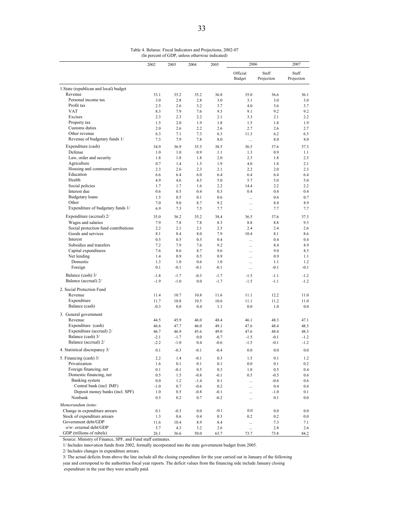|                                                            | 2002       | 2003          | 2004       | 2005       | 2006                      |                     | 2007                |
|------------------------------------------------------------|------------|---------------|------------|------------|---------------------------|---------------------|---------------------|
|                                                            |            |               |            |            | Official<br><b>Budget</b> | Staff<br>Projection | Staff<br>Projection |
| 1. State (republican and local) budget                     |            |               |            |            |                           |                     |                     |
| Revenue                                                    | 33.1       | 35.2          | 35.2       | 36.8       | 35.0                      | 36.6                | 36.1                |
| Personal income tax                                        | 3.0        | 2.8           | 2.8        | 3.0        | 3.1                       | 3.0                 | 3.0                 |
| Profit tax                                                 | 2.5        | 2.6           | 3.2        | 3.7        | 4.0                       | 3.6                 | 3.7                 |
| <b>VAT</b>                                                 | 8.3        | 7.9           | 7.6        | 9.3        | 9.1                       | 9.2                 | 9.2                 |
| Excises                                                    | 2.3        | 2.3           | 2.2        | 2.1        | 3.3                       | 2.1                 | 2.2                 |
| Property tax<br>Customs duties                             | 1.5<br>2.0 | 2.0<br>2.6    | 1.9<br>2.2 | 1.8<br>2.6 | 1.5<br>2.7                | 1.8<br>2.6          | 1.9<br>2.7          |
| Other revenue                                              | 6.3        | 7.1           | 7.3        | 6.3        | 11.3                      | 6.2                 | 6.5                 |
| Revenue of budgetary funds 1/                              | 7.3        | 7.9           | 7.8        | 8.0        | $\cdots$                  | 8.0                 | 8.0                 |
| Expenditure (cash)                                         | 34.9       | 36.9          | 35.5       | 38.5       | 36.5                      | 37.6                | 37.3                |
| Defense                                                    | 1.0        | 1.0           | 0.9        | 1.1        | 1.3                       | 0.9                 | 1.1                 |
| Law, order and security                                    | 1.8        | 1.8           | 1.8        | 2.0        | 2.3                       | 1.8                 | 2.3                 |
| Agriculture                                                | 0.7        | 1.4           | 1.5        | 1.9        | 4.0                       | 1.8                 | 2.1                 |
| Housing and communal services                              | 2.3        | 2.6           | 2.3        | 2.1        | 2.2                       | 2.0                 | 2.3                 |
| Education                                                  | 6.6        | 6.4           | 6.0        | 6.4        | 6.4                       | 6.4                 | 6.4                 |
| Health                                                     | 4.9        | 4.6           | 4.5        | 5.0        | 5.7                       | 5.0                 | 5.0                 |
| Social policies                                            | 1.7        | 1.7           | 1.6        | 2.2        | 14.4                      | 2.2                 | 2.2                 |
| Interest due                                               | 0.6        | 0.5           | 0.4        | 0.3        | 0.4                       | 0.4                 | 0.4                 |
| <b>Budgetary</b> loans                                     | 1.5        | 0.5           | 0.1        | 0.6        |                           | 0.6                 | 0.7                 |
| Other<br>Expenditure of budgetary funds 1/                 | 7.0<br>6.9 | 9.0<br>7.3    | 8.7<br>7.5 | 9.2<br>7.7 | $\ddotsc$                 | 8.8<br>7.7          | 8.9<br>7.7          |
|                                                            |            |               |            |            |                           |                     |                     |
| Expenditure (accrual) 2/                                   | 35.0       | 36.2          | 35.2       | 38.4       | 36.5                      | 37.6                | 37.3                |
| Wages and salaries                                         | 7.9        | 7.8           | 7.8        | 8.3        | 8.8                       | 8.8                 | 9.3                 |
| Social protection fund contributions<br>Goods and services | 2.2<br>8.1 | 2.1<br>8.4    | 2.1<br>8.0 | 2.3<br>7.9 | 2.4<br>10.4               | 2.4<br>8.1          | 2.6<br>8.6          |
| Interest                                                   | 0.5        | 0.5           | 0.5        | 0.4        |                           | 0.4                 | 0.4                 |
| Subsidies and transfers                                    | 7.2        | 7.9           | 7.6        | 9.2        | $\ddotsc$<br>             | 8.4                 | 8.9                 |
| Capital expenditures                                       | 7.6        | 8.6           | 8.7        | 9.6        | $\ddotsc$                 | 9.0                 | 8.5                 |
| Net lending                                                | 1.4        | 0.9           | 0.5        | 0.9        |                           | 0.9                 | 1.1                 |
| Domestic                                                   | 1.3        | 1.0           | 0.6        | 1.0        |                           | 1.1                 | 1.2                 |
| Foreign                                                    | 0.1        | $-0.1$        | $-0.1$     | $-0.1$     |                           | $-0.1$              | $-0.1$              |
| Balance (cash) 3/                                          | $-1.8$     | $-1.7$        | $-0.3$     | $-1.7$     | $-1.5$                    | $-1.1$              | $-1.2$              |
| Balance (accrual) 2/                                       | $-1.9$     | $-1.0$        | 0.0        | $-1.7$     | $-1.5$                    | $-1.1$              | $-1.2$              |
| 2. Social Protection Fund                                  |            |               |            |            |                           |                     |                     |
| Revenue                                                    | 11.4       | 10.7          | 10.8       | 11.6       | 11.1                      | 12.2                | 11.0                |
| Expenditure                                                | 11.7       | 10.8          | 10.5       | 10.6       | 11.1                      | 11.2                | 11.0                |
| Balance (cash)                                             | $-0.3$     | 0.0           | 0.4        | 1.1        | 0.0                       | 1.0                 | 0.0                 |
| 3. General government                                      |            |               |            |            |                           |                     |                     |
| Revenue                                                    | 44.5       | 45.9          | 46.0       | 48.4       | 46.1                      | 48.3                | 47.1                |
| Expenditure (cash)                                         | 46.6       | 47.7          | 46.0       | 49.1       | 47.6                      | 48.4                | 48.3                |
| Expenditure (accrual) 2/                                   | 46.7       | 46.9          | 45.6       | 49.0       | 47.6                      | 48.4                | 48.3                |
| Balance (cash) 3/                                          | $-2.1$     | $-1.7$        | 0.0        | $-0.7$     | $-1.5$                    | $-0.1$              | $-1.2$              |
| Balance (accrual) 2/                                       | $-2.2$     | $-1.0$        | 0.4        | $-0.6$     | $-1.5$                    | $-0.1$              | $-1.2$              |
| 4. Statistical discrepancy 3/                              | 0.1        | $-0.3$        | $-0.1$     | $-0.4$     | 0.0                       | 0.0                 | 0.0                 |
| 5. Financing (cash) 3/                                     | $2.2\,$    | $1.4$         | $-0.1$     | 0.3        | 1.5                       | 0.1                 | 1.2                 |
| Privatization                                              | 1.6        | 0.1           | $0.1\,$    | 0.1        | $0.0\,$                   | 0.1                 | 0.2                 |
| Foreign financing, net                                     | 0.1        | $-0.1$        | 0.5        | 0.3        | 1.0                       | 0.5                 | 0.4                 |
| Domestic financing, net                                    | 0.5        | 1.5           | $-0.8$     | $-0.1$     | 0.5                       | $-0.5$              | 0.6                 |
| Banking system                                             | $0.0\,$    | 1.2           | $-1.4$     | 0.1        |                           | $-0.6$              | 0.6                 |
| Central bank (incl. IMF)                                   | $-1.0$     | 0.7           | $-0.6$     | 0.2        |                           | 0.4                 | 0.4                 |
| Deposit money banks (incl. SPF)<br>Nonbank                 | $1.0\,$    | 0.5           | $-0.8$     | $-0.1$     |                           | $-1.0$              | 0.1                 |
|                                                            | 0.5        | 0.2           | 0.7        | $-0.2$     |                           | 0.1                 | 0.0                 |
| Memorandum items:<br>Change in expenditure arrears         | 0.1        |               | 0.0        | $-0.1$     | 0.0                       | $0.0\,$             |                     |
| Stock of expenditure arrears                               | 1.3        | $-0.3$<br>0.6 | 0.4        | 0.3        | 0.2                       | 0.2                 | 0.0<br>0.0          |
| Government debt/GDP                                        | 11.6       | 10.4          | 8.9        | 8.4        |                           | 7.3                 | 7.1                 |
| o/w: external debt/GDP                                     | 5.7        | 4.3           | 3.2        | 2.6        |                           | 2.8                 | 2.6                 |
| GDP (trillions of rubels)                                  | 26.1       | 36.6          | 50.0       | 63.7       | 73.7                      | 73.8                | 84.2                |

Table 4. Belarus: Fiscal Indicators and Projections, 2002-07 (In percent of GDP, unless otherwise indicated)

Source: Ministry of Finance, SPF, and Fund staff estimates.

1/ Includes innovation funds from 2002, formally incorporated into the state government budget from 2005.

2/ Includes changes in expenditure arrears.

3/ The actual deficits from above the line include all the closing expenditure for the year carried out in January of the following

year and correspond to the authorities fiscal year reports. The deficit values from the financing side include January closing

expenditure in the year they were actually paid.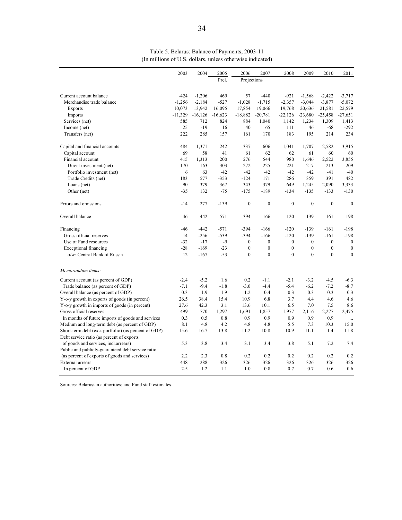|                                                      | 2003      | 2004       | 2005      | 2006             | 2007             | 2008             | 2009             | 2010             | 2011             |
|------------------------------------------------------|-----------|------------|-----------|------------------|------------------|------------------|------------------|------------------|------------------|
|                                                      |           |            | Prel.     | Projections      |                  |                  |                  |                  |                  |
| Current account balance                              | $-424$    | $-1,206$   | 469       | 57               | $-440$           | $-921$           | $-1,568$         | $-2,422$         | $-3,717$         |
| Merchandise trade balance                            | $-1,256$  | $-2,184$   | $-527$    | $-1,028$         | $-1,715$         | $-2,357$         | $-3,044$         | $-3,877$         | $-5,072$         |
| <b>Exports</b>                                       | 10,073    | 13,942     | 16,095    | 17,854           | 19,066           | 19,768           | 20,636           | 21,581           | 22,579           |
| Imports                                              | $-11,329$ | $-16, 126$ | $-16,623$ | $-18,882$        | $-20,781$        | $-22,126$        | $-23,680$        | $-25,458$        | $-27,651$        |
| Services (net)                                       | 585       | 712        | 824       | 884              | 1,040            | 1,142            | 1,234            | 1,309            | 1,413            |
| Income (net)                                         | 25        | $-19$      | 16        | 40               | 65               | 111              | 46               | $-68$            | $-292$           |
| Transfers (net)                                      | 222       | 285        | 157       | 161              | 170              | 183              | 195              | 214              | 234              |
| Capital and financial accounts                       | 484       | 1,371      | 242       | 337              | 606              | 1,041            | 1,707            | 2,582            | 3,915            |
| Capital account                                      | 69        | 58         | 41        | 61               | 62               | 62               | 61               | 60               | 60               |
| Financial account                                    | 415       | 1,313      | 200       | 276              | 544              | 980              | 1,646            | 2,522            | 3,855            |
| Direct investment (net)                              | 170       | 163        | 303       | 272              | 225              | 221              | 217              | 213              | 209              |
| Portfolio investment (net)                           | 6         | 63         | $-42$     | $-42$            | $-42$            | $-42$            | $-42$            | $-41$            | $-40$            |
| Trade Credits (net)                                  | 183       | 577        | $-353$    | $-124$           | 171              | 286              | 359              | 391              | 482              |
| Loans (net)                                          | 90        | 379        | 367       | 343              | 379              | 649              | 1,245            | 2,090            | 3,333            |
| Other (net)                                          | $-35$     | 132        | $-75$     | $-175$           | $-189$           | $-134$           | $-135$           | $-133$           | $-130$           |
| Errors and omissions                                 | $-14$     | 277        | $-139$    | $\boldsymbol{0}$ | $\mathbf{0}$     | $\mathbf{0}$     | $\mathbf{0}$     | $\mathbf{0}$     | $\mathbf{0}$     |
| Overall balance                                      | 46        | 442        | 571       | 394              | 166              | 120              | 139              | 161              | 198              |
| Financing                                            | -46       | $-442$     | $-571$    | $-394$           | $-166$           | $-120$           | $-139$           | $-161$           | $-198$           |
| Gross official reserves                              | 14        | $-256$     | $-539$    | $-394$           | $-166$           | $-120$           | $-139$           | $-161$           | $-198$           |
| Use of Fund resources                                | $-32$     | $-17$      | $-9$      | $\mathbf{0}$     | $\mathbf{0}$     | $\mathbf{0}$     | $\mathbf{0}$     | $\mathbf{0}$     | $\boldsymbol{0}$ |
| <b>Exceptional financing</b>                         | $-28$     | $-169$     | $-23$     | $\boldsymbol{0}$ | $\boldsymbol{0}$ | $\boldsymbol{0}$ | $\boldsymbol{0}$ | $\boldsymbol{0}$ | $\boldsymbol{0}$ |
| o/w: Central Bank of Russia                          | 12        | $-167$     | $-53$     | $\mathbf{0}$     | $\mathbf{0}$     | $\theta$         | $\mathbf{0}$     | $\mathbf{0}$     | $\mathbf{0}$     |
| Memorandum items:                                    |           |            |           |                  |                  |                  |                  |                  |                  |
| Current account (as percent of GDP)                  | $-2.4$    | $-5.2$     | 1.6       | 0.2              | $-1.1$           | $-2.1$           | $-3.2$           | $-4.5$           | $-6.3$           |
| Trade balance (as percent of GDP)                    | $-7.1$    | $-9.4$     | $-1.8$    | $-3.0$           | $-4.4$           | $-5.4$           | $-6.2$           | $-7.2$           | $-8.7$           |
| Overall balance (as percent of GDP)                  | 0.3       | 1.9        | 1.9       | 1.2              | 0.4              | 0.3              | 0.3              | 0.3              | 0.3              |
| Y-o-y growth in exports of goods (in percent)        | 26.5      | 38.4       | 15.4      | 10.9             | 6.8              | 3.7              | 4.4              | 4.6              | 4.6              |
| Y-o-y growth in imports of goods (in percent)        | 27.6      | 42.3       | 3.1       | 13.6             | 10.1             | 6.5              | 7.0              | 7.5              | 8.6              |
| Gross official reserves                              | 499       | 770        | 1,297     | 1,691            | 1,857            | 1,977            | 2,116            | 2,277            | 2,475            |
| In months of future imports of goods and services    | 0.3       | 0.5        | 0.8       | 0.9              | 0.9              | 0.9              | 0.9              | 0.9              |                  |
| Medium and long-term debt (as percent of GDP)        | 8.1       | 4.8        | 4.2       | 4.8              | 4.8              | 5.5              | 7.3              | 10.3             | 15.0             |
| Short-term debt (exc. portfolio) (as percent of GDP) | 15.6      | 16.7       | 13.8      | 11.2             | 10.8             | 10.9             | 11.1             | 11.4             | 11.8             |
| Debt service ratio (as percent of exports            |           |            |           |                  |                  |                  |                  |                  |                  |
| of goods and services, incl.arrears)                 | 5.3       | 3.8        | 3.4       | 3.1              | 3.4              | 3.8              | 5.1              | 7.2              | 7.4              |
| Public and publicly-guaranteed debt service ratio    |           |            |           |                  |                  |                  |                  |                  |                  |
| (as percent of exports of goods and services)        | 2.2       | 2.3        | 0.8       | 0.2              | 0.2              | 0.2              | 0.2              | 0.2              | 0.2              |
| <b>External arrears</b>                              | 448       | 288        | 326       | 326              | 326              | 326              | 326              | 326              | 326              |
| In percent of GDP                                    | 2.5       | 1.2        | 1.1       | 1.0              | 0.8              | 0.7              | 0.7              | 0.6              | 0.6              |

Table 5. Belarus: Balance of Payments, 2003-11 (In millions of U.S. dollars, unless otherwise indicated)

Sources: Belarusian authorities; and Fund staff estimates.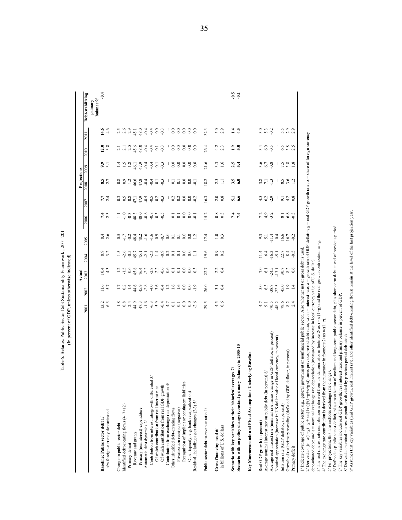|                                                                                                                                                                                                                                                                                                                                                                                                                                                                                                                                                                                                                                                                                                                                                         |                                            |                                 | Actual                                            |                                                                                                                               |                               |                                                                       |                                            | Projections         |                           |                                                              |                             |                       |
|---------------------------------------------------------------------------------------------------------------------------------------------------------------------------------------------------------------------------------------------------------------------------------------------------------------------------------------------------------------------------------------------------------------------------------------------------------------------------------------------------------------------------------------------------------------------------------------------------------------------------------------------------------------------------------------------------------------------------------------------------------|--------------------------------------------|---------------------------------|---------------------------------------------------|-------------------------------------------------------------------------------------------------------------------------------|-------------------------------|-----------------------------------------------------------------------|--------------------------------------------|---------------------|---------------------------|--------------------------------------------------------------|-----------------------------|-----------------------|
|                                                                                                                                                                                                                                                                                                                                                                                                                                                                                                                                                                                                                                                                                                                                                         | 2001                                       | 2002                            | 2003                                              | 2004                                                                                                                          | 2005                          | 2006                                                                  | 2007                                       | 2008                | 2009                      | 2010                                                         | <b>201</b>                  | Debt-stabilizing      |
|                                                                                                                                                                                                                                                                                                                                                                                                                                                                                                                                                                                                                                                                                                                                                         |                                            |                                 |                                                   |                                                                                                                               |                               |                                                                       |                                            |                     |                           |                                                              |                             | balance 9/<br>primary |
| Baseline: Public sector debt 1/                                                                                                                                                                                                                                                                                                                                                                                                                                                                                                                                                                                                                                                                                                                         | $13.2$<br>6.3                              | $11.6$<br>5.7                   | 10.4                                              | $8.9$<br>3.2                                                                                                                  | $8.4$<br>2.6                  | 7.4                                                                   | $7.7$<br>2.4                               | $8.5$<br>2.7        | 9.3.1                     | 12.8                                                         | 14.6                        | $-9.4$                |
| o/w foreign-currency denominated                                                                                                                                                                                                                                                                                                                                                                                                                                                                                                                                                                                                                                                                                                                        |                                            |                                 | 4.3                                               |                                                                                                                               |                               |                                                                       |                                            |                     |                           |                                                              | 4.6                         |                       |
| Change in public sector debt                                                                                                                                                                                                                                                                                                                                                                                                                                                                                                                                                                                                                                                                                                                            |                                            |                                 |                                                   |                                                                                                                               |                               |                                                                       |                                            |                     |                           |                                                              |                             |                       |
| Identified debt-creating flows (4+7+12)                                                                                                                                                                                                                                                                                                                                                                                                                                                                                                                                                                                                                                                                                                                 | $-1.8$                                     | $-1.7$<br>0.2                   | $-1.5$                                            | $-1.5$                                                                                                                        | $-1.7$                        | $-1.0$                                                                | 0.3                                        | $_{0.9}^{8.0}$      | 1.4                       | $\frac{2.1}{2.1}$                                            | $2.5$<br>2.6                |                       |
| Primary deficit                                                                                                                                                                                                                                                                                                                                                                                                                                                                                                                                                                                                                                                                                                                                         | 2.4                                        | $\overline{14}$                 |                                                   |                                                                                                                               | $-0.2$                        | $-0.3$                                                                |                                            |                     | $1.8\,$                   |                                                              | 2.9                         |                       |
| Revenue and grants                                                                                                                                                                                                                                                                                                                                                                                                                                                                                                                                                                                                                                                                                                                                      |                                            |                                 | $0.6$<br>45.8                                     | $-0.5$                                                                                                                        |                               | 48.3                                                                  | $\begin{array}{c} 0.8 \\ 47.1 \end{array}$ |                     |                           |                                                              | 45.1                        |                       |
| Primary (noninterest) expenditure                                                                                                                                                                                                                                                                                                                                                                                                                                                                                                                                                                                                                                                                                                                       | 44.9<br>47.3                               | $44.9$<br>$45.8$                | 46.4                                              | 45.1                                                                                                                          |                               | 48.0                                                                  | 47.9                                       | $1.2$<br>$4.6$ 8    | 46.1<br>47.9              | $2.5$<br>$4.5$ 0                                             | 48.0                        |                       |
| Automatic debt dynamics 2/                                                                                                                                                                                                                                                                                                                                                                                                                                                                                                                                                                                                                                                                                                                              |                                            |                                 |                                                   |                                                                                                                               |                               |                                                                       | $-0.5$                                     | $-0.4$              | $-0.4$                    | $-0.4$                                                       | $-0.4$                      |                       |
| Contribution from interest rate/growth differential 3/                                                                                                                                                                                                                                                                                                                                                                                                                                                                                                                                                                                                                                                                                                  | $-1, 6, 9, 9, 4$                           | $-4.0$                          | $2820$<br>$2820$                                  | 7, 7, 7, 9                                                                                                                    |                               | $-0.8$                                                                | $-0.5$                                     | $-0.4$              | $-0.4$                    | $-0.4$                                                       | $-0.4$                      |                       |
| Of which contribution from real interest rate                                                                                                                                                                                                                                                                                                                                                                                                                                                                                                                                                                                                                                                                                                           |                                            | $-3.6$                          |                                                   |                                                                                                                               |                               |                                                                       | $-0.2$                                     |                     |                           |                                                              |                             |                       |
|                                                                                                                                                                                                                                                                                                                                                                                                                                                                                                                                                                                                                                                                                                                                                         |                                            | $-0.4$                          |                                                   |                                                                                                                               |                               | $^{0.3}_{0.5}$                                                        | $-0.3$                                     | $-0.3$              | $-0.3$                    | $-0.3$                                                       | $rac{6}{9}$                 |                       |
| Of which contribution from real GDP growth<br>Contribution from exchange rate depreciation $4/\sqrt{2}$                                                                                                                                                                                                                                                                                                                                                                                                                                                                                                                                                                                                                                                 | $4.7$                                      | 1.2                             | 0.6                                               | 0.2                                                                                                                           | $_{\rm 0.0}$                  |                                                                       | ÷                                          |                     |                           |                                                              | Ĵ.                          |                       |
| Other identified debt-creating flows                                                                                                                                                                                                                                                                                                                                                                                                                                                                                                                                                                                                                                                                                                                    |                                            | 1.6                             | $\overline{\circ}$                                | $\overline{0}$ .                                                                                                              |                               |                                                                       | 0.2                                        |                     |                           | $_{0.0}$                                                     | $_{0.0}$                    |                       |
| Privatization receipts (negative)                                                                                                                                                                                                                                                                                                                                                                                                                                                                                                                                                                                                                                                                                                                       | $\begin{array}{c} 1 \\ 0 \\ 1 \end{array}$ | 1.6                             | $\overline{0}$ .                                  | $\overline{0}$ .                                                                                                              | $\overline{c}$ $\overline{c}$ | $\frac{1}{6}$ $\frac{1}{6}$ $\frac{0}{6}$ $\frac{0}{6}$ $\frac{0}{6}$ | 0.2                                        | $\overline{0}$ .1   | $_{0.0}^{0.0}$            | $_{0.0}$                                                     | $_{0.0}$                    |                       |
| Recognition of implicit or contingent liabilities                                                                                                                                                                                                                                                                                                                                                                                                                                                                                                                                                                                                                                                                                                       | $\overline{0}$ .                           | $_{0.0}$                        |                                                   | $_{0.0}$                                                                                                                      | $_{0.0}$                      |                                                                       | $_{0.0}$                                   |                     | $_{0.0}$                  | $_{0.0}$                                                     | $\overline{0.0}$            |                       |
| Other (specify, e.g. bank recapitalization)                                                                                                                                                                                                                                                                                                                                                                                                                                                                                                                                                                                                                                                                                                             | $_{\rm 0.0}$                               | $\overline{0.0}$                |                                                   | $_{0.0}$                                                                                                                      | $_{0.0}$                      |                                                                       | $_{\rm 0.0}$                               | $_{0.0}^{0.0}$      | $_{0.0}$                  | $_{0.0}$                                                     | $_{0.0}$                    |                       |
| Residual, including asset changes (2-3) 5/                                                                                                                                                                                                                                                                                                                                                                                                                                                                                                                                                                                                                                                                                                              | 2.6                                        | $\frac{1}{2}$                   | 3000                                              | $\Box$                                                                                                                        | $\overline{12}$               | $\overline{5}$                                                        | 0.2                                        | $\overline{Q}$      | $\overline{0}$ .          |                                                              |                             |                       |
|                                                                                                                                                                                                                                                                                                                                                                                                                                                                                                                                                                                                                                                                                                                                                         |                                            |                                 |                                                   |                                                                                                                               |                               |                                                                       |                                            |                     |                           |                                                              |                             |                       |
| Public sector debt-to-revenue ratio 1/                                                                                                                                                                                                                                                                                                                                                                                                                                                                                                                                                                                                                                                                                                                  | 29.5                                       | 26.0                            | 22.7                                              | 19.6                                                                                                                          | 17.4                          | 15.2                                                                  | 16.3                                       | 18.2                | 21.6                      | 26.4                                                         | 32.3                        |                       |
| Gross financing need 6/                                                                                                                                                                                                                                                                                                                                                                                                                                                                                                                                                                                                                                                                                                                                 | 4.5                                        |                                 |                                                   | $_{0.9}$                                                                                                                      |                               |                                                                       |                                            |                     |                           |                                                              |                             |                       |
| in billions of U.S. dollars                                                                                                                                                                                                                                                                                                                                                                                                                                                                                                                                                                                                                                                                                                                             | 0.6                                        | $3.\overline{1}$<br>0.4         | $2.\overline{2}$<br>0.4                           | 0.2                                                                                                                           | $1.0$<br>0.3                  | $0.8$<br>0.3                                                          | $2.0$<br>0.8                               | $2.5$<br>1.1        | $3.3$<br>1.6              | $4.2$<br>2.3                                                 | $5.0$<br>2.9                |                       |
|                                                                                                                                                                                                                                                                                                                                                                                                                                                                                                                                                                                                                                                                                                                                                         |                                            |                                 |                                                   |                                                                                                                               |                               |                                                                       |                                            |                     |                           |                                                              |                             |                       |
| Scenario with key variables at their historical averages 7/                                                                                                                                                                                                                                                                                                                                                                                                                                                                                                                                                                                                                                                                                             |                                            |                                 |                                                   |                                                                                                                               |                               | 7 4<br>7 4                                                            | 5.1                                        | $3.5$<br>6.0        | 2.5                       | $\frac{2}{5}$ .0                                             | $\frac{4}{1}$ $\frac{4}{1}$ | $50-$<br>$-0.1$       |
| Scenario with no policy change (constant primary balance) in 2005-10                                                                                                                                                                                                                                                                                                                                                                                                                                                                                                                                                                                                                                                                                    |                                            |                                 |                                                   |                                                                                                                               |                               |                                                                       |                                            |                     |                           |                                                              |                             |                       |
| Key Macroeconomic and Fiscal Assumptions Underlying Baseline                                                                                                                                                                                                                                                                                                                                                                                                                                                                                                                                                                                                                                                                                            |                                            |                                 |                                                   |                                                                                                                               |                               |                                                                       |                                            |                     |                           |                                                              |                             |                       |
| Real GDP growth (in percent)                                                                                                                                                                                                                                                                                                                                                                                                                                                                                                                                                                                                                                                                                                                            | 4.7                                        |                                 |                                                   |                                                                                                                               |                               |                                                                       |                                            |                     |                           | 3.4                                                          |                             |                       |
| Average nominal interest rate on public debt (in percent) 8/                                                                                                                                                                                                                                                                                                                                                                                                                                                                                                                                                                                                                                                                                            |                                            |                                 | $7.0$<br>$6.1$<br>$24.5$                          |                                                                                                                               |                               | 7992                                                                  | $4.5$<br>$6.2$<br>$2.9$                    | $3.8$<br>7.1<br>3.3 | $3.6$<br>$6.7$<br>$9.8$   | 6.0                                                          | 3.300                       |                       |
| Average real interest rate (nominal rate minus change in GDP deflator, in percent)                                                                                                                                                                                                                                                                                                                                                                                                                                                                                                                                                                                                                                                                      | $-70.5$                                    |                                 |                                                   |                                                                                                                               |                               |                                                                       |                                            |                     |                           | $-0.5$                                                       |                             |                       |
| Nominal appreciation (increase in US dollar value of local currency, in percent)                                                                                                                                                                                                                                                                                                                                                                                                                                                                                                                                                                                                                                                                        | $-48.2$<br>79.6                            | 5.0<br>6.3<br>5.7<br>5.7<br>5.7 | $-13.1$                                           | $\frac{4}{1}$ $\frac{4}{9}$ $\frac{3}{1}$ $\frac{1}{9}$ $\frac{1}{1}$ $\frac{5}{1}$ $\frac{4}{9}$ $\frac{3}{1}$ $\frac{4}{9}$ | 37748979                      | J.                                                                    | ÷                                          | ÷                   | ÷                         | ÷                                                            | ÷                           |                       |
| Inflation rate (GDP deflator, in percent)                                                                                                                                                                                                                                                                                                                                                                                                                                                                                                                                                                                                                                                                                                               |                                            | 45.0                            | $\begin{array}{c} 30.7 \\ 8.2 \\ 0.6 \end{array}$ |                                                                                                                               |                               | $\overline{\phantom{0}}$ 8.1                                          | 9.1                                        | $8.56$<br>$3.6$     | $7.\overline{3}.8$<br>1.8 | $6.800$<br>$-2.500$                                          | 5.300                       |                       |
| Growth of real primary spending (deflated by GDP deflator, in percent)                                                                                                                                                                                                                                                                                                                                                                                                                                                                                                                                                                                                                                                                                  | $8.2\,$                                    | 1.9                             |                                                   |                                                                                                                               |                               | 6.8                                                                   | $4.2$<br>0.8                               |                     |                           |                                                              |                             |                       |
| Primary deficit                                                                                                                                                                                                                                                                                                                                                                                                                                                                                                                                                                                                                                                                                                                                         | 2.4                                        |                                 |                                                   | $-0.5$                                                                                                                        |                               |                                                                       |                                            |                     |                           |                                                              |                             |                       |
| gr.)) times previous period debt ratio, with $r =$ interest rate; $\pi =$ growth rate of GDP deflator; g<br>m the denominator in footnote 2/ as $r - \pi (1 + g)$ and the real growth contribution as -g<br>government or nonfinancial public sector. Also whether net or gross debt is used<br>depreciation (measured by increase in local currency value of U.S. dollar).<br>the numerator in footnote $2/$ as $\alpha\varepsilon(1+r)$ .<br>1/ Indicate coverage of public sector, e.g., general<br>2/ Derived as $[(r - \pi(1+g) - g + \alpha\epsilon(1+r)]/(1+g+\pi+$<br>denominated debt; and $\varepsilon$ = nominal exchange rate<br>3/ The real interest rate contribution is derived fro<br>4/ The exchange rate contribution is derived from |                                            |                                 |                                                   |                                                                                                                               |                               |                                                                       |                                            |                     |                           | = real GDP growth rate; $\alpha$ = share of foreign-currency |                             |                       |
| 5/ For projections, this line includes exchange rate changes.                                                                                                                                                                                                                                                                                                                                                                                                                                                                                                                                                                                                                                                                                           |                                            |                                 |                                                   |                                                                                                                               |                               |                                                                       |                                            |                     |                           |                                                              |                             |                       |
| 6/ Defined as public sector deficit, plus amortization of medium and long-term public sector debt, plus short-term debt at end of previous period                                                                                                                                                                                                                                                                                                                                                                                                                                                                                                                                                                                                       |                                            |                                 |                                                   |                                                                                                                               |                               |                                                                       |                                            |                     |                           |                                                              |                             |                       |
| 7/ The key variables include real GDP growth; real interest rate; and primary balance in percent of GDP<br>8/ Derived as nominal interest expenditure divided by previous period debt stock                                                                                                                                                                                                                                                                                                                                                                                                                                                                                                                                                             |                                            |                                 |                                                   |                                                                                                                               |                               |                                                                       |                                            |                     |                           |                                                              |                             |                       |
| real interest rate, and other identified debt-creating flows) remain at the level of the last projection year<br>9/ Assumes that key variables (real GDP growth,                                                                                                                                                                                                                                                                                                                                                                                                                                                                                                                                                                                        |                                            |                                 |                                                   |                                                                                                                               |                               |                                                                       |                                            |                     |                           |                                                              |                             |                       |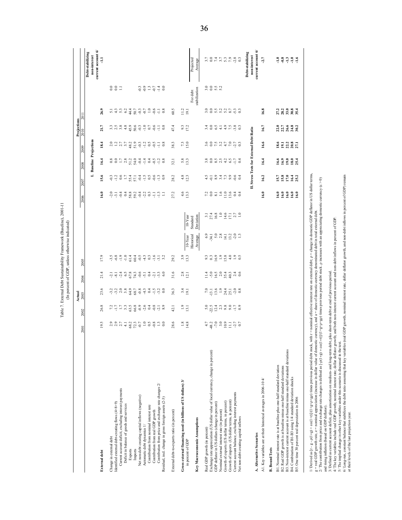| $.2001 -$<br>iniano<br>f Sir | ļ<br>f GDP. unle<br>ć<br>ine. |
|------------------------------|-------------------------------|
|                              | è                             |

|                                                                                                                                                                                                                                                                                                                                                                                                                                                                                                                                                                                                                                                                         | 2001                                                                                                                                 | 2002                                                   | Actual<br>$2003$                                                                                                                                                                                                                                                                                       | 2004                               | 2005                   |                         |                       | 2006               | 2007                                 | 2008                          | 2009                                 | Projections<br>$\frac{2010}{2}$ |                                         |             |                                                        |
|-------------------------------------------------------------------------------------------------------------------------------------------------------------------------------------------------------------------------------------------------------------------------------------------------------------------------------------------------------------------------------------------------------------------------------------------------------------------------------------------------------------------------------------------------------------------------------------------------------------------------------------------------------------------------|--------------------------------------------------------------------------------------------------------------------------------------|--------------------------------------------------------|--------------------------------------------------------------------------------------------------------------------------------------------------------------------------------------------------------------------------------------------------------------------------------------------------------|------------------------------------|------------------------|-------------------------|-----------------------|--------------------|--------------------------------------|-------------------------------|--------------------------------------|---------------------------------|-----------------------------------------|-------------|--------------------------------------------------------|
|                                                                                                                                                                                                                                                                                                                                                                                                                                                                                                                                                                                                                                                                         |                                                                                                                                      |                                                        |                                                                                                                                                                                                                                                                                                        |                                    |                        |                         |                       |                    | Ĩ.                                   | <b>Baseline Projections</b>   |                                      |                                 |                                         |             | current account 6/<br>Debt-stabilizing<br>non-interest |
| <b>External debt</b>                                                                                                                                                                                                                                                                                                                                                                                                                                                                                                                                                                                                                                                    | $\mathbf{9}$                                                                                                                         | 26.8                                                   | 23.6                                                                                                                                                                                                                                                                                                   | 21.4                               | 17.9                   |                         |                       | 16.0               | 15.6                                 | 16.4                          | 18.4                                 | 21.7                            | 26.9                                    |             |                                                        |
| Change in external debt                                                                                                                                                                                                                                                                                                                                                                                                                                                                                                                                                                                                                                                 |                                                                                                                                      |                                                        |                                                                                                                                                                                                                                                                                                        |                                    |                        |                         |                       |                    |                                      |                               |                                      |                                 |                                         |             |                                                        |
| Identified external debt-creating flows (4+8+9)                                                                                                                                                                                                                                                                                                                                                                                                                                                                                                                                                                                                                         |                                                                                                                                      |                                                        |                                                                                                                                                                                                                                                                                                        |                                    | $7,8$<br>$9,9$<br>$-1$ |                         |                       |                    |                                      |                               |                                      |                                 |                                         | 381         |                                                        |
| Current account deficit, excluding interest payments<br>Deficit in balance of goods and services                                                                                                                                                                                                                                                                                                                                                                                                                                                                                                                                                                        |                                                                                                                                      |                                                        |                                                                                                                                                                                                                                                                                                        |                                    |                        |                         |                       |                    |                                      |                               |                                      |                                 |                                         |             |                                                        |
| Exports                                                                                                                                                                                                                                                                                                                                                                                                                                                                                                                                                                                                                                                                 |                                                                                                                                      |                                                        |                                                                                                                                                                                                                                                                                                        |                                    |                        |                         |                       |                    |                                      |                               |                                      |                                 |                                         |             |                                                        |
| Imports                                                                                                                                                                                                                                                                                                                                                                                                                                                                                                                                                                                                                                                                 |                                                                                                                                      |                                                        |                                                                                                                                                                                                                                                                                                        |                                    |                        |                         |                       |                    |                                      |                               |                                      |                                 | rangazhar<br>1999 1999                  |             |                                                        |
| Net non-debt creating capital inflows (negative)                                                                                                                                                                                                                                                                                                                                                                                                                                                                                                                                                                                                                        |                                                                                                                                      |                                                        |                                                                                                                                                                                                                                                                                                        |                                    |                        |                         |                       |                    |                                      |                               |                                      |                                 |                                         |             |                                                        |
| Contribution from nominal interest rate<br>Automatic debt dynamics 1/                                                                                                                                                                                                                                                                                                                                                                                                                                                                                                                                                                                                   |                                                                                                                                      |                                                        |                                                                                                                                                                                                                                                                                                        |                                    |                        |                         |                       |                    |                                      |                               |                                      |                                 |                                         |             |                                                        |
| Contribution from real GDP growth                                                                                                                                                                                                                                                                                                                                                                                                                                                                                                                                                                                                                                       |                                                                                                                                      |                                                        |                                                                                                                                                                                                                                                                                                        |                                    |                        |                         |                       |                    |                                      |                               |                                      |                                 | $\frac{0}{-0.6}$                        |             |                                                        |
| Contribution from price and exchange rate changes 2/<br>Residual, incl. change in gross foreign assets (2-3)                                                                                                                                                                                                                                                                                                                                                                                                                                                                                                                                                            | a a b d a g d d d a g d d s                                                                                                          |                                                        |                                                                                                                                                                                                                                                                                                        | 7 7 7 8 8 7 9 7 7 8 7 9 9          |                        |                         |                       |                    |                                      |                               |                                      | 3333999999978                   | $\substack{+1\\-0.8}$                   | g g n g n g |                                                        |
| External debt-to-exports ratio (in percent)                                                                                                                                                                                                                                                                                                                                                                                                                                                                                                                                                                                                                             | 28.6                                                                                                                                 | 42.1                                                   | 36.3                                                                                                                                                                                                                                                                                                   | 31.6                               | 29.2                   |                         |                       | 27.2               | 28.2                                 | $\overline{32}$               | 38.3                                 | 47.4                            | 60.5                                    |             |                                                        |
| Gross external financing need (in billions of US dollars) 3/                                                                                                                                                                                                                                                                                                                                                                                                                                                                                                                                                                                                            | $1.8$<br>14.8                                                                                                                        | $\frac{1.9}{13.1}$                                     | $\frac{1}{2}$                                                                                                                                                                                                                                                                                          | $\frac{2.8}{12.1}$                 | 3.3                    |                         |                       | $\frac{4.6}{13.3}$ | $4.8$<br>12.3                        | $5.8$<br>13.3                 | 7.3                                  | 9.3                             | $\frac{11.2}{19.1}$                     |             |                                                        |
| in percent of GDP                                                                                                                                                                                                                                                                                                                                                                                                                                                                                                                                                                                                                                                       |                                                                                                                                      |                                                        |                                                                                                                                                                                                                                                                                                        |                                    |                        | Historical<br>$10-Year$ | $10-Year$<br>Standard |                    |                                      |                               |                                      |                                 | For debt                                |             | Projected                                              |
| Key Macroeconomic Assumptions                                                                                                                                                                                                                                                                                                                                                                                                                                                                                                                                                                                                                                           |                                                                                                                                      |                                                        |                                                                                                                                                                                                                                                                                                        |                                    |                        | Average                 | Deviation             |                    |                                      |                               |                                      |                                 | stabilization                           |             | Average                                                |
| Real GDP growth (in percent)                                                                                                                                                                                                                                                                                                                                                                                                                                                                                                                                                                                                                                            |                                                                                                                                      |                                                        |                                                                                                                                                                                                                                                                                                        |                                    |                        |                         |                       |                    |                                      |                               |                                      |                                 |                                         |             |                                                        |
| Exchange rate appreciation (US dollar value of local currency, change in percent)                                                                                                                                                                                                                                                                                                                                                                                                                                                                                                                                                                                       |                                                                                                                                      |                                                        |                                                                                                                                                                                                                                                                                                        |                                    |                        |                         |                       |                    |                                      |                               |                                      |                                 |                                         | 30952       |                                                        |
| GDP deflator in US dollars (change in percent)<br>Nominal external interest rate (in percent)                                                                                                                                                                                                                                                                                                                                                                                                                                                                                                                                                                           |                                                                                                                                      |                                                        |                                                                                                                                                                                                                                                                                                        |                                    |                        |                         |                       |                    |                                      |                               |                                      |                                 |                                         |             |                                                        |
| Growth of exports (US dollar terms, in percent)                                                                                                                                                                                                                                                                                                                                                                                                                                                                                                                                                                                                                         |                                                                                                                                      |                                                        |                                                                                                                                                                                                                                                                                                        |                                    |                        |                         |                       |                    |                                      |                               |                                      |                                 |                                         |             |                                                        |
| Growth of imports (US dollar terms, in percent)                                                                                                                                                                                                                                                                                                                                                                                                                                                                                                                                                                                                                         | 4879997770                                                                                                                           | $\begin{array}{c} 0.014 \\ 0.014 \\ 0.014 \end{array}$ | $\begin{array}{c} 2.5 & 0.7 \\ 0.7 & 0.7 \\ 0.7 & 0.7 \\ 0.7 & 0.7 \\ 0.7 & 0.7 \\ 0.7 & 0.7 \\ 0.7 & 0.7 \\ 0.7 & 0.7 \\ 0.7 & 0.7 \\ 0.7 & 0.7 \\ 0.7 & 0.7 \\ 0.8 & 0.7 \\ 0.7 & 0.7 \\ 0.8 & 0.7 \\ 0.7 & 0.7 \\ 0.8 & 0.7 \\ 0.7 & 0.7 \\ 0.8 & 0.7 \\ 0.8 & 0.7 \\ 0.8 & 0.7 \\ 0.8 & 0.7 \\ 0.$ | ria sia sia sia<br>The sia sia sia | a s g e g e e s        | 34.788712993            |                       | Neusesta           | 4 de a 4 6 9 6 4<br>7 de a 4 6 9 6 9 |                               | sonarena<br>Sonarena                 | 109195989                       |                                         |             | このはことの ぷいこう りょう                                        |
| Current account balance, excluding interest payments                                                                                                                                                                                                                                                                                                                                                                                                                                                                                                                                                                                                                    |                                                                                                                                      |                                                        |                                                                                                                                                                                                                                                                                                        |                                    |                        |                         |                       |                    |                                      |                               |                                      |                                 |                                         |             |                                                        |
| Net non-debt creating capital inflows                                                                                                                                                                                                                                                                                                                                                                                                                                                                                                                                                                                                                                   |                                                                                                                                      |                                                        |                                                                                                                                                                                                                                                                                                        |                                    |                        |                         |                       |                    |                                      |                               |                                      |                                 |                                         |             |                                                        |
|                                                                                                                                                                                                                                                                                                                                                                                                                                                                                                                                                                                                                                                                         |                                                                                                                                      |                                                        |                                                                                                                                                                                                                                                                                                        |                                    |                        |                         |                       | E,                 |                                      |                               | Stress Tests for External Debt Ratio |                                 |                                         |             | Debt-stabilizing<br>non-interest                       |
| A. Alternative Scenarios                                                                                                                                                                                                                                                                                                                                                                                                                                                                                                                                                                                                                                                |                                                                                                                                      |                                                        |                                                                                                                                                                                                                                                                                                        |                                    |                        |                         |                       |                    |                                      |                               |                                      |                                 |                                         |             | current account $6$                                    |
| A1. Key variables are at their historical averages in 2006-10 4/                                                                                                                                                                                                                                                                                                                                                                                                                                                                                                                                                                                                        |                                                                                                                                      |                                                        |                                                                                                                                                                                                                                                                                                        |                                    |                        |                         |                       | 16.0               | 16.2                                 | 16.4                          | 16.6                                 | 16.7                            | 16.8                                    |             | $-2.7$                                                 |
| <b>B.</b> Bound Tests                                                                                                                                                                                                                                                                                                                                                                                                                                                                                                                                                                                                                                                   |                                                                                                                                      |                                                        |                                                                                                                                                                                                                                                                                                        |                                    |                        |                         |                       |                    |                                      |                               |                                      |                                 |                                         |             |                                                        |
| B1. Nominal interest rate is at baseline plus one-half standard deviation                                                                                                                                                                                                                                                                                                                                                                                                                                                                                                                                                                                               |                                                                                                                                      |                                                        |                                                                                                                                                                                                                                                                                                        |                                    |                        |                         |                       | $\frac{6.0}{2}$    |                                      |                               |                                      |                                 |                                         |             |                                                        |
| B2. Real GDP growth is at baseline minus one-half standard deviations                                                                                                                                                                                                                                                                                                                                                                                                                                                                                                                                                                                                   |                                                                                                                                      |                                                        |                                                                                                                                                                                                                                                                                                        |                                    |                        |                         |                       |                    |                                      |                               |                                      | 217<br>212332                   |                                         |             |                                                        |
| B3. Non-interest current account is at baseline minus one-half standard deviations<br>B4. Combination of B1-B3 using 1/4 standard deviation shocks                                                                                                                                                                                                                                                                                                                                                                                                                                                                                                                      |                                                                                                                                      |                                                        |                                                                                                                                                                                                                                                                                                        |                                    |                        |                         |                       |                    |                                      |                               |                                      |                                 |                                         |             |                                                        |
| B5. One time 30 percent real depreciation in 2006                                                                                                                                                                                                                                                                                                                                                                                                                                                                                                                                                                                                                       |                                                                                                                                      |                                                        |                                                                                                                                                                                                                                                                                                        |                                    |                        |                         |                       | <b>GGGG</b>        | 15.3<br>15.3<br>19.13                | <b>3</b> 3 3 3 4<br>មើលទី 2 5 | <b>351351</b><br>201351              |                                 | ក្ក<br>ក្កី ក្កី ក្កី<br>ក្កី ក្កី ក្កី |             | 79777                                                  |
| / Derived as [r - g - p(1+g) + co(1+r)]/(1+g+p+gp) times previous period debt stock, with r = nominal effective interest rate on external debt; p = change in domestic GDP deflator in US dollar terms,<br>2/ The contribution from price and exchange rate changes is defined as $[-6(1+g)+(1+g+pc)]$ ( $1+g+p+g$ ) times previous period debt stock. $\rho$ increases with an appreciating domestic currency ( $\varepsilon > 0$ )<br>g = real GDP growth rate, e = nominal appreciation (increase in dollar value of domestic currency), and a = share of domestic-currency denominated debt in total external debt<br>and rising inflation (based on GDP deflator). |                                                                                                                                      |                                                        |                                                                                                                                                                                                                                                                                                        |                                    |                        |                         |                       |                    |                                      |                               |                                      |                                 |                                         |             |                                                        |
| 3/ Defined as current account deficit, plus amortization on medium- and long-term debt,<br>4/ The key variables include real GDP growth; nominal interest rate; dollar deflator grov                                                                                                                                                                                                                                                                                                                                                                                                                                                                                    | wth; and both non-interest current account and non-debt inflows in percent of GDP<br>plus short-term debt at end of previous period. |                                                        |                                                                                                                                                                                                                                                                                                        |                                    |                        |                         |                       |                    |                                      |                               |                                      |                                 |                                         |             |                                                        |
| 6/ Long-run, constant balance that stabilizes the debt ratio assuming that key variables (real GDP growth, nominal interest rate, dollar deflator growth, and non-debt inflows in percent of GDP) remain<br>5/ The implied change in other key variables under this scenario is discussed in the text.<br>at their levels of the last projection year.                                                                                                                                                                                                                                                                                                                  |                                                                                                                                      |                                                        |                                                                                                                                                                                                                                                                                                        |                                    |                        |                         |                       |                    |                                      |                               |                                      |                                 |                                         |             |                                                        |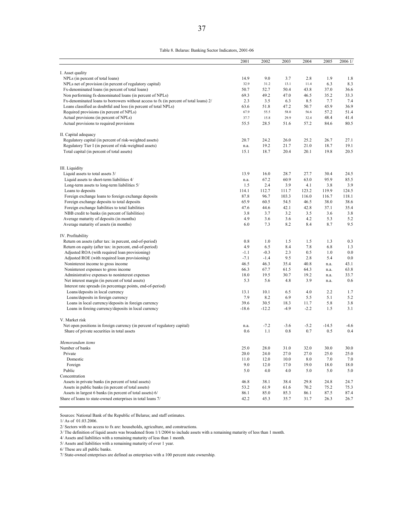|                                                                                       | 2001    | 2002    | 2003    | 2004   | 2005    | 2006 1/ |
|---------------------------------------------------------------------------------------|---------|---------|---------|--------|---------|---------|
|                                                                                       |         |         |         |        |         |         |
| I. Asset quality                                                                      |         |         |         |        |         |         |
| NPLs (in percent of total loans)                                                      | 14.9    | 9.0     | 3.7     | 2.8    | 1.9     | 1.8     |
| NPLs net of provision (in percent of regulatory capital)                              | 32.9    | 31.2    | 13.1    | 11.4   | 6.3     | 8.3     |
| Fx-denominated loans (in percent of total loans)                                      | 50.7    | 52.7    | 50.4    | 43.8   | 37.0    | 36.6    |
| Non performing fx-denominated loans (in percent of NPLs)                              | 69.3    | 49.2    | 47.0    | 46.5   | 35.2    | 33.3    |
| Fx-denominated loans to borrowers without access to fx (in percent of total loans) 2/ | 2.3     | 3.5     | 6.3     | 8.5    | 7.7     | 7.4     |
| Loans classified as doubtful and loss (in percent of total NPLs)                      | 63.6    | 51.8    | 47.2    | 50.7   | 45.9    | 36.9    |
| Required provisions (in percent of NPLs)                                              | 67.9    | 55.5    | 58.0    | 56.6   | 57.2    | 51.4    |
| Actual provisions (in percent of NPLs)                                                | 37.7    | 15.8    | 29.9    | 32.4   | 48.4    | 41.4    |
| Actual provisions to required provisions                                              | 55.5    | 28.5    | 51.6    | 57.2   | 84.6    | 80.5    |
| II. Capital adequacy                                                                  |         |         |         |        |         |         |
| Regulatory capital (in percent of risk-weighted assets)                               | 20.7    | 24.2    | 26.0    | 25.2   | 26.7    | 27.1    |
| Regulatory Tier I (in percent of risk-weighted assets)                                | n.a.    | 19.2    | 21.7    | 21.0   | 18.7    | 19.1    |
| Total capital (in percent of total assets)                                            | 15.1    | 18.7    | 20.4    | 20.1   | 19.8    | 20.5    |
|                                                                                       |         |         |         |        |         |         |
| III. Liquidity                                                                        |         |         |         |        |         |         |
| Liquid assets to total assets 3/                                                      | 13.9    | 16.0    | 28.7    | 27.7   | 30.4    | 24.5    |
| Liquid assets to short-term liabilities 4/                                            | n.a.    | 67.2    | 60.9    | 63.0   | 95.9    | 85.5    |
| Long-term assets to long-term liabilities 5/                                          | 1.5     | 2.4     | 3.9     | 4.1    | 3.8     | 3.9     |
| Loans to deposits                                                                     | 114.1   | 112.7   | 111.7   | 123.2  | 119.9   | 124.5   |
| Foreign exchange loans to foreign exchange deposits                                   | 87.8    | 96.7    | 103.3   | 116.0  | 116.7   | 118.1   |
| Foreign exchange deposits to total deposits                                           | 65.9    | 60.5    | 54.5    | 46.5   | 38.0    | 38.6    |
| Foreign exchange liabilities to total liabilities                                     | 47.6    | 44.6    | 42.1    | 42.8   | 37.1    | 35.4    |
| NBB credit to banks (in percent of liabilities)                                       | 3.8     | 3.7     | $3.2\,$ | 3.5    | 3.6     | 3.8     |
| Average maturity of deposits (in months)                                              | 4.9     | 3.6     | 3.6     | 4.2    | 5.3     | 5.2     |
| Average maturity of assets (in months)                                                | 6.0     | 7.3     | 8.2     | 8.4    | 8.7     | 9.5     |
| IV. Profitability                                                                     |         |         |         |        |         |         |
| Return on assets (after tax: in percent, end-of-period)                               | 0.8     | 1.0     | 1.5     | 1.5    | 1.3     | 0.3     |
| Return on equity (after tax: in percent, end-of-period)                               | 4.9     | 6.5     | 8.4     | 7.8    | 6.8     | 1.3     |
| Adjusted ROA (with required loan provisioning)                                        | $-1.1$  | $-0.3$  | 2.3     | 0.5    | 1.0     | 0.0     |
| Adjusted ROE (with required loan provisioning)                                        | $-7.1$  | $-1.4$  | 9.5     | 2.8    | 5.4     | 0.0     |
| Noninterest income to gross income                                                    | 46.5    | 46.3    | 35.4    | 40.8   | n.a.    | 43.1    |
| Noninterest expenses to gross income                                                  | 66.3    | 67.7    | 61.5    | 64.3   | n.a.    | 63.8    |
| Administrative expenses to noninterest expenses                                       | 18.0    | 19.5    | 30.7    | 19.2   | n.a.    | 33.7    |
| Net interest margin (in percent of total assets)                                      | 5.3     | 5.6     | 4.8     | 3.9    | n.a.    | 0.6     |
| Interest rate spreads (in percentage points, end-of-period)                           |         |         |         |        |         |         |
| Loans/deposits in local currency                                                      | 13.1    | 10.1    | 6.5     | 4.0    | 2.2     | 1.7     |
| Loans/deposits in foreign currency                                                    | 7.9     | 8.2     | 6.9     | 5.5    | 5.1     | 5.2     |
| Loans in local currency/deposits in foreign currency                                  | 39.6    | 30.5    | 18.3    | 11.7   | 5.8     | 3.8     |
| Loans in foreing currency/deposits in local currency                                  | $-18.6$ | $-12.2$ | $-4.9$  | $-2.2$ | 1.5     | 3.1     |
| V. Market risk                                                                        |         |         |         |        |         |         |
| Net open positions in foreign currency (in percent of regulatory capital)             | n.a.    | $-7.2$  | $-3.6$  | $-5.2$ | $-14.5$ | -4.6    |
| Share of private securities in total assets                                           | 0.6     | 1.1     | 0.8     | 0.7    | 0.5     | 0.4     |
| Memorandum items                                                                      |         |         |         |        |         |         |
| Number of banks                                                                       | 25.0    | 28.0    | 31.0    | 32.0   | 30.0    | 30.0    |
| Private                                                                               | 20.0    | 24.0    | 27.0    | 27.0   | 25.0    | 25.0    |
| Domestic                                                                              | 11.0    | 12.0    | 10.0    | 8.0    | 7.0     | 7.0     |
| Foreign                                                                               | 9.0     | 12.0    | 17.0    | 19.0   | 18.0    | 18.0    |
| Public                                                                                | 5.0     | 4.0     | 4.0     | 5.0    | 5.0     | 5.0     |
| Concentration                                                                         |         |         |         |        |         |         |
| Assets in private banks (in percent of total assets)                                  | 46.8    | 38.1    | 38.4    | 29.8   | 24.8    | 24.7    |
| Assets in public banks (in percent of total assets)                                   | 53.2    | 61.9    | 61.6    | 70.2   | 75.2    | 75.3    |
| Assets in largest 6 banks (in percent of total assets) 6/                             | 86.1    | 85.0    | 85.3    | 86.1   | 87.5    | 87.4    |
| Share of loans to state-owned enterprises in total loans 7/                           | 42.2    | 45.3    | 35.7    | 31.7   | 26.3    | 26.7    |
|                                                                                       |         |         |         |        |         |         |

Sources: National Bank of the Republic of Belarus; and staff estimates.

1/ As of 01.03.2006.

2/ Sectors with no access to fx are: households, agriculture, and constructions.

3/ The definition of liquid assets was broadened from 1/1/2004 to include assets with a remaining maturity of less than 1 month.

4/ Assets and liabilities with a remaining maturity of less than 1 month.

5/ Assets and liabilities with a remaining maturity of over 1 year.

6/ These are all public banks.

7/ State-owned enterprises are defined as enterprises with a 100 percent state ownership.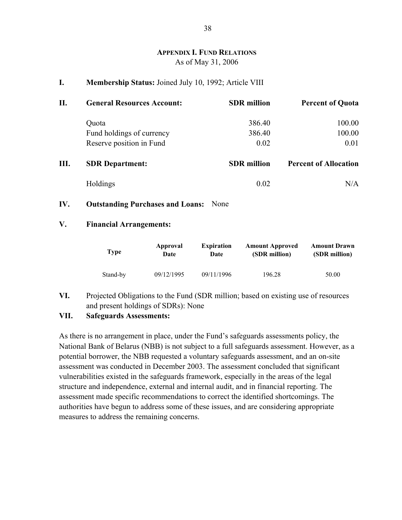# **APPENDIX I. FUND RELATIONS** As of May 31, 2006

#### **I. Membership Status:** Joined July 10, 1992; Article VIII

| П. | <b>General Resources Account:</b> | <b>SDR</b> million | <b>Percent of Quota</b>      |
|----|-----------------------------------|--------------------|------------------------------|
|    | Quota                             | 386.40             | 100.00                       |
|    | Fund holdings of currency         | 386.40             | 100.00                       |
|    | Reserve position in Fund          | 0.02               | 0.01                         |
| Ш. | <b>SDR</b> Department:            | <b>SDR</b> million | <b>Percent of Allocation</b> |
|    | Holdings                          | 0.02               | N/A                          |

**IV. Outstanding Purchases and Loans:** None

### **V. Financial Arrangements:**

| <b>Type</b> | Approval   | <b>Expiration</b> | <b>Amount Approved</b> | <b>Amount Drawn</b> |
|-------------|------------|-------------------|------------------------|---------------------|
|             | Date       | Date              | (SDR million)          | (SDR million)       |
| Stand-by    | 09/12/1995 | 09/11/1996        | 196.28                 | 50.00               |

**VI.** Projected Obligations to the Fund (SDR million; based on existing use of resources and present holdings of SDRs): None

### **VII. Safeguards Assessments:**

As there is no arrangement in place, under the Fund's safeguards assessments policy, the National Bank of Belarus (NBB) is not subject to a full safeguards assessment. However, as a potential borrower, the NBB requested a voluntary safeguards assessment, and an on-site assessment was conducted in December 2003. The assessment concluded that significant vulnerabilities existed in the safeguards framework, especially in the areas of the legal structure and independence, external and internal audit, and in financial reporting. The assessment made specific recommendations to correct the identified shortcomings. The authorities have begun to address some of these issues, and are considering appropriate measures to address the remaining concerns.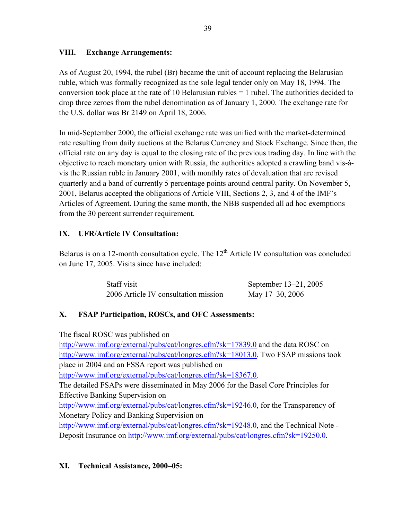# **VIII. Exchange Arrangements:**

As of August 20, 1994, the rubel (Br) became the unit of account replacing the Belarusian ruble, which was formally recognized as the sole legal tender only on May 18, 1994. The conversion took place at the rate of 10 Belarusian rubles = 1 rubel. The authorities decided to drop three zeroes from the rubel denomination as of January 1, 2000. The exchange rate for the U.S. dollar was Br 2149 on April 18, 2006.

In mid-September 2000, the official exchange rate was unified with the market-determined rate resulting from daily auctions at the Belarus Currency and Stock Exchange. Since then, the official rate on any day is equal to the closing rate of the previous trading day. In line with the objective to reach monetary union with Russia, the authorities adopted a crawling band vis-àvis the Russian ruble in January 2001, with monthly rates of devaluation that are revised quarterly and a band of currently 5 percentage points around central parity. On November 5, 2001, Belarus accepted the obligations of Article VIII, Sections 2, 3, and 4 of the IMF's Articles of Agreement. During the same month, the NBB suspended all ad hoc exemptions from the 30 percent surrender requirement.

# **IX. UFR/Article IV Consultation:**

Belarus is on a 12-month consultation cycle. The  $12<sup>th</sup>$  Article IV consultation was concluded on June 17, 2005. Visits since have included:

| Staff visit |                                      |                 | September 13–21, 2005 |
|-------------|--------------------------------------|-----------------|-----------------------|
|             | 2006 Article IV consultation mission | May 17–30, 2006 |                       |

# **X. FSAP Participation, ROSCs, and OFC Assessments:**

The fiscal ROSC was published on

http://www.imf.org/external/pubs/cat/longres.cfm?sk=17839.0 and the data ROSC on http://www.imf.org/external/pubs/cat/longres.cfm?sk=18013.0. Two FSAP missions took place in 2004 and an FSSA report was published on http://www.imf.org/external/pubs/cat/longres.cfm?sk=18367.0. The detailed FSAPs were disseminated in May 2006 for the Basel Core Principles for Effective Banking Supervision on http://www.imf.org/external/pubs/cat/longres.cfm?sk=19246.0, for the Transparency of Monetary Policy and Banking Supervision on http://www.imf.org/external/pubs/cat/longres.cfm?sk=19248.0, and the Technical Note -Deposit Insurance on http://www.imf.org/external/pubs/cat/longres.cfm?sk=19250.0.

# **XI. Technical Assistance, 2000–05:**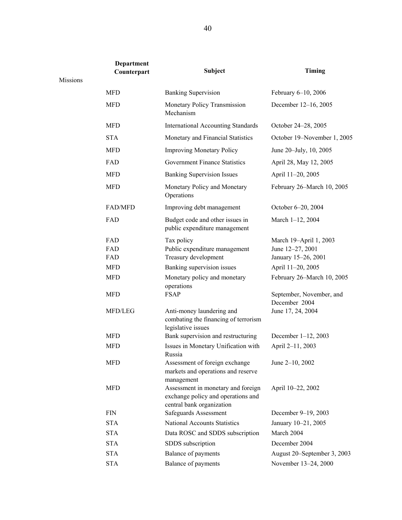|          | <b>Department</b><br>Counterpart | Subject                                                                                               | Timing                                                            |
|----------|----------------------------------|-------------------------------------------------------------------------------------------------------|-------------------------------------------------------------------|
| Missions |                                  |                                                                                                       |                                                                   |
|          | <b>MFD</b>                       | <b>Banking Supervision</b>                                                                            | February 6-10, 2006                                               |
|          | <b>MFD</b>                       | Monetary Policy Transmission<br>Mechanism                                                             | December 12-16, 2005                                              |
|          | <b>MFD</b>                       | <b>International Accounting Standards</b>                                                             | October 24-28, 2005                                               |
|          | <b>STA</b>                       | Monetary and Financial Statistics                                                                     | October 19-November 1, 2005                                       |
|          | <b>MFD</b>                       | <b>Improving Monetary Policy</b>                                                                      | June 20–July, 10, 2005                                            |
|          | FAD                              | <b>Government Finance Statistics</b>                                                                  | April 28, May 12, 2005                                            |
|          | <b>MFD</b>                       | <b>Banking Supervision Issues</b>                                                                     | April 11-20, 2005                                                 |
|          | <b>MFD</b>                       | Monetary Policy and Monetary<br>Operations                                                            | February 26–March 10, 2005                                        |
|          | <b>FAD/MFD</b>                   | Improving debt management                                                                             | October 6–20, 2004                                                |
|          | FAD                              | Budget code and other issues in<br>public expenditure management                                      | March 1-12, 2004                                                  |
|          | FAD<br>FAD<br>FAD                | Tax policy<br>Public expenditure management<br>Treasury development                                   | March 19-April 1, 2003<br>June 12-27, 2001<br>January 15-26, 2001 |
|          | <b>MFD</b>                       | Banking supervision issues                                                                            | April 11-20, 2005                                                 |
|          | <b>MFD</b>                       | Monetary policy and monetary<br>operations                                                            | February 26-March 10, 2005                                        |
|          | <b>MFD</b>                       | <b>FSAP</b>                                                                                           | September, November, and<br>December 2004                         |
|          | MFD/LEG                          | Anti-money laundering and<br>combating the financing of terrorism<br>legislative issues               | June 17, 24, 2004                                                 |
|          | <b>MFD</b>                       | Bank supervision and restructuring                                                                    | December 1-12, 2003                                               |
|          | <b>MFD</b>                       | Issues in Monetary Unification with<br>Russia                                                         | April 2-11, 2003                                                  |
|          | <b>MFD</b>                       | Assessment of foreign exchange<br>markets and operations and reserve<br>management                    | June 2-10, 2002                                                   |
|          | <b>MFD</b>                       | Assessment in monetary and foreign<br>exchange policy and operations and<br>central bank organization | April 10-22, 2002                                                 |
|          | <b>FIN</b>                       | Safeguards Assessment                                                                                 | December 9-19, 2003                                               |
|          | <b>STA</b>                       | National Accounts Statistics                                                                          | January 10-21, 2005                                               |
|          | <b>STA</b>                       | Data ROSC and SDDS subscription                                                                       | March 2004                                                        |
|          | <b>STA</b>                       | SDDS subscription                                                                                     | December 2004                                                     |
|          | <b>STA</b>                       | Balance of payments                                                                                   | August 20–September 3, 2003                                       |
|          | <b>STA</b>                       | Balance of payments                                                                                   | November 13-24, 2000                                              |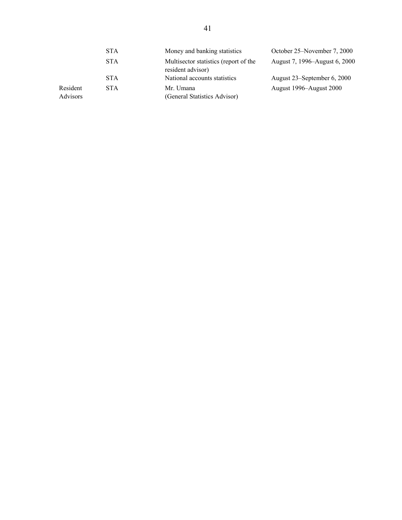|                      | <b>STA</b> | Money and banking statistics                               | October 25–November 7, 2000   |
|----------------------|------------|------------------------------------------------------------|-------------------------------|
|                      | <b>STA</b> | Multisector statistics (report of the<br>resident advisor) | August 7, 1996–August 6, 2000 |
|                      | <b>STA</b> | National accounts statistics                               | August 23–September 6, 2000   |
| Resident<br>Advisors | <b>STA</b> | Mr. Umana<br>(General Statistics Advisor)                  | August 1996–August 2000       |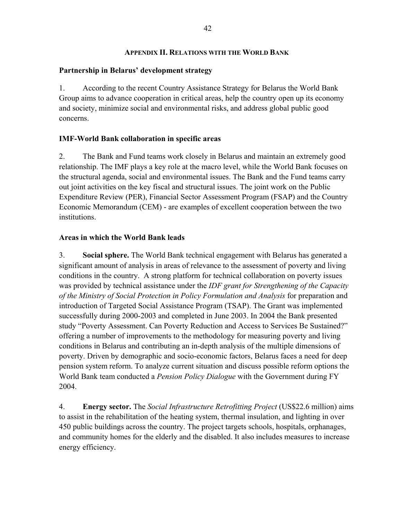### **APPENDIX II. RELATIONS WITH THE WORLD BANK**

# **Partnership in Belarus' development strategy**

1. According to the recent Country Assistance Strategy for Belarus the World Bank Group aims to advance cooperation in critical areas, help the country open up its economy and society, minimize social and environmental risks, and address global public good concerns.

# **IMF-World Bank collaboration in specific areas**

2. The Bank and Fund teams work closely in Belarus and maintain an extremely good relationship. The IMF plays a key role at the macro level, while the World Bank focuses on the structural agenda, social and environmental issues. The Bank and the Fund teams carry out joint activities on the key fiscal and structural issues. The joint work on the Public Expenditure Review (PER), Financial Sector Assessment Program (FSAP) and the Country Economic Memorandum (CEM) - are examples of excellent cooperation between the two institutions.

# **Areas in which the World Bank leads**

3. **Social sphere.** The World Bank technical engagement with Belarus has generated a significant amount of analysis in areas of relevance to the assessment of poverty and living conditions in the country. A strong platform for technical collaboration on poverty issues was provided by technical assistance under the *IDF grant for Strengthening of the Capacity of the Ministry of Social Protection in Policy Formulation and Analysis* for preparation and introduction of Targeted Social Assistance Program (TSAP). The Grant was implemented successfully during 2000-2003 and completed in June 2003. In 2004 the Bank presented study "Poverty Assessment. Can Poverty Reduction and Access to Services Be Sustained?" offering a number of improvements to the methodology for measuring poverty and living conditions in Belarus and contributing an in-depth analysis of the multiple dimensions of poverty. Driven by demographic and socio-economic factors, Belarus faces a need for deep pension system reform. To analyze current situation and discuss possible reform options the World Bank team conducted a *Pension Policy Dialogue* with the Government during FY 2004.

4. **Energy sector.** The *Social Infrastructure Retrofitting Project* (US\$22.6 million) aims to assist in the rehabilitation of the heating system, thermal insulation, and lighting in over 450 public buildings across the country. The project targets schools, hospitals, orphanages, and community homes for the elderly and the disabled. It also includes measures to increase energy efficiency.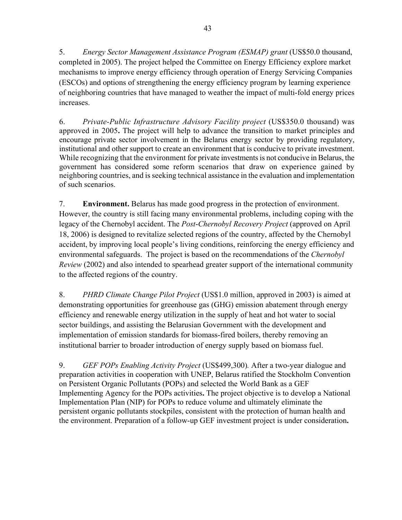5. *Energy Sector Management Assistance Program (ESMAP) grant* (US\$50.0 thousand, completed in 2005). The project helped the Committee on Energy Efficiency explore market mechanisms to improve energy efficiency through operation of Energy Servicing Companies (ESCOs) and options of strengthening the energy efficiency program by learning experience of neighboring countries that have managed to weather the impact of multi-fold energy prices increases.

6. *Private-Public Infrastructure Advisory Facility project* (US\$350.0 thousand) was approved in 2005**.** The project will help to advance the transition to market principles and encourage private sector involvement in the Belarus energy sector by providing regulatory, institutional and other support to create an environment that is conducive to private investment. While recognizing that the environment for private investments is not conducive in Belarus, the government has considered some reform scenarios that draw on experience gained by neighboring countries, and is seeking technical assistance in the evaluation and implementation of such scenarios.

7. **Environment.** Belarus has made good progress in the protection of environment. However, the country is still facing many environmental problems, including coping with the legacy of the Chernobyl accident. The *Post*-*Chernobyl Recovery Project* (approved on April 18, 2006) is designed to revitalize selected regions of the country, affected by the Chernobyl accident, by improving local people's living conditions, reinforcing the energy efficiency and environmental safeguards. The project is based on the recommendations of the *Chernobyl Review* (2002) and also intended to spearhead greater support of the international community to the affected regions of the country.

8. *PHRD Climate Change Pilot Project* (US\$1.0 million, approved in 2003) is aimed at demonstrating opportunities for greenhouse gas (GHG) emission abatement through energy efficiency and renewable energy utilization in the supply of heat and hot water to social sector buildings, and assisting the Belarusian Government with the development and implementation of emission standards for biomass-fired boilers, thereby removing an institutional barrier to broader introduction of energy supply based on biomass fuel.

9. *GEF POPs Enabling Activity Project* (US\$499,300)*.* After a two-year dialogue and preparation activities in cooperation with UNEP, Belarus ratified the Stockholm Convention on Persistent Organic Pollutants (POPs) and selected the World Bank as a GEF Implementing Agency for the POPs activities**.** The project objective is to develop a National Implementation Plan (NIP) for POPs to reduce volume and ultimately eliminate the persistent organic pollutants stockpiles, consistent with the protection of human health and the environment. Preparation of a follow-up GEF investment project is under consideration**.**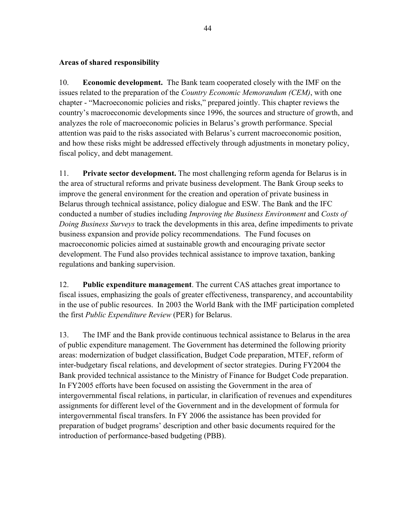# **Areas of shared responsibility**

10. **Economic development.** The Bank team cooperated closely with the IMF on the issues related to the preparation of the *Country Economic Memorandum (CEM)*, with one chapter - "Macroeconomic policies and risks," prepared jointly. This chapter reviews the country's macroeconomic developments since 1996, the sources and structure of growth, and analyzes the role of macroeconomic policies in Belarus's growth performance. Special attention was paid to the risks associated with Belarus's current macroeconomic position, and how these risks might be addressed effectively through adjustments in monetary policy, fiscal policy, and debt management.

11. **Private sector development.** The most challenging reform agenda for Belarus is in the area of structural reforms and private business development. The Bank Group seeks to improve the general environment for the creation and operation of private business in Belarus through technical assistance, policy dialogue and ESW. The Bank and the IFC conducted a number of studies including *Improving the Business Environment* and *Costs of Doing Business Surveys* to track the developments in this area, define impediments to private business expansion and provide policy recommendations. The Fund focuses on macroeconomic policies aimed at sustainable growth and encouraging private sector development. The Fund also provides technical assistance to improve taxation, banking regulations and banking supervision.

12. **Public expenditure management**. The current CAS attaches great importance to fiscal issues, emphasizing the goals of greater effectiveness, transparency, and accountability in the use of public resources. In 2003 the World Bank with the IMF participation completed the first *Public Expenditure Review* (PER) for Belarus.

13. The IMF and the Bank provide continuous technical assistance to Belarus in the area of public expenditure management. The Government has determined the following priority areas: modernization of budget classification, Budget Code preparation, MTEF, reform of inter-budgetary fiscal relations, and development of sector strategies. During FY2004 the Bank provided technical assistance to the Ministry of Finance for Budget Code preparation. In FY2005 efforts have been focused on assisting the Government in the area of intergovernmental fiscal relations, in particular, in clarification of revenues and expenditures assignments for different level of the Government and in the development of formula for intergovernmental fiscal transfers. In FY 2006 the assistance has been provided for preparation of budget programs' description and other basic documents required for the introduction of performance-based budgeting (PBB).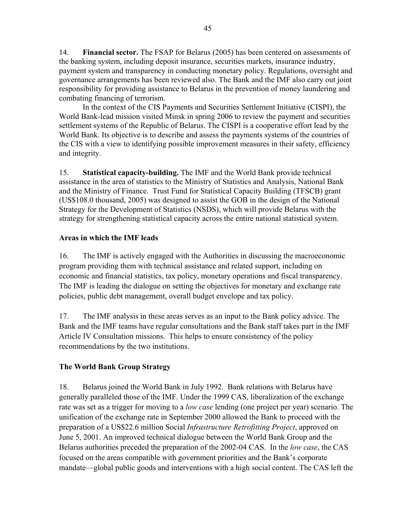14. **Financial sector.** The FSAP for Belarus (2005) has been centered on assessments of the banking system, including deposit insurance, securities markets, insurance industry, payment system and transparency in conducting monetary policy. Regulations, oversight and governance arrangements has been reviewed also. The Bank and the IMF also carry out joint responsibility for providing assistance to Belarus in the prevention of money laundering and combating financing of terrorism.

In the context of the CIS Payments and Securities Settlement Initiative (CISPI), the World Bank-lead mission visited Minsk in spring 2006 to review the payment and securities settlement systems of the Republic of Belarus. The CISPI is a cooperative effort lead by the World Bank. Its objective is to describe and assess the payments systems of the countries of the CIS with a view to identifying possible improvement measures in their safety, efficiency and integrity.

15. **Statistical capacity-building.** The IMF and the World Bank provide technical assistance in the area of statistics to the Ministry of Statistics and Analysis, National Bank and the Ministry of Finance. Trust Fund for Statistical Capacity Building (TFSCB) grant (US\$108.0 thousand, 2005) was designed to assist the GOB in the design of the National Strategy for the Development of Statistics (NSDS), which will provide Belarus with the strategy for strengthening statistical capacity across the entire national statistical system.

# **Areas in which the IMF leads**

16. The IMF is actively engaged with the Authorities in discussing the macroeconomic program providing them with technical assistance and related support, including on economic and financial statistics, tax policy, monetary operations and fiscal transparency. The IMF is leading the dialogue on setting the objectives for monetary and exchange rate policies, public debt management, overall budget envelope and tax policy.

17. The IMF analysis in these areas serves as an input to the Bank policy advice. The Bank and the IMF teams have regular consultations and the Bank staff takes part in the IMF Article IV Consultation missions. This helps to ensure consistency of the policy recommendations by the two institutions.

# **The World Bank Group Strategy**

18. Belarus joined the World Bank in July 1992. Bank relations with Belarus have generally paralleled those of the IMF. Under the 1999 CAS, liberalization of the exchange rate was set as a trigger for moving to a *low case* lending (one project per year) scenario. The unification of the exchange rate in September 2000 allowed the Bank to proceed with the preparation of a US\$22.6 million Social *Infrastructure Retrofitting Project*, approved on June 5, 2001. An improved technical dialogue between the World Bank Group and the Belarus authorities preceded the preparation of the 2002-04 CAS. In the *low case*, the CAS focused on the areas compatible with government priorities and the Bank's corporate mandate—global public goods and interventions with a high social content. The CAS left the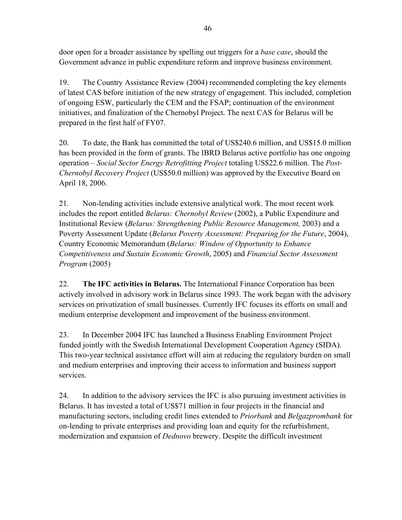door open for a broader assistance by spelling out triggers for a *base case*, should the Government advance in public expenditure reform and improve business environment.

19. The Country Assistance Review (2004) recommended completing the key elements of latest CAS before initiation of the new strategy of engagement. This included, completion of ongoing ESW, particularly the CEM and the FSAP; continuation of the environment initiatives, and finalization of the Chernobyl Project. The next CAS for Belarus will be prepared in the first half of FY07.

20. To date, the Bank has committed the total of US\$240.6 million, and US\$15.0 million has been provided in the form of grants. The IBRD Belarus active portfolio has one ongoing operation – *Social Sector Energy Retrofitting Project* totaling US\$22.6 million. The *Post-Chernobyl Recovery Project* (US\$50.0 million) was approved by the Executive Board on April 18, 2006.

21. Non-lending activities include extensive analytical work. The most recent work includes the report entitled *Belarus: Chernobyl Review* (2002), a Public Expenditure and Institutional Review (*Belarus: Strengthening Public Resource Management,* 2003) and a Poverty Assessment Update (*Belarus Poverty Assessment: Preparing for the Future*, 2004), Country Economic Memorandum (*Belarus: Window of Opportunity to Enhance Competitiveness and Sustain Economic Growth*, 2005) and *Financial Sector Assessment Program* (2005)

22. **The IFC activities in Belarus.** The International Finance Corporation has been actively involved in advisory work in Belarus since 1993. The work began with the advisory services on privatization of small businesses. Currently IFC focuses its efforts on small and medium enterprise development and improvement of the business environment.

23. In December 2004 IFC has launched a Business Enabling Environment Project funded jointly with the Swedish International Development Cooperation Agency (SIDA). This two-year technical assistance effort will aim at reducing the regulatory burden on small and medium enterprises and improving their access to information and business support services.

24. In addition to the advisory services the IFC is also pursuing investment activities in Belarus. It has invested a total of US\$71 million in four projects in the financial and manufacturing sectors, including credit lines extended to *Priorbank* and *Belgazprombank* for on-lending to private enterprises and providing loan and equity for the refurbishment, modernization and expansion of *Dednovo* brewery. Despite the difficult investment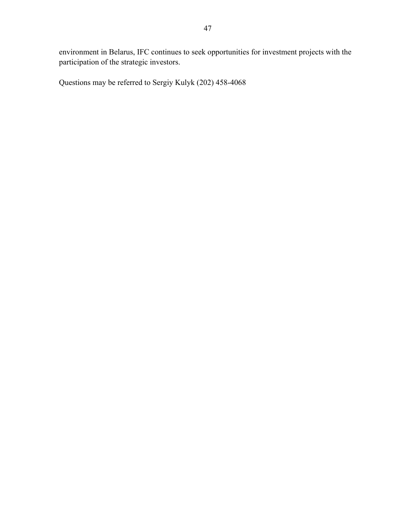environment in Belarus, IFC continues to seek opportunities for investment projects with the participation of the strategic investors.

Questions may be referred to Sergiy Kulyk (202) 458-4068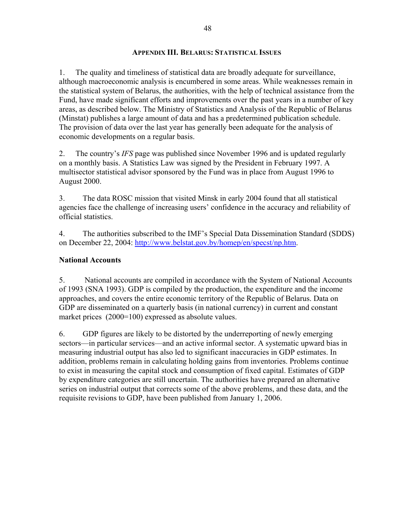#### **APPENDIX III. BELARUS: STATISTICAL ISSUES**

1. The quality and timeliness of statistical data are broadly adequate for surveillance, although macroeconomic analysis is encumbered in some areas. While weaknesses remain in the statistical system of Belarus, the authorities, with the help of technical assistance from the Fund, have made significant efforts and improvements over the past years in a number of key areas, as described below. The Ministry of Statistics and Analysis of the Republic of Belarus (Minstat) publishes a large amount of data and has a predetermined publication schedule. The provision of data over the last year has generally been adequate for the analysis of economic developments on a regular basis.

2. The country's *IFS* page was published since November 1996 and is updated regularly on a monthly basis. A Statistics Law was signed by the President in February 1997. A multisector statistical advisor sponsored by the Fund was in place from August 1996 to August 2000.

3. The data ROSC mission that visited Minsk in early 2004 found that all statistical agencies face the challenge of increasing users' confidence in the accuracy and reliability of official statistics.

4. The authorities subscribed to the IMF's Special Data Dissemination Standard (SDDS) on December 22, 2004: http://www.belstat.gov.by/homep/en/specst/np.htm.

# **National Accounts**

5. National accounts are compiled in accordance with the System of National Accounts of 1993 (SNA 1993). GDP is compiled by the production, the expenditure and the income approaches, and covers the entire economic territory of the Republic of Belarus. Data on GDP are disseminated on a quarterly basis (in national currency) in current and constant market prices (2000=100) expressed as absolute values.

6. GDP figures are likely to be distorted by the underreporting of newly emerging sectors—in particular services—and an active informal sector. A systematic upward bias in measuring industrial output has also led to significant inaccuracies in GDP estimates. In addition, problems remain in calculating holding gains from inventories. Problems continue to exist in measuring the capital stock and consumption of fixed capital. Estimates of GDP by expenditure categories are still uncertain. The authorities have prepared an alternative series on industrial output that corrects some of the above problems, and these data, and the requisite revisions to GDP, have been published from January 1, 2006.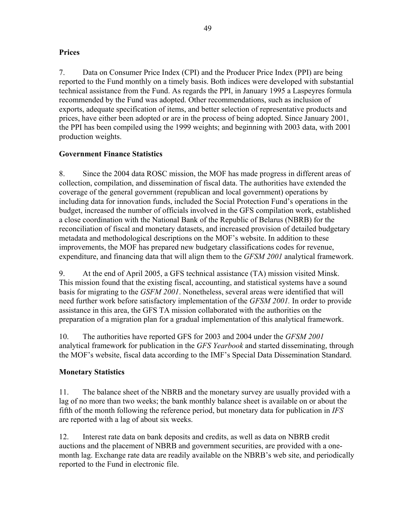# **Prices**

7. Data on Consumer Price Index (CPI) and the Producer Price Index (PPI) are being reported to the Fund monthly on a timely basis. Both indices were developed with substantial technical assistance from the Fund. As regards the PPI, in January 1995 a Laspeyres formula recommended by the Fund was adopted. Other recommendations, such as inclusion of exports, adequate specification of items, and better selection of representative products and prices, have either been adopted or are in the process of being adopted. Since January 2001, the PPI has been compiled using the 1999 weights; and beginning with 2003 data, with 2001 production weights.

# **Government Finance Statistics**

8. Since the 2004 data ROSC mission, the MOF has made progress in different areas of collection, compilation, and dissemination of fiscal data. The authorities have extended the coverage of the general government (republican and local government) operations by including data for innovation funds, included the Social Protection Fund's operations in the budget, increased the number of officials involved in the GFS compilation work, established a close coordination with the National Bank of the Republic of Belarus (NBRB) for the reconciliation of fiscal and monetary datasets, and increased provision of detailed budgetary metadata and methodological descriptions on the MOF's website. In addition to these improvements, the MOF has prepared new budgetary classifications codes for revenue, expenditure, and financing data that will align them to the *GFSM 2001* analytical framework.

9. At the end of April 2005, a GFS technical assistance (TA) mission visited Minsk. This mission found that the existing fiscal, accounting, and statistical systems have a sound basis for migrating to the *GSFM 2001*. Nonetheless, several areas were identified that will need further work before satisfactory implementation of the *GFSM 2001.* In order to provide assistance in this area, the GFS TA mission collaborated with the authorities on the preparation of a migration plan for a gradual implementation of this analytical framework.

10. The authorities have reported GFS for 2003 and 2004 under the *GFSM 2001* analytical framework for publication in the *GFS Yearbook* and started disseminating, through the MOF's website, fiscal data according to the IMF's Special Data Dissemination Standard.

# **Monetary Statistics**

11. The balance sheet of the NBRB and the monetary survey are usually provided with a lag of no more than two weeks; the bank monthly balance sheet is available on or about the fifth of the month following the reference period, but monetary data for publication in *IFS* are reported with a lag of about six weeks.

12. Interest rate data on bank deposits and credits, as well as data on NBRB credit auctions and the placement of NBRB and government securities, are provided with a onemonth lag. Exchange rate data are readily available on the NBRB's web site, and periodically reported to the Fund in electronic file.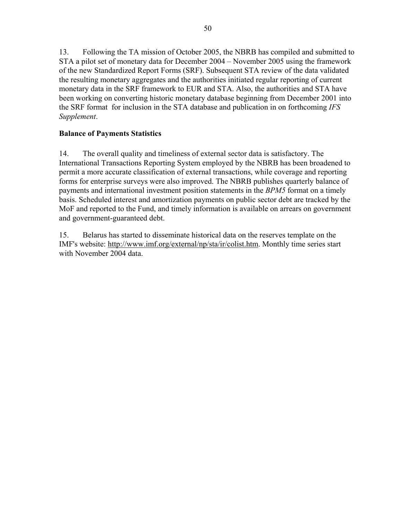13. Following the TA mission of October 2005, the NBRB has compiled and submitted to STA a pilot set of monetary data for December 2004 – November 2005 using the framework of the new Standardized Report Forms (SRF). Subsequent STA review of the data validated the resulting monetary aggregates and the authorities initiated regular reporting of current monetary data in the SRF framework to EUR and STA. Also, the authorities and STA have been working on converting historic monetary database beginning from December 2001 into the SRF format for inclusion in the STA database and publication in on forthcoming *IFS Supplement*.

# **Balance of Payments Statistics**

14. The overall quality and timeliness of external sector data is satisfactory. The International Transactions Reporting System employed by the NBRB has been broadened to permit a more accurate classification of external transactions, while coverage and reporting forms for enterprise surveys were also improved. The NBRB publishes quarterly balance of payments and international investment position statements in the *BPM5* format on a timely basis. Scheduled interest and amortization payments on public sector debt are tracked by the MoF and reported to the Fund, and timely information is available on arrears on government and government-guaranteed debt.

15. Belarus has started to disseminate historical data on the reserves template on the IMF's website: http://www.imf.org/external/np/sta/ir/colist.htm. Monthly time series start with November 2004 data.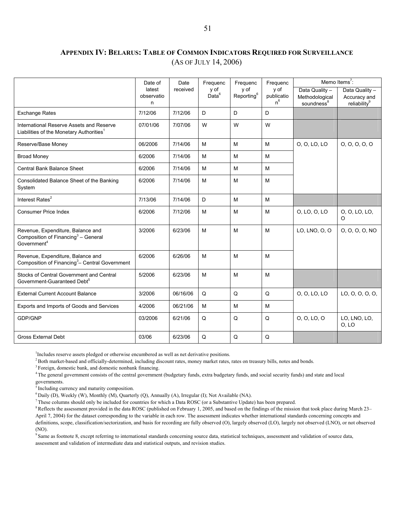# **APPENDIX IV: BELARUS: TABLE OF COMMON INDICATORS REQUIRED FOR SURVEILLANCE** (AS OF JULY 14, 2006)

|                                                                                                                 | Date of                   | Date     | Frequenc                  | Frequenc                       | Frequenc                    | Memo Items <sup>7</sup> :                                  |                                                            |
|-----------------------------------------------------------------------------------------------------------------|---------------------------|----------|---------------------------|--------------------------------|-----------------------------|------------------------------------------------------------|------------------------------------------------------------|
|                                                                                                                 | latest<br>observatio<br>n | received | y of<br>Data <sup>6</sup> | y of<br>Reporting <sup>6</sup> | y of<br>publicatio<br>$n^6$ | Data Quality -<br>Methodological<br>soundness <sup>8</sup> | Data Quality -<br>Accuracy and<br>reliability <sup>9</sup> |
| <b>Exchange Rates</b>                                                                                           | 7/12/06                   | 7/12/06  | D                         | D                              | D                           |                                                            |                                                            |
| International Reserve Assets and Reserve<br>Liabilities of the Monetary Authorities <sup>1</sup>                | 07/01/06                  | 7/07/06  | W                         | W                              | W                           |                                                            |                                                            |
| Reserve/Base Money                                                                                              | 06/2006                   | 7/14/06  | M                         | M                              | M                           | 0, 0, LO, LO                                               | 0, 0, 0, 0, 0                                              |
| <b>Broad Money</b>                                                                                              | 6/2006                    | 7/14/06  | M                         | M                              | M                           |                                                            |                                                            |
| Central Bank Balance Sheet                                                                                      | 6/2006                    | 7/14/06  | M                         | M                              | M                           |                                                            |                                                            |
| Consolidated Balance Sheet of the Banking<br>System                                                             | 6/2006                    | 7/14/06  | M                         | M                              | M                           |                                                            |                                                            |
| Interest Rates <sup>2</sup>                                                                                     | 7/13/06                   | 7/14/06  | D                         | M                              | M                           |                                                            |                                                            |
| <b>Consumer Price Index</b>                                                                                     | 6/2006                    | 7/12/06  | M                         | M                              | M                           | 0, LO, 0, LO                                               | 0, 0, LO, LO,<br>O                                         |
| Revenue, Expenditure, Balance and<br>Composition of Financing <sup>3</sup> - General<br>Government <sup>4</sup> | 3/2006                    | 6/23/06  | M                         | M                              | M                           | LO, LNO, O, O                                              | 0, 0, 0, 0, NO                                             |
| Revenue, Expenditure, Balance and<br>Composition of Financing <sup>3</sup> - Central Government                 | 6/2006                    | 6/26/06  | M                         | M                              | M                           |                                                            |                                                            |
| Stocks of Central Government and Central<br>Government-Guaranteed Debt <sup>5</sup>                             | 5/2006                    | 6/23/06  | M                         | M                              | M                           |                                                            |                                                            |
| <b>External Current Account Balance</b>                                                                         | 3/2006                    | 06/16/06 | Q                         | Q                              | Q                           | 0, 0, LO, LO                                               | LO, O, O, O, O,                                            |
| Exports and Imports of Goods and Services                                                                       | 4/2006                    | 06/21/06 | M                         | M                              | M                           |                                                            |                                                            |
| GDP/GNP                                                                                                         | 03/2006                   | 6/21/06  | Q                         | Q                              | Q                           | 0, 0, LO, 0                                                | LO, LNO, LO,<br>O, LO                                      |
| <b>Gross External Debt</b>                                                                                      | 03/06                     | 6/23/06  | Q                         | Q                              | $\mathsf Q$                 |                                                            |                                                            |

<sup>1</sup>Includes reserve assets pledged or otherwise encumbered as well as net derivative positions.

<sup>2</sup> Both market-based and officially-determined, including discount rates, money market rates, rates on treasury bills, notes and bonds.<br><sup>3</sup> Foreign, domestic bank, and domestic nonbank financing.<br><sup>4</sup> The general governmen governments.

Including currency and maturity composition.

 $6$  Daily (D), Weekly (W), Monthly (M), Quarterly (O), Annually (A), Irregular (I); Not Available (NA).

 $^7$  These columns should only be included for countries for which a Data ROSC (or a Substantive Update) has been prepared.<br><sup>8</sup> Reflects the assessment provided in the data ROSC (published on February 1, 2005, and based o April 7, 2004) for the dataset corresponding to the variable in each row. The assessment indicates whether international standards concerning concepts and definitions, scope, classification/sectorization, and basis for recording are fully observed (O), largely observed (LO), largely not observed (LNO), or not observed (NO).

9 Same as footnote 8, except referring to international standards concerning source data, statistical techniques, assessment and validation of source data, assessment and validation of intermediate data and statistical outputs, and revision studies.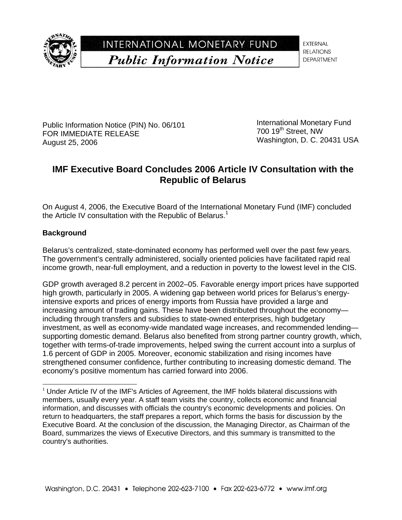

INTERNATIONAL MONETARY FUND **Public Information Notice** 

**EXTERNAL RELATIONS DEPARTMENT** 

Public Information Notice (PIN) No. 06/101 FOR IMMEDIATE RELEASE August 25, 2006

International Monetary Fund 700 19<sup>th</sup> Street, NW Washington, D. C. 20431 USA

# **IMF Executive Board Concludes 2006 Article IV Consultation with the Republic of Belarus**

On August 4, 2006, the Executive Board of the International Monetary Fund (IMF) concluded the Article IV consultation with the Republic of Belarus.<sup>1</sup>

# **Background**

-

Belarus's centralized, state-dominated economy has performed well over the past few years. The government's centrally administered, socially oriented policies have facilitated rapid real income growth, near-full employment, and a reduction in poverty to the lowest level in the CIS.

GDP growth averaged 8.2 percent in 2002–05. Favorable energy import prices have supported high growth, particularly in 2005. A widening gap between world prices for Belarus's energyintensive exports and prices of energy imports from Russia have provided a large and increasing amount of trading gains. These have been distributed throughout the economy including through transfers and subsidies to state-owned enterprises, high budgetary investment, as well as economy-wide mandated wage increases, and recommended lending supporting domestic demand. Belarus also benefited from strong partner country growth, which, together with terms-of-trade improvements, helped swing the current account into a surplus of 1.6 percent of GDP in 2005. Moreover, economic stabilization and rising incomes have strengthened consumer confidence, further contributing to increasing domestic demand. The economy's positive momentum has carried forward into 2006.

 $1$  Under Article IV of the IMF's Articles of Agreement, the IMF holds bilateral discussions with members, usually every year. A staff team visits the country, collects economic and financial information, and discusses with officials the country's economic developments and policies. On return to headquarters, the staff prepares a report, which forms the basis for discussion by the Executive Board. At the conclusion of the discussion, the Managing Director, as Chairman of the Board, summarizes the views of Executive Directors, and this summary is transmitted to the country's authorities.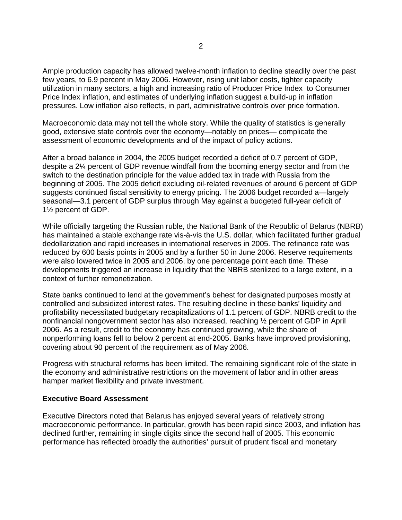Ample production capacity has allowed twelve-month inflation to decline steadily over the past few years, to 6.9 percent in May 2006. However, rising unit labor costs, tighter capacity utilization in many sectors, a high and increasing ratio of Producer Price Index to Consumer Price Index inflation, and estimates of underlying inflation suggest a build-up in inflation pressures. Low inflation also reflects, in part, administrative controls over price formation.

Macroeconomic data may not tell the whole story. While the quality of statistics is generally good, extensive state controls over the economy—notably on prices— complicate the assessment of economic developments and of the impact of policy actions.

After a broad balance in 2004, the 2005 budget recorded a deficit of 0.7 percent of GDP, despite a 2¼ percent of GDP revenue windfall from the booming energy sector and from the switch to the destination principle for the value added tax in trade with Russia from the beginning of 2005. The 2005 deficit excluding oil-related revenues of around 6 percent of GDP suggests continued fiscal sensitivity to energy pricing. The 2006 budget recorded a—largely seasonal—3.1 percent of GDP surplus through May against a budgeted full-year deficit of 1½ percent of GDP.

While officially targeting the Russian ruble, the National Bank of the Republic of Belarus (NBRB) has maintained a stable exchange rate vis-à-vis the U.S. dollar, which facilitated further gradual dedollarization and rapid increases in international reserves in 2005. The refinance rate was reduced by 600 basis points in 2005 and by a further 50 in June 2006. Reserve requirements were also lowered twice in 2005 and 2006, by one percentage point each time. These developments triggered an increase in liquidity that the NBRB sterilized to a large extent, in a context of further remonetization.

State banks continued to lend at the government's behest for designated purposes mostly at controlled and subsidized interest rates. The resulting decline in these banks' liquidity and profitability necessitated budgetary recapitalizations of 1.1 percent of GDP. NBRB credit to the nonfinancial nongovernment sector has also increased, reaching ½ percent of GDP in April 2006. As a result, credit to the economy has continued growing, while the share of nonperforming loans fell to below 2 percent at end-2005. Banks have improved provisioning, covering about 90 percent of the requirement as of May 2006.

Progress with structural reforms has been limited. The remaining significant role of the state in the economy and administrative restrictions on the movement of labor and in other areas hamper market flexibility and private investment.

#### **Executive Board Assessment**

Executive Directors noted that Belarus has enjoyed several years of relatively strong macroeconomic performance. In particular, growth has been rapid since 2003, and inflation has declined further, remaining in single digits since the second half of 2005. This economic performance has reflected broadly the authorities' pursuit of prudent fiscal and monetary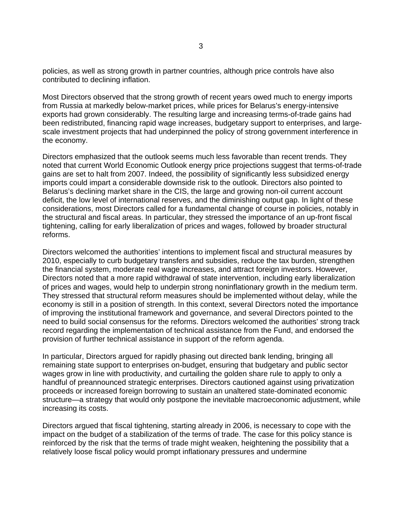policies, as well as strong growth in partner countries, although price controls have also contributed to declining inflation.

Most Directors observed that the strong growth of recent years owed much to energy imports from Russia at markedly below-market prices, while prices for Belarus's energy-intensive exports had grown considerably. The resulting large and increasing terms-of-trade gains had been redistributed, financing rapid wage increases, budgetary support to enterprises, and largescale investment projects that had underpinned the policy of strong government interference in the economy.

Directors emphasized that the outlook seems much less favorable than recent trends. They noted that current World Economic Outlook energy price projections suggest that terms-of-trade gains are set to halt from 2007. Indeed, the possibility of significantly less subsidized energy imports could impart a considerable downside risk to the outlook. Directors also pointed to Belarus's declining market share in the CIS, the large and growing non-oil current account deficit, the low level of international reserves, and the diminishing output gap. In light of these considerations, most Directors called for a fundamental change of course in policies, notably in the structural and fiscal areas. In particular, they stressed the importance of an up-front fiscal tightening, calling for early liberalization of prices and wages, followed by broader structural reforms.

Directors welcomed the authorities' intentions to implement fiscal and structural measures by 2010, especially to curb budgetary transfers and subsidies, reduce the tax burden, strengthen the financial system, moderate real wage increases, and attract foreign investors. However, Directors noted that a more rapid withdrawal of state intervention, including early liberalization of prices and wages, would help to underpin strong noninflationary growth in the medium term. They stressed that structural reform measures should be implemented without delay, while the economy is still in a position of strength. In this context, several Directors noted the importance of improving the institutional framework and governance, and several Directors pointed to the need to build social consensus for the reforms. Directors welcomed the authorities' strong track record regarding the implementation of technical assistance from the Fund, and endorsed the provision of further technical assistance in support of the reform agenda.

In particular, Directors argued for rapidly phasing out directed bank lending, bringing all remaining state support to enterprises on-budget, ensuring that budgetary and public sector wages grow in line with productivity, and curtailing the golden share rule to apply to only a handful of preannounced strategic enterprises. Directors cautioned against using privatization proceeds or increased foreign borrowing to sustain an unaltered state-dominated economic structure—a strategy that would only postpone the inevitable macroeconomic adjustment, while increasing its costs.

Directors argued that fiscal tightening, starting already in 2006, is necessary to cope with the impact on the budget of a stabilization of the terms of trade. The case for this policy stance is reinforced by the risk that the terms of trade might weaken, heightening the possibility that a relatively loose fiscal policy would prompt inflationary pressures and undermine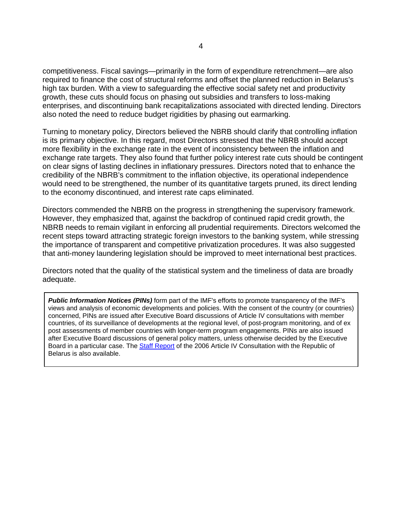competitiveness. Fiscal savings—primarily in the form of expenditure retrenchment—are also required to finance the cost of structural reforms and offset the planned reduction in Belarus's high tax burden. With a view to safeguarding the effective social safety net and productivity growth, these cuts should focus on phasing out subsidies and transfers to loss-making enterprises, and discontinuing bank recapitalizations associated with directed lending. Directors also noted the need to reduce budget rigidities by phasing out earmarking.

Turning to monetary policy, Directors believed the NBRB should clarify that controlling inflation is its primary objective. In this regard, most Directors stressed that the NBRB should accept more flexibility in the exchange rate in the event of inconsistency between the inflation and exchange rate targets. They also found that further policy interest rate cuts should be contingent on clear signs of lasting declines in inflationary pressures. Directors noted that to enhance the credibility of the NBRB's commitment to the inflation objective, its operational independence would need to be strengthened, the number of its quantitative targets pruned, its direct lending to the economy discontinued, and interest rate caps eliminated.

Directors commended the NBRB on the progress in strengthening the supervisory framework. However, they emphasized that, against the backdrop of continued rapid credit growth, the NBRB needs to remain vigilant in enforcing all prudential requirements. Directors welcomed the recent steps toward attracting strategic foreign investors to the banking system, while stressing the importance of transparent and competitive privatization procedures. It was also suggested that anti-money laundering legislation should be improved to meet international best practices.

Directors noted that the quality of the statistical system and the timeliness of data are broadly adequate.

*Public Information Notices (PINs)* form part of the IMF's efforts to promote transparency of the IMF's views and analysis of economic developments and policies. With the consent of the country (or countries) concerned, PINs are issued after Executive Board discussions of Article IV consultations with member countries, of its surveillance of developments at the regional level, of post-program monitoring, and of ex post assessments of member countries with longer-term program engagements. PINs are also issued after Executive Board discussions of general policy matters, unless otherwise decided by the Executive Board in a particular case. The Staff Report of the 2006 Article IV Consultation with the Republic of Belarus is also available.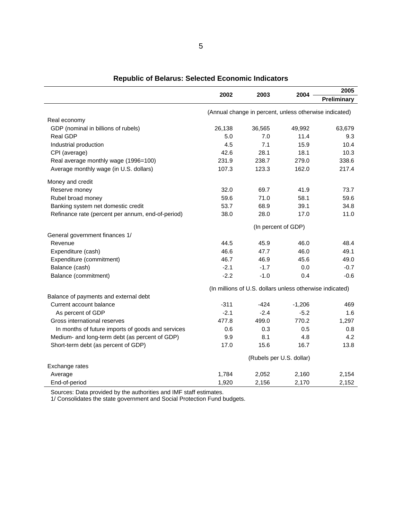|                                                   | 2002   | 2003                                                     | 2004     | 2005        |
|---------------------------------------------------|--------|----------------------------------------------------------|----------|-------------|
|                                                   |        |                                                          |          | Preliminary |
|                                                   |        | (Annual change in percent, unless otherwise indicated)   |          |             |
| Real economy                                      |        |                                                          |          |             |
| GDP (nominal in billions of rubels)               | 26,138 | 36,565                                                   | 49,992   | 63,679      |
| Real GDP                                          | 5.0    | 7.0                                                      | 11.4     | 9.3         |
| Industrial production                             | 4.5    | 7.1                                                      | 15.9     | 10.4        |
| CPI (average)                                     | 42.6   | 28.1                                                     | 18.1     | 10.3        |
| Real average monthly wage (1996=100)              | 231.9  | 238.7                                                    | 279.0    | 338.6       |
| Average monthly wage (in U.S. dollars)            | 107.3  | 123.3                                                    | 162.0    | 217.4       |
| Money and credit                                  |        |                                                          |          |             |
| Reserve money                                     | 32.0   | 69.7                                                     | 41.9     | 73.7        |
| Rubel broad money                                 | 59.6   | 71.0                                                     | 58.1     | 59.6        |
| Banking system net domestic credit                | 53.7   | 68.9                                                     | 39.1     | 34.8        |
| Refinance rate (percent per annum, end-of-period) | 38.0   | 28.0                                                     | 17.0     | 11.0        |
|                                                   |        | (In percent of GDP)                                      |          |             |
| General government finances 1/                    |        |                                                          |          |             |
| Revenue                                           | 44.5   | 45.9                                                     | 46.0     | 48.4        |
| Expenditure (cash)                                | 46.6   | 47.7                                                     | 46.0     | 49.1        |
| Expenditure (commitment)                          | 46.7   | 46.9                                                     | 45.6     | 49.0        |
| Balance (cash)                                    | $-2.1$ | $-1.7$                                                   | 0.0      | $-0.7$      |
| Balance (commitment)                              | $-2.2$ | $-1.0$                                                   | 0.4      | $-0.6$      |
|                                                   |        | (In millions of U.S. dollars unless otherwise indicated) |          |             |
| Balance of payments and external debt             |        |                                                          |          |             |
| Current account balance                           | $-311$ | $-424$                                                   | $-1,206$ | 469         |
| As percent of GDP                                 | $-2.1$ | $-2.4$                                                   | $-5.2$   | 1.6         |
| Gross international reserves                      | 477.8  | 499.0                                                    | 770.2    | 1,297       |
| In months of future imports of goods and services | 0.6    | 0.3                                                      | 0.5      | 0.8         |
| Medium- and long-term debt (as percent of GDP)    | 9.9    | 8.1                                                      | 4.8      | 4.2         |
| Short-term debt (as percent of GDP)               | 17.0   | 15.6                                                     | 16.7     | 13.8        |
|                                                   |        | (Rubels per U.S. dollar)                                 |          |             |
| Exchange rates                                    |        |                                                          |          |             |
| Average                                           | 1,784  | 2,052                                                    | 2,160    | 2,154       |
| End-of-period                                     | 1,920  | 2,156                                                    | 2,170    | 2,152       |

**Republic of Belarus: Selected Economic Indicators**

Sources: Data provided by the authorities and IMF staff estimates.

1/ Consolidates the state government and Social Protection Fund budgets.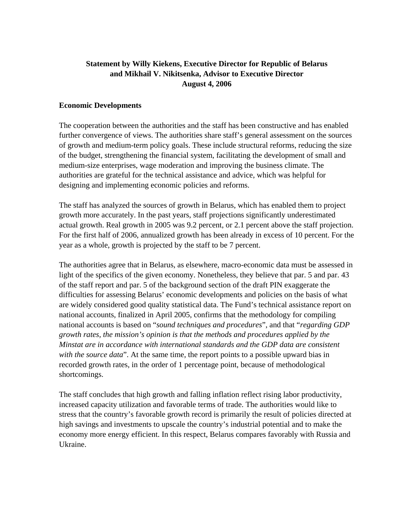# **Statement by Willy Kiekens, Executive Director for Republic of Belarus and Mikhail V. Nikitsenka, Advisor to Executive Director August 4, 2006**

### **Economic Developments**

The cooperation between the authorities and the staff has been constructive and has enabled further convergence of views. The authorities share staff's general assessment on the sources of growth and medium-term policy goals. These include structural reforms, reducing the size of the budget, strengthening the financial system, facilitating the development of small and medium-size enterprises, wage moderation and improving the business climate. The authorities are grateful for the technical assistance and advice, which was helpful for designing and implementing economic policies and reforms.

The staff has analyzed the sources of growth in Belarus, which has enabled them to project growth more accurately. In the past years, staff projections significantly underestimated actual growth. Real growth in 2005 was 9.2 percent, or 2.1 percent above the staff projection. For the first half of 2006, annualized growth has been already in excess of 10 percent. For the year as a whole, growth is projected by the staff to be 7 percent.

The authorities agree that in Belarus, as elsewhere, macro-economic data must be assessed in light of the specifics of the given economy. Nonetheless, they believe that par. 5 and par. 43 of the staff report and par. 5 of the background section of the draft PIN exaggerate the difficulties for assessing Belarus' economic developments and policies on the basis of what are widely considered good quality statistical data. The Fund's technical assistance report on national accounts, finalized in April 2005, confirms that the methodology for compiling national accounts is based on "*sound techniques and procedures*", and that "*regarding GDP growth rates, the mission's opinion is that the methods and procedures applied by the Minstat are in accordance with international standards and the GDP data are consistent with the source data*". At the same time, the report points to a possible upward bias in recorded growth rates, in the order of 1 percentage point, because of methodological shortcomings.

The staff concludes that high growth and falling inflation reflect rising labor productivity, increased capacity utilization and favorable terms of trade. The authorities would like to stress that the country's favorable growth record is primarily the result of policies directed at high savings and investments to upscale the country's industrial potential and to make the economy more energy efficient. In this respect, Belarus compares favorably with Russia and Ukraine.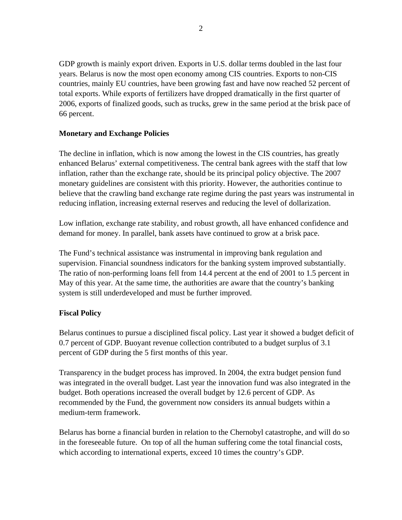GDP growth is mainly export driven. Exports in U.S. dollar terms doubled in the last four years. Belarus is now the most open economy among CIS countries. Exports to non-CIS countries, mainly EU countries, have been growing fast and have now reached 52 percent of total exports. While exports of fertilizers have dropped dramatically in the first quarter of 2006, exports of finalized goods, such as trucks, grew in the same period at the brisk pace of 66 percent.

### **Monetary and Exchange Policies**

The decline in inflation, which is now among the lowest in the CIS countries, has greatly enhanced Belarus' external competitiveness. The central bank agrees with the staff that low inflation, rather than the exchange rate, should be its principal policy objective. The 2007 monetary guidelines are consistent with this priority. However, the authorities continue to believe that the crawling band exchange rate regime during the past years was instrumental in reducing inflation, increasing external reserves and reducing the level of dollarization.

Low inflation, exchange rate stability, and robust growth, all have enhanced confidence and demand for money. In parallel, bank assets have continued to grow at a brisk pace.

The Fund's technical assistance was instrumental in improving bank regulation and supervision. Financial soundness indicators for the banking system improved substantially. The ratio of non-performing loans fell from 14.4 percent at the end of 2001 to 1.5 percent in May of this year. At the same time, the authorities are aware that the country's banking system is still underdeveloped and must be further improved.

# **Fiscal Policy**

Belarus continues to pursue a disciplined fiscal policy. Last year it showed a budget deficit of 0.7 percent of GDP. Buoyant revenue collection contributed to a budget surplus of 3.1 percent of GDP during the 5 first months of this year.

Transparency in the budget process has improved. In 2004, the extra budget pension fund was integrated in the overall budget. Last year the innovation fund was also integrated in the budget. Both operations increased the overall budget by 12.6 percent of GDP. As recommended by the Fund, the government now considers its annual budgets within a medium-term framework.

Belarus has borne a financial burden in relation to the Chernobyl catastrophe, and will do so in the foreseeable future. On top of all the human suffering come the total financial costs, which according to international experts, exceed 10 times the country's GDP.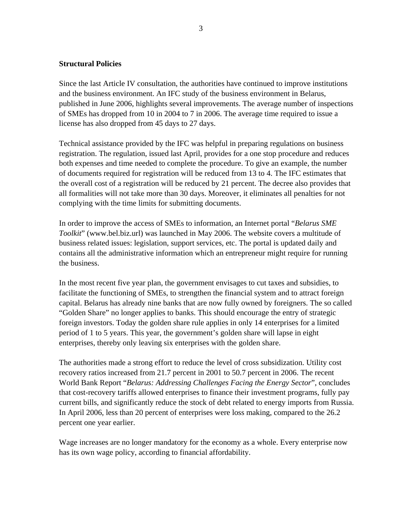#### **Structural Policies**

Since the last Article IV consultation, the authorities have continued to improve institutions and the business environment. An IFC study of the business environment in Belarus, published in June 2006, highlights several improvements. The average number of inspections of SMEs has dropped from 10 in 2004 to 7 in 2006. The average time required to issue a license has also dropped from 45 days to 27 days.

Technical assistance provided by the IFC was helpful in preparing regulations on business registration. The regulation, issued last April, provides for a one stop procedure and reduces both expenses and time needed to complete the procedure. To give an example, the number of documents required for registration will be reduced from 13 to 4. The IFC estimates that the overall cost of a registration will be reduced by 21 percent. The decree also provides that all formalities will not take more than 30 days. Moreover, it eliminates all penalties for not complying with the time limits for submitting documents.

In order to improve the access of SMEs to information, an Internet portal "*Belarus SME Toolkit*" (www.bel.biz.url) was launched in May 2006. The website covers a multitude of business related issues: legislation, support services, etc. The portal is updated daily and contains all the administrative information which an entrepreneur might require for running the business.

In the most recent five year plan, the government envisages to cut taxes and subsidies, to facilitate the functioning of SMEs, to strengthen the financial system and to attract foreign capital. Belarus has already nine banks that are now fully owned by foreigners. The so called "Golden Share" no longer applies to banks. This should encourage the entry of strategic foreign investors. Today the golden share rule applies in only 14 enterprises for a limited period of 1 to 5 years. This year, the government's golden share will lapse in eight enterprises, thereby only leaving six enterprises with the golden share.

The authorities made a strong effort to reduce the level of cross subsidization. Utility cost recovery ratios increased from 21.7 percent in 2001 to 50.7 percent in 2006. The recent World Bank Report "*Belarus: Addressing Challenges Facing the Energy Sector*", concludes that cost-recovery tariffs allowed enterprises to finance their investment programs, fully pay current bills, and significantly reduce the stock of debt related to energy imports from Russia. In April 2006, less than 20 percent of enterprises were loss making, compared to the 26.2 percent one year earlier.

Wage increases are no longer mandatory for the economy as a whole. Every enterprise now has its own wage policy, according to financial affordability.